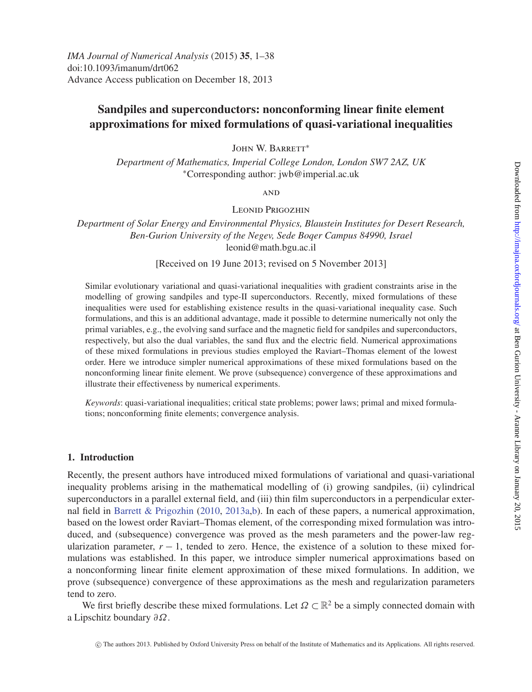# **Sandpiles and superconductors: nonconforming linear finite element approximations for mixed formulations of quasi-variational inequalities**

John W. Barrett<sup>∗</sup>

*Department of Mathematics, Imperial College London, London SW7 2AZ, UK* <sup>∗</sup>Corresponding author: jwb@imperial.ac.uk

**AND** 

Leonid Prigozhin

*Department of Solar Energy and Environmental Physics, Blaustein Institutes for Desert Research, Ben-Gurion University of the Negev, Sede Boqer Campus 84990, Israel* leonid@math.bgu.ac.il

[Received on 19 June 2013; revised on 5 November 2013]

Similar evolutionary variational and quasi-variational inequalities with gradient constraints arise in the modelling of growing sandpiles and type-II superconductors. Recently, mixed formulations of these inequalities were used for establishing existence results in the quasi-variational inequality case. Such formulations, and this is an additional advantage, made it possible to determine numerically not only the primal variables, e.g., the evolving sand surface and the magnetic field for sandpiles and superconductors, respectively, but also the dual variables, the sand flux and the electric field. Numerical approximations of these mixed formulations in previous studies employed the Raviart–Thomas element of the lowest order. Here we introduce simpler numerical approximations of these mixed formulations based on the nonconforming linear finite element. We prove (subsequence) convergence of these approximations and illustrate their effectiveness by numerical experiments.

*Keywords*: quasi-variational inequalities; critical state problems; power laws; primal and mixed formulations; nonconforming finite elements; convergence analysis.

## **1. Introduction**

Recently, the present authors have introduced mixed formulations of variational and quasi-variational inequality problems arising in the mathematical modelling of (i) growing sandpiles, (ii) cylindrical superconductors in a parallel external field, and (iii) thin film superconductors in a perpendicular external field in [Barrett & Prigozhin](#page-37-0) [\(2010,](#page-37-0) [2013a](#page-37-1)[,b\)](#page-37-2). In each of these papers, a numerical approximation, based on the lowest order Raviart–Thomas element, of the corresponding mixed formulation was introduced, and (subsequence) convergence was proved as the mesh parameters and the power-law regularization parameter,  $r - 1$ , tended to zero. Hence, the existence of a solution to these mixed formulations was established. In this paper, we introduce simpler numerical approximations based on a nonconforming linear finite element approximation of these mixed formulations. In addition, we prove (subsequence) convergence of these approximations as the mesh and regularization parameters tend to zero.

We first briefly describe these mixed formulations. Let  $\Omega \subset \mathbb{R}^2$  be a simply connected domain with a Lipschitz boundary ∂Ω.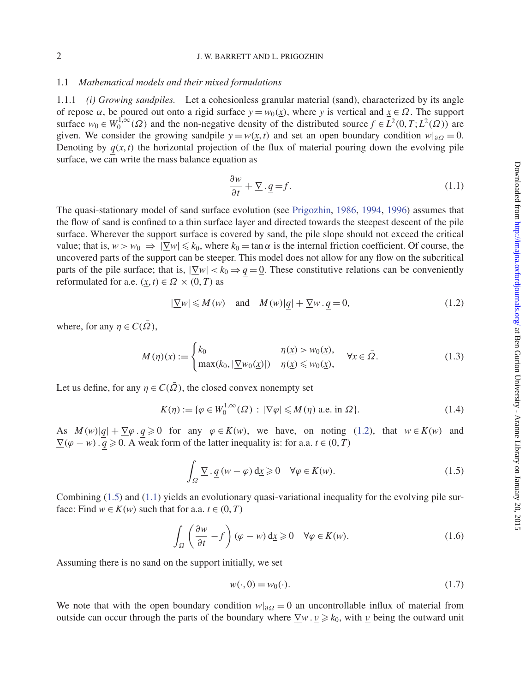#### 1.1 *Mathematical models and their mixed formulations*

1.1.1 *(i) Growing sandpiles.* Let a cohesionless granular material (sand), characterized by its angle of repose  $\alpha$ , be poured out onto a rigid surface  $y = w_0(\alpha)$ , where *y* is vertical and  $\alpha \in \Omega$ . The support surface  $w_0 \in W_0^{1,\infty}(\Omega)$  and the non-negative density of the distributed source  $f \in L^2(0,T; L^2(\Omega))$  are given. We consider the growing sandpile  $y = w(x, t)$  and set an open boundary condition  $w|_{\partial\Omega} = 0$ . Denoting by  $q(x, t)$  the horizontal projection of the flux of material pouring down the evolving pile surface, we can write the mass balance equation as

<span id="page-1-2"></span>
$$
\frac{\partial w}{\partial t} + \underline{\nabla} \cdot \underline{q} = f. \tag{1.1}
$$

The quasi-stationary model of sand surface evolution (see [Prigozhin](#page-37-3), [1986,](#page-37-3) [1994](#page-37-4), [1996\)](#page-37-5) assumes that the flow of sand is confined to a thin surface layer and directed towards the steepest descent of the pile surface. Wherever the support surface is covered by sand, the pile slope should not exceed the critical value; that is,  $w > w_0 \Rightarrow |\nabla w| \leq k_0$ , where  $k_0 = \tan \alpha$  is the internal friction coefficient. Of course, the uncovered parts of the support can be steeper. This model does not allow for any flow on the subcritical parts of the pile surface; that is,  $|\nabla w| < k_0 \Rightarrow q = 0$ . These constitutive relations can be conveniently reformulated for a.e.  $(\underline{x}, t) \in \Omega \times (0, T)$  as

<span id="page-1-0"></span>
$$
|\underline{\nabla}w| \leqslant M(w) \quad \text{and} \quad M(w)|q| + \underline{\nabla}w \cdot q = 0,
$$
\n(1.2)

where, for any  $\eta \in C(\overline{\Omega})$ ,

<span id="page-1-4"></span>
$$
M(\eta)(\underline{x}) := \begin{cases} k_0 & \eta(\underline{x}) > w_0(\underline{x}), \\ \max(k_0, |\underline{\nabla}w_0(\underline{x})|) & \eta(\underline{x}) \leq w_0(\underline{x}), \end{cases} \forall \underline{x} \in \overline{\Omega}.
$$
 (1.3)

Let us define, for any  $\eta \in C(\overline{\Omega})$ , the closed convex nonempty set

<span id="page-1-5"></span>
$$
K(\eta) := \{ \varphi \in W_0^{1,\infty}(\Omega) : |\underline{\nabla}\varphi| \leqslant M(\eta) \text{ a.e. in } \Omega \}. \tag{1.4}
$$

As  $M(w)[q] + \nabla \varphi \cdot q \ge 0$  for any  $\varphi \in K(w)$ , we have, on noting [\(1.2\)](#page-1-0), that  $w \in K(w)$  and  $\nabla(\varphi - w) \cdot \overline{q} \ge 0$ . A weak form of the latter inequality is: for a.a. *t* ∈ (0, *T*)

<span id="page-1-1"></span>
$$
\int_{\Omega} \underline{\nabla} \cdot \underline{q} \left( w - \varphi \right) d\underline{x} \geq 0 \quad \forall \varphi \in K(w). \tag{1.5}
$$

Combining [\(1.5\)](#page-1-1) and [\(1.1\)](#page-1-2) yields an evolutionary quasi-variational inequality for the evolving pile surface: Find  $w \in K(w)$  such that for a.a.  $t \in (0, T)$ 

<span id="page-1-3"></span>
$$
\int_{\Omega} \left( \frac{\partial w}{\partial t} - f \right) (\varphi - w) \, \mathrm{d}\underline{x} \geq 0 \quad \forall \varphi \in K(w). \tag{1.6}
$$

Assuming there is no sand on the support initially, we set

$$
w(\cdot,0) = w_0(\cdot). \tag{1.7}
$$

We note that with the open boundary condition  $w|_{\partial Q} = 0$  an uncontrollable influx of material from outside can occur through the parts of the boundary where  $\nabla w \cdot v \ge k_0$ , with v being the outward unit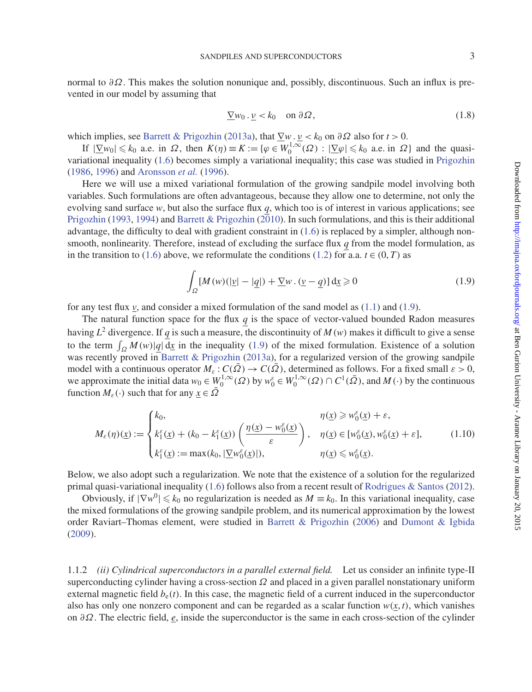normal to ∂Ω. This makes the solution nonunique and, possibly, discontinuous. Such an influx is prevented in our model by assuming that

$$
\underline{\nabla} w_0 \cdot \underline{\nu} < k_0 \quad \text{on } \partial \Omega,\tag{1.8}
$$

which implies, see [Barrett & Prigozhin](#page-37-1) [\(2013a\)](#page-37-1), that  $\nabla w \cdot \nu < k_0$  on  $\partial \Omega$  also for  $t > 0$ .

If  $|\nabla w_0| \le k_0$  a.e. in  $\Omega$ , then  $K(\eta) \equiv K := {\varphi \in W_0^{1,\infty}(\Omega) : |\nabla \varphi| \le k_0}$  a.e. in  $\Omega$  and the quasivariational inequality [\(1.6\)](#page-1-3) becomes simply a variational inequality; this case was studied in [Prigozhin](#page-37-3) [\(1986](#page-37-3), [1996](#page-37-5)) and [Aronsson](#page-36-0) *et al.* [\(1996](#page-36-0)).

Here we will use a mixed variational formulation of the growing sandpile model involving both variables. Such formulations are often advantageous, because they allow one to determine, not only the evolving sand surface *w*, but also the surface flux *q*, which too is of interest in various applications; see [Prigozhin](#page-37-6) [\(1993,](#page-37-6) [1994\)](#page-37-4) and [Barrett & Prigozhin](#page-37-0) ( $2\overline{0}10$ ). In such formulations, and this is their additional advantage, the difficulty to deal with gradient constraint in [\(1.6\)](#page-1-3) is replaced by a simpler, although nonsmooth, nonlinearity. Therefore, instead of excluding the surface flux *q* from the model formulation, as in the transition to [\(1.6\)](#page-1-3) above, we reformulate the conditions [\(1.2\)](#page-1-0) for a.a.  $t \in (0, T)$  as

<span id="page-2-0"></span>
$$
\int_{\Omega} [M(w)(|\underline{v}| - |\underline{q}|) + \underline{\nabla} w \cdot (\underline{v} - \underline{q})] \, d\underline{x} \geq 0 \tag{1.9}
$$

for any test flux  $v$ , and consider a mixed formulation of the sand model as  $(1.1)$  and  $(1.9)$ .

The natural function space for the flux  $q$  is the space of vector-valued bounded Radon measures having  $L^2$  divergence. If *q* is such a measure, the discontinuity of  $M(w)$  makes it difficult to give a sense to the term  $\int_{\Omega} M(w) |q| \, dx$  in the inequality [\(1.9\)](#page-2-0) of the mixed formulation. Existence of a solution was recently proved in [Barrett & Prigozhin](#page-37-1) [\(2013a\)](#page-37-1), for a regularized version of the growing sandpile model with a continuous operator  $M_{\epsilon}: C(\overline{\Omega}) \to C(\overline{\Omega})$ , determined as follows. For a fixed small  $\epsilon > 0$ , we approximate the initial data  $w_0 \in W_0^{1,\infty}(\Omega)$  by  $w_0^{\varepsilon} \in W_0^{1,\infty}(\Omega) \cap C^1(\overline{\Omega})$ , and  $M(\cdot)$  by the continuous function  $M_{\varepsilon}(\cdot)$  such that for any  $x \in \overline{\Omega}$ 

<span id="page-2-1"></span>
$$
M_{\varepsilon}(\eta)(\underline{x}) := \begin{cases} k_0, & \eta(\underline{x}) \ge w_0^{\varepsilon}(\underline{x}) + \varepsilon, \\ k_1^{\varepsilon}(\underline{x}) + (k_0 - k_1^{\varepsilon}(\underline{x})) \left( \frac{\eta(\underline{x}) - w_0^{\varepsilon}(\underline{x})}{\varepsilon} \right), & \eta(\underline{x}) \in [w_0^{\varepsilon}(\underline{x}), w_0^{\varepsilon}(\underline{x}) + \varepsilon], \\ k_1^{\varepsilon}(\underline{x}) := \max(k_0, |\underline{\nabla}w_0^{\varepsilon}(\underline{x})|), & \eta(\underline{x}) \le w_0^{\varepsilon}(\underline{x}). \end{cases}
$$
(1.10)

Below, we also adopt such a regularization. We note that the existence of a solution for the regularized primal quasi-variational inequality [\(1.6\)](#page-1-3) follows also from a recent result of [Rodrigues & Santos](#page-37-7) [\(2012\)](#page-37-7).

Obviously, if  $|\nabla w^0| \le k_0$  no regularization is needed as  $M \equiv k_0$ . In this variational inequality, case the mixed formulations of the growing sandpile problem, and its numerical approximation by the lowest order Raviart–Thomas element, were studied in [Barrett & Prigozhin](#page-37-8) [\(2006\)](#page-37-8) and [Dumont & Igbida](#page-37-9) [\(2009](#page-37-9)).

1.1.2 *(ii) Cylindrical superconductors in a parallel external field.* Let us consider an infinite type-II superconducting cylinder having a cross-section  $\Omega$  and placed in a given parallel nonstationary uniform external magnetic field  $b<sub>e</sub>(t)$ . In this case, the magnetic field of a current induced in the superconductor also has only one nonzero component and can be regarded as a scalar function  $w(x, t)$ , which vanishes on ∂Ω. The electric field, *e*, inside the superconductor is the same in each cross-section of the cylinder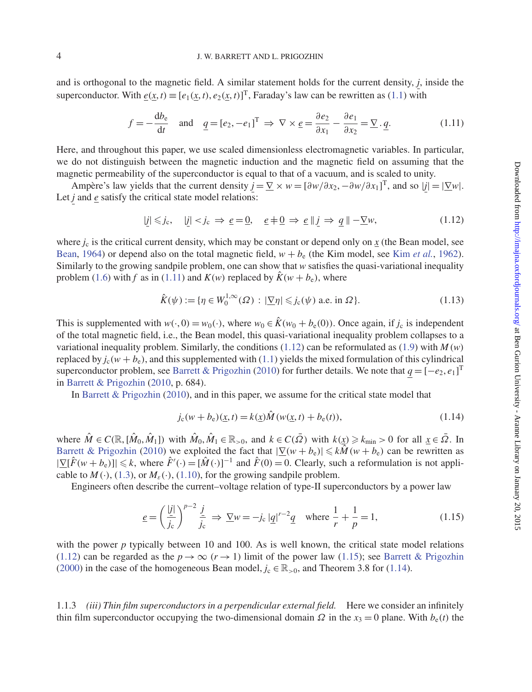and is orthogonal to the magnetic field. A similar statement holds for the current density, *j*, inside the superconductor. With  $\underline{e}(\underline{x}, t) \equiv [e_1(\underline{x}, t), e_2(\underline{x}, t)]^T$ , Faraday's law can be rewritten as [\(1.1\)](#page-1-2) with

<span id="page-3-0"></span>
$$
f = -\frac{db_e}{dt} \quad \text{and} \quad \underline{q} = [e_2, -e_1]^T \implies \nabla \times \underline{e} = \frac{\partial e_2}{\partial x_1} - \frac{\partial e_1}{\partial x_2} = \underline{\nabla} \cdot \underline{q}.
$$
 (1.11)

Here, and throughout this paper, we use scaled dimensionless electromagnetic variables. In particular, we do not distinguish between the magnetic induction and the magnetic field on assuming that the magnetic permeability of the superconductor is equal to that of a vacuum, and is scaled to unity.

Ampère's law yields that the current density  $j = \sum x w = [\partial w / \partial x_2, -\partial w / \partial x_1]^T$ , and so  $|j| = |\underline{\nabla} w|$ . Let *j* and *e* satisfy the critical state model relations:

<span id="page-3-1"></span>
$$
|\underline{j}| \leq j_c, \quad |\underline{j}| < j_c \Rightarrow \underline{e} = \underline{0}, \quad \underline{e} \neq \underline{0} \Rightarrow \underline{e} \parallel \underline{j} \Rightarrow \underline{q} \parallel -\underline{\nabla} w,\tag{1.12}
$$

where  $j_c$  is the critical current density, which may be constant or depend only on  $\chi$  (the Bean model, see [Bean](#page-37-10), [1964\)](#page-37-10) or depend also on the total magnetic field,  $w + b_e$  (the Kim model, see Kim *[et al.](#page-37-11)*, [1962\)](#page-37-11). Similarly to the growing sandpile problem, one can show that *w* satisfies the quasi-variational inequality problem [\(1.6\)](#page-1-3) with *f* as in [\(1.11\)](#page-3-0) and  $K(w)$  replaced by  $\hat{K}(w + b_e)$ , where

<span id="page-3-4"></span>
$$
\hat{K}(\psi) := \{ \eta \in W_0^{1,\infty}(\Omega) : |\underline{\nabla}\eta| \leqslant j_c(\psi) \text{ a.e. in } \Omega \}. \tag{1.13}
$$

This is supplemented with  $w(\cdot, 0) = w_0(\cdot)$ , where  $w_0 \in \hat{K}(w_0 + b_e(0))$ . Once again, if  $j_c$  is independent of the total magnetic field, i.e., the Bean model, this quasi-variational inequality problem collapses to a variational inequality problem. Similarly, the conditions  $(1.12)$  can be reformulated as  $(1.9)$  with *M*(*w*) replaced by  $j_c(w + b_e)$ , and this supplemented with [\(1.1\)](#page-1-2) yields the mixed formulation of this cylindrical superconductor problem, see [Barrett & Prigozhin](#page-37-0) [\(2010](#page-37-0)) for further details. We note that  $q = [-e_2, e_1]^T$ in [Barrett & Prigozhin](#page-37-0) [\(2010](#page-37-0), p. 684).

In [Barrett & Prigozhin](#page-37-0) [\(2010\)](#page-37-0), and in this paper, we assume for the critical state model that

<span id="page-3-3"></span>
$$
j_{c}(w+b_{e})(\underline{x},t) = k(\underline{x})\hat{M}(w(\underline{x},t) + b_{e}(t)),
$$
\n(1.14)

where  $\hat{M} \in C(\mathbb{R}, [\hat{M}_0, \hat{M}_1])$  with  $\hat{M}_0, \hat{M}_1 \in \mathbb{R}_{>0}$ , and  $k \in C(\bar{\Omega})$  with  $k(\underline{x}) \geq k_{\min} > 0$  for all  $\underline{x} \in \bar{\Omega}$ . In [Barrett & Prigozhin](#page-37-0) [\(2010](#page-37-0)) we exploited the fact that  $|\nabla(w + b_e)| \leq k\hat{M}(w + b_e)$  can be rewritten as  $|\nabla[\hat{F}(w+b_{\varepsilon})]| \leq k$ , where  $\hat{F}'(\cdot) = [\hat{M}(\cdot)]^{-1}$  and  $\hat{F}(0) = 0$ . Clearly, such a reformulation is not applicable to  $M(\cdot)$ , [\(1.3\)](#page-1-4), or  $M_{{\varepsilon}}(\cdot)$ , [\(1.10\)](#page-2-1), for the growing sandpile problem.

Engineers often describe the current–voltage relation of type-II superconductors by a power law

<span id="page-3-2"></span>
$$
\underline{e} = \left(\frac{|\underline{j}|}{j_c}\right)^{p-2} \frac{\underline{j}}{j_c} \implies \underline{\nabla}w = -j_c |q|^{r-2} \underline{q} \quad \text{where } \frac{1}{r} + \frac{1}{p} = 1,
$$
\n(1.15)

with the power *p* typically between 10 and 100. As is well known, the critical state model relations [\(1.12\)](#page-3-1) can be regarded as the  $p \to \infty$  ( $r \to 1$ ) limit of the power law [\(1.15\)](#page-3-2); see [Barrett & Prigozhin](#page-36-1) [\(2000](#page-36-1)) in the case of the homogeneous Bean model,  $j_c \in \mathbb{R}_{>0}$ , and Theorem 3.8 for [\(1.14\)](#page-3-3).

1.1.3 *(iii) Thin film superconductors in a perpendicular external field.* Here we consider an infinitely thin film superconductor occupying the two-dimensional domain  $\Omega$  in the  $x_3 = 0$  plane. With  $b_e(t)$  the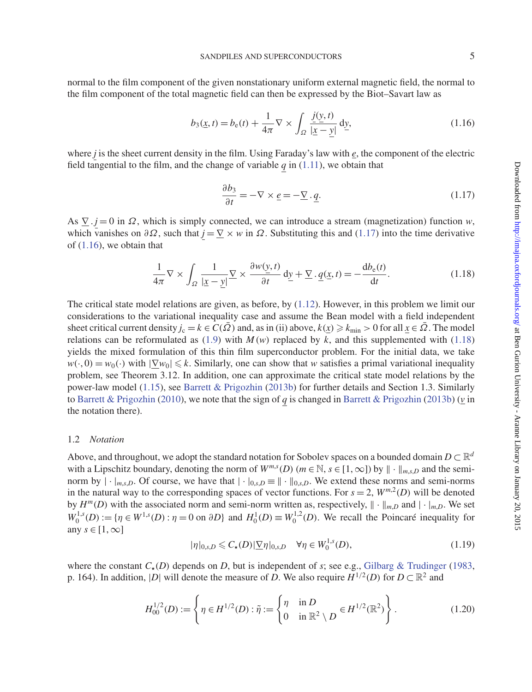normal to the film component of the given nonstationary uniform external magnetic field, the normal to the film component of the total magnetic field can then be expressed by the Biot–Savart law as

<span id="page-4-1"></span>
$$
b_3(\underline{x}, t) = b_e(t) + \frac{1}{4\pi} \nabla \times \int_{\Omega} \frac{\underline{j}(\underline{y}, t)}{|\underline{x} - \underline{y}|} d\underline{y},
$$
\n(1.16)

where *j* is the sheet current density in the film. Using Faraday's law with *e*, the component of the electric field tangential to the film, and the change of variable  $q$  in [\(1.11\)](#page-3-0), we obtain that

<span id="page-4-0"></span>
$$
\frac{\partial b_3}{\partial t} = -\nabla \times \underline{e} = -\underline{\nabla} \cdot \underline{q}.\tag{1.17}
$$

As  $\Sigma$  . *j* = 0 in  $\Omega$ , which is simply connected, we can introduce a stream (magnetization) function *w*, which vanishes on  $\partial \Omega$ , such that  $j = \nabla \times w$  in  $\Omega$ . Substituting this and [\(1.17\)](#page-4-0) into the time derivative of  $(1.16)$ , we obtain that

<span id="page-4-2"></span>
$$
\frac{1}{4\pi} \nabla \times \int_{\Omega} \frac{1}{|\underline{x} - \underline{y}|} \nabla \times \frac{\partial w(\underline{y}, t)}{\partial t} d\underline{y} + \underline{\nabla} \cdot \underline{q}(\underline{x}, t) = -\frac{db_e(t)}{dt}.
$$
\n(1.18)

The critical state model relations are given, as before, by [\(1.12\)](#page-3-1). However, in this problem we limit our considerations to the variational inequality case and assume the Bean model with a field independent sheet critical current density  $j_c = k \in C(\overline{\Omega})$  and, as in (ii) above,  $k(x) \geq k_{\min} > 0$  for all  $x \in \overline{\Omega}$ . The model relations can be reformulated as  $(1.9)$  with  $M(w)$  replaced by  $k$ , and this supplemented with  $(1.18)$ yields the mixed formulation of this thin film superconductor problem. For the initial data, we take  $w(\cdot, 0) = w_0(\cdot)$  with  $|\nabla w_0| \le k$ . Similarly, one can show that *w* satisfies a primal variational inequality problem, see Theorem 3.12. In addition, one can approximate the critical state model relations by the power-law model [\(1.15\)](#page-3-2), see [Barrett & Prigozhin](#page-37-2) [\(2013b](#page-37-2)) for further details and Section 1.3. Similarly to [Barrett & Prigozhin](#page-37-0) [\(2010](#page-37-0)), we note that the sign of *q* is changed in [Barrett & Prigozhin](#page-37-2) [\(2013b](#page-37-2)) (*v* in the notation there).

#### 1.2 *Notation*

Above, and throughout, we adopt the standard notation for Sobolev spaces on a bounded domain  $D \subset \mathbb{R}^d$ with a Lipschitz boundary, denoting the norm of  $W^{m,s}(D)$  ( $m \in \mathbb{N}$ ,  $s \in [1,\infty]$ ) by  $\|\cdot\|_{m,s,D}$  and the seminorm by  $|\cdot|_{m,s,D}$ . Of course, we have that  $|\cdot|_{0,s,D} \equiv ||\cdot||_{0,s,D}$ . We extend these norms and semi-norms in the natural way to the corresponding spaces of vector functions. For  $s = 2$ ,  $W^{m,2}(D)$  will be denoted by  $H^m(D)$  with the associated norm and semi-norm written as, respectively,  $\|\cdot\|_{m,D}$  and  $|\cdot|_{m,D}$ . We set  $W_0^{1,s}(D) := \{ \eta \in W^{1,s}(D) : \eta = 0 \text{ on } \partial D \}$  and  $H_0^1(D) \equiv W_0^{1,2}(D)$ . We recall the Poincaré inequality for any  $s \in [1, \infty]$ 

<span id="page-4-3"></span>
$$
|\eta|_{0,s,D} \leq C_{\star}(D)|\underline{\nabla}\eta|_{0,s,D} \quad \forall \eta \in W_0^{1,s}(D),
$$
\n(1.19)

where the constant  $C_{\star}(D)$  depends on *D*, but is independent of *s*; see e.g., [Gilbarg & Trudinger](#page-37-12) [\(1983,](#page-37-12) p. 164). In addition, |*D*| will denote the measure of *D*. We also require  $H^{1/2}(D)$  for  $D \subset \mathbb{R}^2$  and

$$
H_{00}^{1/2}(D) := \left\{ \eta \in H^{1/2}(D) : \tilde{\eta} := \begin{cases} \eta & \text{in } D \\ 0 & \text{in } \mathbb{R}^2 \setminus D \end{cases} \in H^{1/2}(\mathbb{R}^2) \right\}.
$$
 (1.20)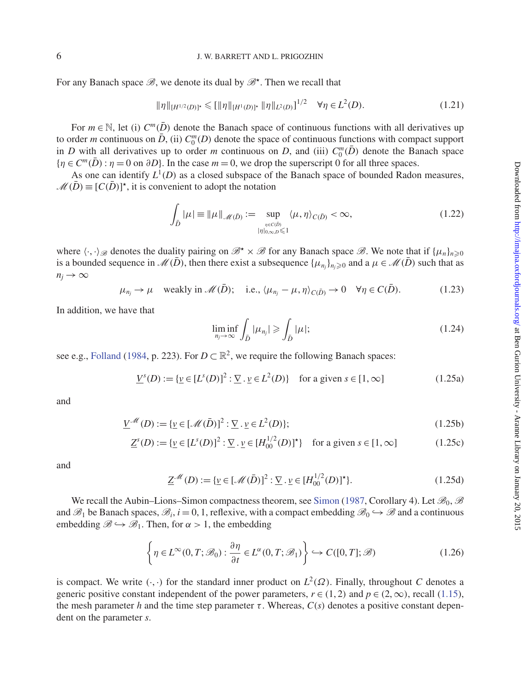### 6 J. W. BARRETT AND L. PRIGOZHIN

For any Banach space  $\mathcal{B}$ , we denote its dual by  $\mathcal{B}^*$ . Then we recall that

<span id="page-5-0"></span>
$$
\|\eta\|_{[H^{1/2}(D)]^*} \leq \left[\|\eta\|_{[H^1(D)]^*} \|\eta\|_{L^2(D)}\right]^{1/2} \quad \forall \eta \in L^2(D). \tag{1.21}
$$

For  $m \in \mathbb{N}$ , let (i)  $C^m(\overline{D})$  denote the Banach space of continuous functions with all derivatives up to order *m* continuous on  $\bar{D}$ , (ii)  $C_0^m(D)$  denote the space of continuous functions with compact support in *D* with all derivatives up to order *m* continuous on *D*, and (iii)  $C_0^m(\overline{D})$  denote the Banach space  ${n \in C^m(\overline{D}) : \eta = 0 \text{ on } \partial D}$ . In the case  $m = 0$ , we drop the superscript 0 for all three spaces.

As one can identify  $L^1(D)$  as a closed subspace of the Banach space of bounded Radon measures,  $M(\bar{D}) \equiv [C(\bar{D})]^{\star}$ , it is convenient to adopt the notation

$$
\int_{\bar{D}} |\mu| \equiv \|\mu\|_{\mathcal{M}(\bar{D})} := \sup_{\eta \in C(\bar{D}) \atop |\eta|_{0,\infty,D} \leq 1} \langle \mu, \eta \rangle_{C(\bar{D})} < \infty,\tag{1.22}
$$

where  $\langle \cdot, \cdot \rangle_{\mathscr{B}}$  denotes the duality pairing on  $\mathscr{B}^{\star} \times \mathscr{B}$  for any Banach space  $\mathscr{B}$ . We note that if  $\{\mu_n\}_{n \geq 0}$ is a bounded sequence in  $\mathcal{M}(\bar{D})$ , then there exist a subsequence  $\{\mu_{n_j}\}_{n_j \geq 0}$  and a  $\mu \in \mathcal{M}(\bar{D})$  such that as  $n_j \rightarrow \infty$ 

 $\mu_{n_i} \to \mu$  weakly in  $\mathcal{M}(\bar{D})$ ; i.e.,  $\langle \mu_{n_i} - \mu, \eta \rangle_{C(\bar{D})} \to 0$   $\forall \eta \in C(\bar{D})$ . (1.23)

In addition, we have that

<span id="page-5-5"></span><span id="page-5-4"></span><span id="page-5-2"></span>
$$
\liminf_{n_j \to \infty} \int_{\bar{D}} |\mu_{n_j}| \geqslant \int_{\bar{D}} |\mu|;
$$
\n(1.24)

see e.g., [Folland](#page-37-13) [\(1984,](#page-37-13) p. 223). For  $D \subset \mathbb{R}^2$ , we require the following Banach spaces:

<span id="page-5-1"></span>
$$
\underline{V}^s(D) := \{ \underline{\nu} \in [L^s(D)]^2 : \underline{\nabla} \cdot \underline{\nu} \in L^2(D) \} \quad \text{for a given } s \in [1, \infty]
$$
 (1.25a)

and

$$
\underline{V}^{\mathcal{M}}(D) := \{ \underline{v} \in [\mathcal{M}(\bar{D})]^2 : \underline{\nabla} \cdot \underline{v} \in L^2(D) \};
$$
\n(1.25b)

$$
\underline{Z}^s(D) := \{ \underline{v} \in [L^s(D)]^2 : \underline{\nabla} \cdot \underline{v} \in [H_{00}^{1/2}(D)]^* \} \text{ for a given } s \in [1, \infty]
$$
 (1.25c)

and

<span id="page-5-6"></span>
$$
\underline{Z}^{\mathcal{M}}(D) := \{ \underline{v} \in [\mathcal{M}(\bar{D})]^2 : \underline{\nabla} \cdot \underline{v} \in [H_{00}^{1/2}(D)]^* \}. \tag{1.25d}
$$

We recall the Aubin–Lions–[Simon](#page-37-14) compactness theorem, see Simon [\(1987](#page-37-14), Corollary 4). Let  $\mathcal{B}_0$ ,  $\mathcal{B}$ and  $\mathscr{B}_1$  be Banach spaces,  $\mathscr{B}_i$ ,  $i = 0, 1$ , reflexive, with a compact embedding  $\mathscr{B}_0 \hookrightarrow \mathscr{B}$  and a continuous embedding  $\mathcal{B} \hookrightarrow \mathcal{B}_1$ . Then, for  $\alpha > 1$ , the embedding

<span id="page-5-3"></span>
$$
\left\{\eta \in L^{\infty}(0,T;\mathcal{B}_0): \frac{\partial \eta}{\partial t} \in L^{\alpha}(0,T;\mathcal{B}_1) \right\} \hookrightarrow C([0,T];\mathcal{B})
$$
\n(1.26)

is compact. We write  $(\cdot, \cdot)$  for the standard inner product on  $L^2(\Omega)$ . Finally, throughout *C* denotes a generic positive constant independent of the power parameters,  $r \in (1, 2)$  and  $p \in (2, \infty)$ , recall [\(1.15\)](#page-3-2), the mesh parameter *h* and the time step parameter  $\tau$ . Whereas,  $C(s)$  denotes a positive constant dependent on the parameter *s*.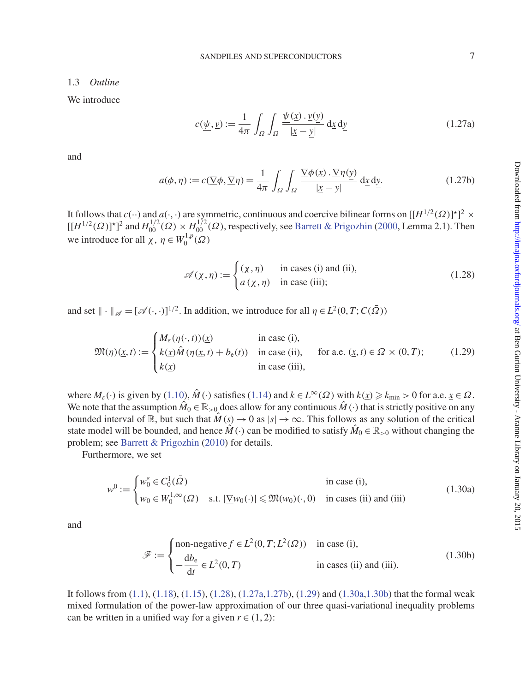#### 1.3 *Outline*

We introduce

<span id="page-6-1"></span>
$$
c(\underline{\psi}, \underline{v}) := \frac{1}{4\pi} \int_{\Omega} \int_{\Omega} \frac{\underline{\psi}(\underline{x}) \cdot \underline{v}(\underline{v})}{|\underline{x} - \underline{v}|} d\underline{x} d\underline{v}
$$
(1.27a)

and

<span id="page-6-2"></span>
$$
a(\phi, \eta) := c(\underline{\nabla}\phi, \underline{\nabla}\eta) = \frac{1}{4\pi} \int_{\Omega} \int_{\Omega} \frac{\underline{\nabla}\phi(\underline{x}) \cdot \underline{\nabla}\eta(\underline{y})}{|\underline{x} - \underline{y}|} d\underline{x} d\underline{y}.
$$
 (1.27b)

It follows that  $c(\cdot)$  and  $a(\cdot, \cdot)$  are symmetric, continuous and coercive bilinear forms on  $[[H^{1/2}(\Omega)]^{\star}]^2 \times$  $[[H^{1/2}(\Omega)]^*]^2$  and  $H^{1/2}_{00}(\Omega) \times H^{1/2}_{00}(\Omega)$ , respectively, see [Barrett & Prigozhin](#page-36-1) [\(2000,](#page-36-1) Lemma 2.1). Then we introduce for all  $\chi$ ,  $\eta \in W_0^{1,p}(\Omega)$ 

<span id="page-6-0"></span>
$$
\mathscr{A}(\chi,\eta) := \begin{cases} (\chi,\eta) & \text{in cases (i) and (ii)}, \\ a(\chi,\eta) & \text{in case (iii)}; \end{cases}
$$
 (1.28)

and set  $\|\cdot\|_{\mathscr{A}} = [\mathscr{A}(\cdot, \cdot)]^{1/2}$ . In addition, we introduce for all  $\eta \in L^2(0, T; C(\overline{\Omega}))$ 

<span id="page-6-3"></span>
$$
\mathfrak{M}(\eta)(\underline{x},t) := \begin{cases} M_{\varepsilon}(\eta(\cdot,t))(\underline{x}) & \text{in case (i),} \\ k(\underline{x})\hat{M}(\eta(\underline{x},t) + b_{\varepsilon}(t)) & \text{in case (ii),} \\ k(\underline{x}) & \text{in case (iii),} \end{cases} \quad \text{for a.e. } (\underline{x},t) \in \Omega \times (0,T); \tag{1.29}
$$

where  $M_{\varepsilon}(\cdot)$  is given by [\(1.10\)](#page-2-1),  $\hat{M}(\cdot)$  satisfies [\(1.14\)](#page-3-3) and  $k \in L^{\infty}(\Omega)$  with  $k(x) \ge k_{\min} > 0$  for a.e.  $x \in \Omega$ . We note that the assumption  $\hat{M}_0 \in \mathbb{R}_{>0}$  does allow for any continuous  $\hat{M}(\cdot)$  that is strictly positive on any bounded interval of  $\mathbb{R}$ , but such that  $\hat{M}(s) \to 0$  as  $|s| \to \infty$ . This follows as any solution of the critical state model will be bounded, and hence  $\hat{M}(\cdot)$  can be modified to satisfy  $\hat{M}_0 \in \mathbb{R}_{>0}$  without changing the problem; see [Barrett & Prigozhin](#page-37-0) [\(2010](#page-37-0)) for details.

Furthermore, we set

<span id="page-6-4"></span>
$$
w^{0} := \begin{cases} w_{0}^{\varepsilon} \in C_{0}^{1}(\bar{\Omega}) & \text{in case (i),} \\ w_{0} \in W_{0}^{1,\infty}(\Omega) & \text{s.t. } |\underline{\nabla}w_{0}(\cdot)| \leq \mathfrak{M}(w_{0})(\cdot,0) & \text{in cases (ii) and (iii)} \end{cases}
$$
(1.30a)

and

<span id="page-6-5"></span>
$$
\mathcal{F} := \begin{cases}\n\text{non-negative } f \in L^2(0, T; L^2(\Omega)) & \text{in case (i)}, \\
-\frac{db_e}{dt} \in L^2(0, T) & \text{in cases (ii) and (iii)}.\n\end{cases}
$$
\n(1.30b)

It follows from [\(1.1\)](#page-1-2), [\(1.18\)](#page-4-2), [\(1.15\)](#page-3-2), [\(1.28\)](#page-6-0), [\(1.27a](#page-6-1)[,1.27b\)](#page-6-2), [\(1.29\)](#page-6-3) and [\(1.30a](#page-6-4)[,1.30b\)](#page-6-5) that the formal weak mixed formulation of the power-law approximation of our three quasi-variational inequality problems can be written in a unified way for a given  $r \in (1, 2)$ :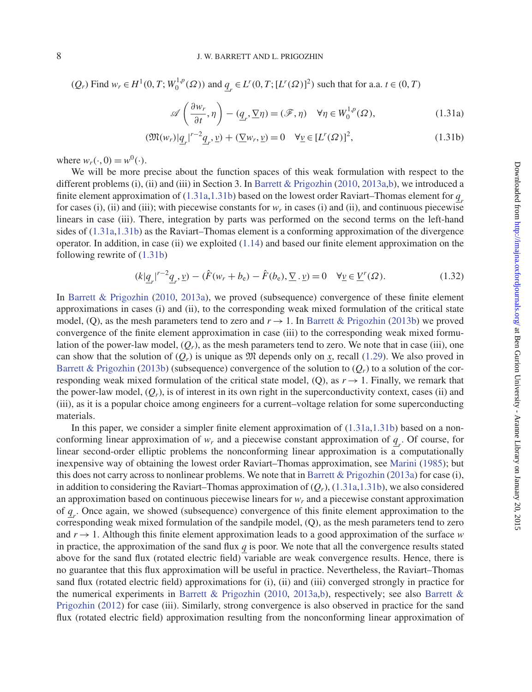$(Q_r)$  Find  $w_r \in H^1(0, T; W_0^{1,p}(\Omega))$  and  $q_r \in L^r(0, T; [L^r(\Omega)]^2)$  such that for a.a.  $t \in (0, T)$ 

<span id="page-7-1"></span><span id="page-7-0"></span>
$$
\mathscr{A}\left(\frac{\partial w_r}{\partial t},\eta\right) - (\underline{q}_r, \underline{\nabla}\eta) = (\mathscr{F}, \eta) \quad \forall \eta \in W_0^{1,p}(\Omega),\tag{1.31a}
$$

$$
(\mathfrak{M}(w_r)|_{\underline{q}_r}|^{r-2}\underline{q}_r,\underline{v}) + (\underline{\nabla}w_r,\underline{v}) = 0 \quad \forall \underline{v} \in [L^r(\Omega)]^2,\tag{1.31b}
$$

where  $w_r(\cdot, 0) = w^0(\cdot)$ .

We will be more precise about the function spaces of this weak formulation with respect to the different problems (i), (ii) and (iii) in Section 3. In [Barrett & Prigozhin](#page-37-0) [\(2010](#page-37-0), [2013a](#page-37-1)[,b\)](#page-37-2), we introduced a finite element approximation of [\(1.31a](#page-7-0)[,1.31b\)](#page-7-1) based on the lowest order Raviart–Thomas element for *qr* for cases (i), (ii) and (iii); with piecewise constants for  $w_r$  in cases (i) and (ii), and continuous piecewise linears in case (iii). There, integration by parts was performed on the second terms on the left-hand sides of [\(1.31a,](#page-7-0)[1.31b\)](#page-7-1) as the Raviart–Thomas element is a conforming approximation of the divergence operator. In addition, in case (ii) we exploited  $(1.14)$  and based our finite element approximation on the following rewrite of [\(1.31b\)](#page-7-1)

<span id="page-7-2"></span>
$$
(k|\underline{q}_r|^{r-2}\underline{q}_r, \underline{v}) - (\hat{F}(w_r + b_e) - \hat{F}(b_e), \underline{\nabla} \cdot \underline{v}) = 0 \quad \forall \underline{v} \in \underline{V}^r(\Omega). \tag{1.32}
$$

In [Barrett & Prigozhin](#page-37-0) [\(2010](#page-37-0), [2013a\)](#page-37-1), we proved (subsequence) convergence of these finite element approximations in cases (i) and (ii), to the corresponding weak mixed formulation of the critical state model, (Q), as the mesh parameters tend to zero and  $r \rightarrow 1$ . In [Barrett & Prigozhin](#page-37-2) [\(2013b](#page-37-2)) we proved convergence of the finite element approximation in case (iii) to the corresponding weak mixed formulation of the power-law model,  $(Q_r)$ , as the mesh parameters tend to zero. We note that in case (iii), one can show that the solution of  $(Q_r)$  is unique as  $\mathfrak{M}$  depends only on x, recall [\(1.29\)](#page-6-3). We also proved in [Barrett & Prigozhin](#page-37-2) [\(2013b\)](#page-37-2) (subsequence) convergence of the solution to  $(Q_r)$  to a solution of the corresponding weak mixed formulation of the critical state model, (Q), as  $r \rightarrow 1$ . Finally, we remark that the power-law model,  $(Q_r)$ , is of interest in its own right in the superconductivity context, cases (ii) and (iii), as it is a popular choice among engineers for a current–voltage relation for some superconducting materials.

In this paper, we consider a simpler finite element approximation of [\(1.31a,](#page-7-0)[1.31b\)](#page-7-1) based on a nonconforming linear approximation of  $w_r$  and a piecewise constant approximation of  $q_r$ . Of course, for linear second-order elliptic problems the nonconforming linear approximation is a computationally inexpensive way of obtaining the lowest order Raviart–Thomas approximation, see [Marini](#page-37-15) [\(1985\)](#page-37-15); but this does not carry across to nonlinear problems. We note that in [Barrett & Prigozhin](#page-37-1) [\(2013a](#page-37-1)) for case (i), in addition to considering the Raviart–Thomas approximation of  $(Q_r)$ , [\(1.31a,](#page-7-0)[1.31b\)](#page-7-1), we also considered an approximation based on continuous piecewise linears for *wr* and a piecewise constant approximation of  $q_r$ . Once again, we showed (subsequence) convergence of this finite element approximation to the corresponding weak mixed formulation of the sandpile model, (Q), as the mesh parameters tend to zero and  $r \rightarrow 1$ . Although this finite element approximation leads to a good approximation of the surface *w* in practice, the approximation of the sand flux  $q$  is poor. We note that all the convergence results stated above for the sand flux (rotated electric field) variable are weak convergence results. Hence, there is no guarantee that this flux approximation will be useful in practice. Nevertheless, the Raviart–Thomas sand flux (rotated electric field) approximations for (i), (ii) and (iii) converged strongly in practice for the numerical experiments in [Barrett & Prigozhin](#page-37-0) [\(2010](#page-37-0), [2013a](#page-37-1)[,b](#page-37-2)[\), respectively; see also](#page-37-16) Barrett & Prigozhin [\(2012\)](#page-37-16) for case (iii). Similarly, strong convergence is also observed in practice for the sand flux (rotated electric field) approximation resulting from the nonconforming linear approximation of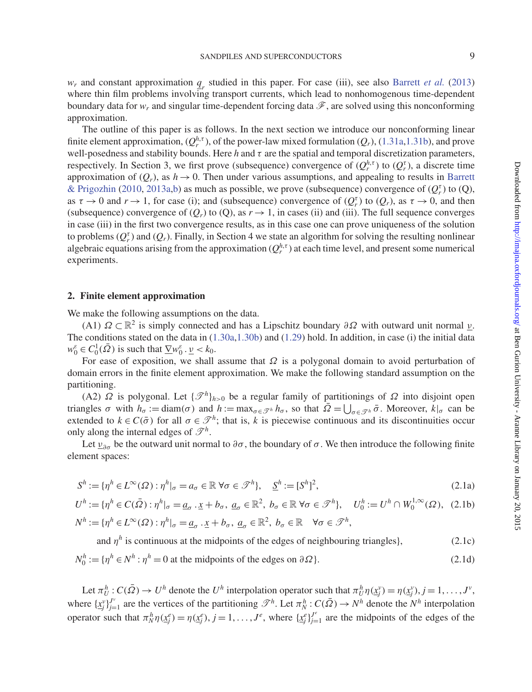*wr* and constant approximation *qr* studied in this paper. For case (iii), see also [Barrett](#page-37-17) *et al.* [\(2013](#page-37-17)) where thin film problems involving transport currents, which lead to nonhomogenous time-dependent boundary data for  $w_r$  and singular time-dependent forcing data  $\mathscr F$ , are solved using this nonconforming approximation.

The outline of this paper is as follows. In the next section we introduce our nonconforming linear finite element approximation,  $(Q_r^{h,\tau})$ , of the power-law mixed formulation  $(Q_r)$ , [\(1.31a](#page-7-0)[,1.31b\)](#page-7-1), and prove well-posedness and stability bounds. Here *h* and τ are the spatial and temporal discretization parameters, respectively. In Section 3, we first prove (subsequence) convergence of  $(Q_r^{h,\tau})$  to  $(Q_r^{\tau})$ , a discrete time approximation of  $(Q_r)$ , as  $h \to 0$ . Then under various assumptions, and appealing to results in Barrett & Prigozhin [\(2010,](#page-37-0) [2013a](#page-37-1)[,b](#page-37-2)) as much as possible, we prove (subsequence) convergence of  $(Q_r^{\tau})$  to  $(Q)$ , as  $\tau \to 0$  and  $r \to 1$ , for case (i); and (subsequence) convergence of  $(Q_r^{\tau})$  to  $(Q_r)$ , as  $\tau \to 0$ , and then (subsequence) convergence of  $(Q_r)$  to  $(Q)$ , as  $r \to 1$ , in cases (ii) and (iii). The full sequence converges in case (iii) in the first two convergence results, as in this case one can prove uniqueness of the solution to problems  $(Q_r^{\tau})$  and  $(Q_r)$ . Finally, in Section 4 we state an algorithm for solving the resulting nonlinear algebraic equations arising from the approximation  $(Q_r^{h,\tau})$  at each time level, and present some numerical experiments.

### **2. Finite element approximation**

We make the following assumptions on the data.

(A1)  $\Omega \subset \mathbb{R}^2$  is simply connected and has a Lipschitz boundary  $\partial \Omega$  with outward unit normal  $\nu$ . The conditions stated on the data in [\(1.30a,](#page-6-4)[1.30b\)](#page-6-5) and [\(1.29\)](#page-6-3) hold. In addition, in case (i) the initial data  $w_0^{\varepsilon} \in C_0^1(\bar{\Omega})$  is such that  $\underline{\nabla} w_0^{\varepsilon} \cdot \underline{\nu} < k_0$ .

For ease of exposition, we shall assume that  $\Omega$  is a polygonal domain to avoid perturbation of domain errors in the finite element approximation. We make the following standard assumption on the partitioning.

(A2)  $\Omega$  is polygonal. Let  $\{\mathcal{I}^h\}_{h>0}$  be a regular family of partitionings of  $\Omega$  into disjoint open triangles  $\sigma$  with  $h_{\sigma} := \text{diam}(\sigma)$  and  $h := \max_{\sigma \in \mathcal{F}^h} h_{\sigma}$ , so that  $\overline{\Omega} = \bigcup_{\sigma \in \mathcal{F}^h} \overline{\sigma}$ . Moreover,  $k|_{\sigma}$  can be extended to  $k \in C(\bar{\sigma})$  for all  $\sigma \in \mathcal{P}^h$ ; that is, *k* is piecewise continuous and its discontinuities occur only along the internal edges of  $\mathscr{T}^h$ .

Let  $\underline{v}_{\partial\sigma}$  be the outward unit normal to  $\partial\sigma$ , the boundary of  $\sigma$ . We then introduce the following finite element spaces:

$$
S^h := \{ \eta^h \in L^{\infty}(\Omega) : \eta^h|_{\sigma} = a_{\sigma} \in \mathbb{R} \,\forall \sigma \in \mathcal{I}^h \}, \quad \underline{S}^h := [S^h]^2,
$$
\n
$$
(2.1a)
$$

$$
U^h := \{ \eta^h \in C(\bar{\Omega}) : \eta^h|_{\sigma} = \underline{a}_{\sigma} \cdot \underline{x} + b_{\sigma}, \ \underline{a}_{\sigma} \in \mathbb{R}^2, \ b_{\sigma} \in \mathbb{R} \ \forall \sigma \in \mathcal{I}^h \}, \quad U_0^h := U^h \cap W_0^{1, \infty}(\Omega), \tag{2.1b}
$$

$$
N^h := \{ \eta^h \in L^{\infty}(\Omega) : \eta^h|_{\sigma} = \underline{a}_{\sigma} \cdot \underline{x} + b_{\sigma}, \ \underline{a}_{\sigma} \in \mathbb{R}^2, \ b_{\sigma} \in \mathbb{R} \quad \forall \sigma \in \mathcal{I}^h,
$$

and 
$$
\eta^h
$$
 is continuous at the midpoints of the edges of neighbouring triangles
$$
N_0^h := \{ \eta^h \in N^h : \eta^h = 0 \text{ at the midpoints of the edges on } \partial \Omega \}. \tag{2.1d}
$$

Let  $\pi_U^h$ :  $C(\bar{\Omega}) \to U^h$  denote the  $U^h$  interpolation operator such that  $\pi_U^h \eta(\underline{x}_j^v) = \eta(\underline{x}_j^v), j = 1, \ldots, J^v$ , where  $\{x_j^v\}_{j=1}^{J^v}$  are the vertices of the partitioning  $\mathscr{T}^h$ . Let  $\pi_N^h : C(\bar{\Omega}) \to N^h$  denote the  $N^h$  interpolation operator such that  $\pi_N^h \eta(\underline{x}_j^e) = \eta(\underline{x}_j^e), j = 1, \ldots, J^e$ , where  $\{\underline{x}_j^e\}_{j=1}^{J^e}$  are the midpoints of the edges of the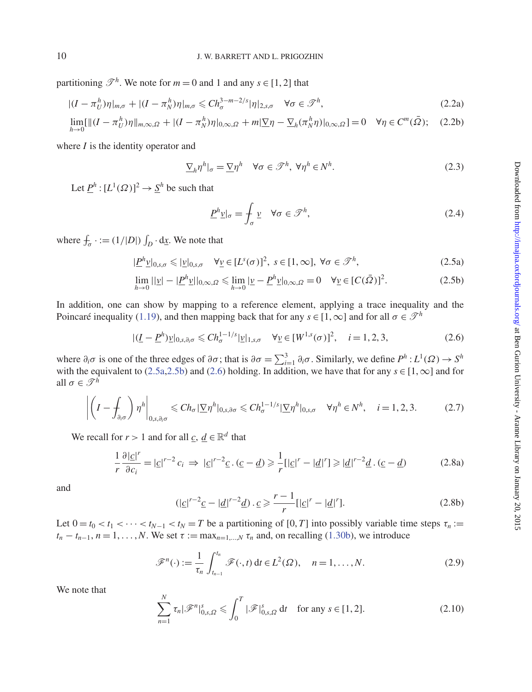partitioning  $\mathscr{T}^h$ . We note for  $m = 0$  and 1 and any  $s \in [1, 2]$  that

$$
|(I - \pi_U^h)\eta|_{m,\sigma} + |(I - \pi_N^h)\eta|_{m,\sigma} \leq C h_{\sigma}^{3-m-2/s} |\eta|_{2,s,\sigma} \quad \forall \sigma \in \mathcal{F}^h,
$$
\n(2.2a)

$$
\lim_{h \to 0} [\|(I - \pi_U^h)\eta\|_{m, \infty, \Omega} + |(I - \pi_N^h)\eta|_{0, \infty, \Omega} + m|\nabla \eta - \nabla_h(\pi_N^h \eta)|_{0, \infty, \Omega}] = 0 \quad \forall \eta \in C^m(\bar{\Omega}); \quad (2.2b)
$$

where *I* is the identity operator and

$$
\sum_{h} \eta^{h} \big|_{\sigma} = \sum_{h} \eta^{h} \quad \forall \sigma \in \mathcal{I}^{h}, \ \forall \eta^{h} \in N^{h}.
$$

Let  $\underline{P}^h : [L^1(\Omega)]^2 \to \underline{S}^h$  be such that

<span id="page-9-10"></span><span id="page-9-6"></span><span id="page-9-3"></span><span id="page-9-1"></span><span id="page-9-0"></span>
$$
\underline{P}^h \underline{v}|_{\sigma} = \oint_{\sigma} \underline{v} \quad \forall \sigma \in \mathcal{F}^h,
$$
\n(2.4)

where  $f_{\sigma}$  · := (1/|*D*|)  $\int_D \cdot \mathrm{d}\underline{x}$ . We note that

$$
|\underline{P}^{h}\underline{v}|_{0,s,\sigma} \leqslant |\underline{v}|_{0,s,\sigma} \quad \forall \underline{v} \in [L^{s}(\sigma)]^{2}, \ s \in [1,\infty], \ \forall \sigma \in \mathcal{F}^{h}, \tag{2.5a}
$$

$$
\lim_{h \to 0} ||\underline{v}| - |\underline{P}^h \underline{v}||_{0,\infty,\Omega} \le \lim_{h \to 0} |\underline{v} - \underline{P}^h \underline{v}|_{0,\infty,\Omega} = 0 \quad \forall \underline{v} \in [C(\bar{\Omega})]^2.
$$
\n(2.5b)

In addition, one can show by mapping to a reference element, applying a trace inequality and the Poincaré inequality [\(1.19\)](#page-4-3), and then mapping back that for any  $s \in [1,\infty]$  and for all  $\sigma \in \mathcal{T}^h$ 

<span id="page-9-2"></span>
$$
|(\underline{I} - \underline{P}^h)\underline{v}|_{0,s,\partial_i \sigma} \le C h_{\sigma}^{1-1/s} |\underline{v}|_{1,s,\sigma} \quad \forall \underline{v} \in [W^{1,s}(\sigma)]^2, \quad i = 1,2,3,
$$
 (2.6)

where  $\partial_i \sigma$  is one of the three edges of  $\partial \sigma$ ; that is  $\partial \sigma = \sum_{i=1}^3 \partial_i \sigma$ . Similarly, we define  $P^h: L^1(\Omega) \to S^h$ with the equivalent to [\(2.5a](#page-9-0)[,2.5b\)](#page-9-1) and [\(2.6\)](#page-9-2) holding. In addition, we have that for any  $s \in [1,\infty]$  and for all  $\sigma \in \mathcal{T}^h$ 

<span id="page-9-5"></span>
$$
\left| \left( I - \int_{\partial_i \sigma} \right) \eta^h \right|_{0, s, \partial_i \sigma} \leq C h_{\sigma} \left| \nabla \eta^h \right|_{0, s, \partial \sigma} \leq C h_{\sigma}^{1 - 1/s} \left| \nabla \eta^h \right|_{0, s, \sigma} \quad \forall \eta^h \in N^h, \quad i = 1, 2, 3. \tag{2.7}
$$

We recall for *r* > 1 and for all  $c, d \in \mathbb{R}^d$  that

<span id="page-9-7"></span>
$$
\frac{1}{r}\frac{\partial |\underline{c}|^r}{\partial c_i} = |\underline{c}|^{r-2} c_i \implies |\underline{c}|^{r-2} \underline{c} \cdot (\underline{c} - \underline{d}) \geq \frac{1}{r} [|\underline{c}|^r - |\underline{d}|^r] \geq |\underline{d}|^{r-2} \underline{d} \cdot (\underline{c} - \underline{d})
$$
\n(2.8a)

and

<span id="page-9-9"></span>
$$
(|\underline{c}|^{r-2}\underline{c}-|\underline{d}|^{r-2}\underline{d}) \cdot \underline{c} \ge \frac{r-1}{r} [|\underline{c}|^r - |\underline{d}|^r]. \tag{2.8b}
$$

Let  $0 = t_0 < t_1 < \cdots < t_{N-1} < t_N = T$  be a partitioning of [0, *T*] into possibly variable time steps  $\tau_n :=$  $t_n - t_{n-1}, n = 1, \ldots, N$ . We set  $\tau := \max_{n=1,\ldots,N} \tau_n$  and, on recalling [\(1.30b\)](#page-6-5), we introduce

<span id="page-9-8"></span>
$$
\mathscr{F}^n(\cdot) := \frac{1}{\tau_n} \int_{t_{n-1}}^{t_n} \mathscr{F}(\cdot, t) dt \in L^2(\Omega), \quad n = 1, \dots, N.
$$
 (2.9)

We note that

<span id="page-9-4"></span>
$$
\sum_{n=1}^{N} \tau_n |\mathcal{F}^n|_{0,s,\Omega}^s \leq \int_0^T |\mathcal{F}|_{0,s,\Omega}^s dt \quad \text{for any } s \in [1,2].
$$
 (2.10)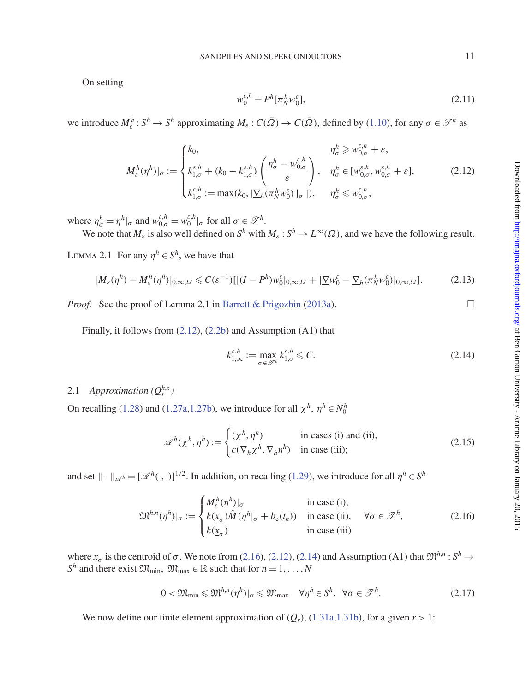On setting

<span id="page-10-6"></span>
$$
w_0^{\varepsilon, h} = P^h[\pi_N^h w_0^{\varepsilon}], \tag{2.11}
$$

we introduce  $M^h_\varepsilon: S^h \to S^h$  approximating  $M_\varepsilon: C(\bar{\Omega}) \to C(\bar{\Omega})$ , defined by [\(1.10\)](#page-2-1), for any  $\sigma \in \mathcal{T}^h$  as

<span id="page-10-0"></span>
$$
M_{\varepsilon}^{h}(\eta^{h})|_{\sigma} := \begin{cases} k_{0}, & \eta_{\sigma}^{h} \geq w_{0,\sigma}^{\varepsilon,h} + \varepsilon, \\ k_{1,\sigma}^{\varepsilon,h} + (k_{0} - k_{1,\sigma}^{\varepsilon,h}) \left( \frac{\eta_{\sigma}^{h} - w_{0,\sigma}^{\varepsilon,h}}{\varepsilon} \right), & \eta_{\sigma}^{h} \in [w_{0,\sigma}^{\varepsilon,h}, w_{0,\sigma}^{\varepsilon,h} + \varepsilon], \\ k_{1,\sigma}^{\varepsilon,h} := \max(k_{0}, |\underline{\nabla}_{h}(\pi_{N}^{h}w_{0}^{\varepsilon})|_{\sigma}|), & \eta_{\sigma}^{h} \leq w_{0,\sigma}^{\varepsilon,h}, \end{cases}
$$
(2.12)

where  $\eta_{\sigma}^{h} = \eta^{h}|_{\sigma}$  and  $w_{0,\sigma}^{\varepsilon,h} = w_0^{\varepsilon,h}|_{\sigma}$  for all  $\sigma \in \mathcal{F}^h$ .

We note that  $M_{\varepsilon}$  is also well defined on  $S^h$  with  $M_{\varepsilon}: S^h \to L^{\infty}(\Omega)$ , and we have the following result.

LEMMA 2.1 For any  $\eta^h \in S^h$ , we have that

<span id="page-10-4"></span>
$$
|M_{\varepsilon}(\eta^h) - M_{\varepsilon}^h(\eta^h)|_{0,\infty,\Omega} \leq C(\varepsilon^{-1})[|(I - P^h)w_0^{\varepsilon}|_{0,\infty,\Omega} + |\nabla w_0^{\varepsilon} - \nabla_h(\pi_N^h w_0^{\varepsilon})|_{0,\infty,\Omega}].
$$
 (2.13)

*Proof.* See the proof of Lemma 2.1 in [Barrett & Prigozhin](#page-37-1) [\(2013a](#page-37-1)).

Finally, it follows from [\(2.12\)](#page-10-0), [\(2.2b\)](#page-9-3) and Assumption (A1) that

<span id="page-10-2"></span>
$$
k_{1,\infty}^{\varepsilon,h} := \max_{\sigma \in \mathcal{P}^h} k_{1,\sigma}^{\varepsilon,h} \leqslant C. \tag{2.14}
$$

# 2.1 *Approximation*  $(Q_r^{h,\tau})$

On recalling [\(1.28\)](#page-6-0) and [\(1.27a,](#page-6-1)[1.27b\)](#page-6-2), we introduce for all  $\chi^h$ ,  $\eta^h \in N_0^h$ 

<span id="page-10-5"></span>
$$
\mathscr{A}^h(\chi^h, \eta^h) := \begin{cases} (\chi^h, \eta^h) & \text{in cases (i) and (ii)}, \\ c(\underline{\nabla}_h \chi^h, \underline{\nabla}_h \eta^h) & \text{in case (iii)}; \end{cases}
$$
(2.15)

and set  $\| \cdot \|_{\mathscr{A}^h} = [\mathscr{A}^h(\cdot, \cdot)]^{1/2}$ . In addition, on recalling [\(1.29\)](#page-6-3), we introduce for all  $\eta^h \in S^h$ 

<span id="page-10-1"></span>
$$
\mathfrak{M}^{h,n}(\eta^h)|_{\sigma} := \begin{cases} M_{\varepsilon}^h(\eta^h)|_{\sigma} & \text{in case (i),} \\ k(\underline{x}_{\sigma})\hat{M}(\eta^h|_{\sigma} + b_{\varepsilon}(t_n)) & \text{in case (ii),} \quad \forall \sigma \in \mathcal{F}^h, \\ k(\underline{x}_{\sigma}) & \text{in case (iii)} \end{cases}
$$
(2.16)

where  $x_{\sigma}$  is the centroid of  $\sigma$ . We note from [\(2.16\)](#page-10-1), [\(2.12\)](#page-10-0), [\(2.14\)](#page-10-2) and Assumption (A1) that  $\mathfrak{M}^{h,n}$ :  $S^h \to$ *S*<sup>*h*</sup> and there exist  $\mathfrak{M}_{\text{min}}$ ,  $\mathfrak{M}_{\text{max}} \in \mathbb{R}$  such that for  $n = 1, ..., N$ 

<span id="page-10-3"></span>
$$
0 < \mathfrak{M}_{\min} \leq \mathfrak{M}^{h,n}(\eta^h)|_{\sigma} \leq \mathfrak{M}_{\max} \quad \forall \eta^h \in S^h, \ \forall \sigma \in \mathcal{F}^h. \tag{2.17}
$$

We now define our finite element approximation of  $(Q_r)$ ,  $(1.31a,1.31b)$  $(1.31a,1.31b)$ , for a given  $r > 1$ :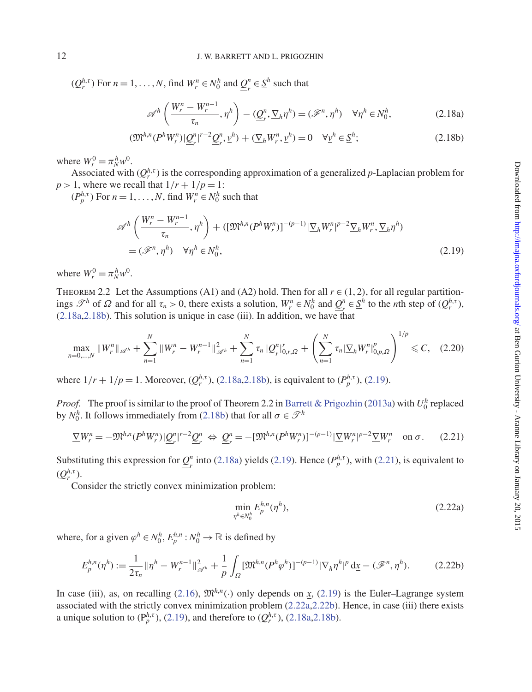$(Q_r^{h,\tau})$  For  $n = 1, ..., N$ , find  $W_r^n \in N_0^h$  and  $\underline{Q}_r^n \in \underline{S}^h$  such that

<span id="page-11-1"></span><span id="page-11-0"></span>
$$
\mathscr{A}^h\left(\frac{W_r^n - W_r^{n-1}}{\tau_n}, \eta^h\right) - (\underline{\mathcal{Q}}_r^n, \underline{\nabla}_h \eta^h) = (\mathscr{F}^n, \eta^h) \quad \forall \eta^h \in N_0^h,
$$
\n(2.18a)

$$
(\mathfrak{M}^{h,n}(P^h W_r^n)|\underline{Q}_r^n|^{r-2}\underline{Q}_r^n, \underline{v}^h) + (\underline{\nabla}_h W_r^n, \underline{v}^h) = 0 \quad \forall \underline{v}^h \in \underline{S}^h; \tag{2.18b}
$$

where  $W_r^0 = \pi_N^h w^0$ .

Associated with  $(Q_r^{h,\tau})$  is the corresponding approximation of a generalized *p*-Laplacian problem for  $p > 1$ , where we recall that  $1/r + 1/p = 1$ :

 $(P_p^{h,\tau})$  For  $n = 1, \ldots, N$ , find  $W_r^n \in N_0^h$  such that

<span id="page-11-2"></span>
$$
\begin{split} \mathscr{A}^h \left( \frac{W_r^n - W_r^{n-1}}{\tau_n}, \eta^h \right) + \left( [\mathfrak{M}^{h,n}(P^h W_r^n)]^{-(p-1)} |\Sigma_h W_r^n|^{p-2} \Sigma_h W_r^n, \Sigma_h \eta^h \right) \\ = (\mathscr{F}^n, \eta^h) \quad \forall \eta^h \in N_0^h, \end{split} \tag{2.19}
$$

where  $W_r^0 = \pi_N^h w^0$ .

THEOREM 2.2 Let the Assumptions (A1) and (A2) hold. Then for all  $r \in (1, 2)$ , for all regular partitionings  $\mathcal{F}^h$  of  $\Omega$  and for all  $\tau_n > 0$ , there exists a solution,  $W_r^n \in N_0^h$  and  $\underline{Q}_r^n \in \underline{S}^h$  to the *n*th step of  $(Q_r^{h,\tau})$ ,  $(2.18a, 2.18b)$  $(2.18a, 2.18b)$  $(2.18a, 2.18b)$ . This solution is unique in case (iii). In addition, we have that

<span id="page-11-6"></span>
$$
\max_{n=0,\dots,N} \|W_r^n\|_{\mathscr{A}^h} + \sum_{n=1}^N \|W_r^n - W_r^{n-1}\|_{\mathscr{A}^h}^2 + \sum_{n=1}^N \tau_n \|\underline{Q}_r^n\|_{0,r,\Omega}^r + \left(\sum_{n=1}^N \tau_n |\nabla_h W_r^n|_{0,p,\Omega}^p\right)^{1/p} \leq C,\quad(2.20)
$$

where  $1/r + 1/p = 1$ . Moreover,  $(Q_r^{h,\tau})$ , [\(2.18a](#page-11-0), 2.18b), is equivalent to  $(P_p^{h,\tau})$ , [\(2.19\)](#page-11-2).

*Proof.* The proof is similar to the proof of Theorem 2.2 in [Barrett & Prigozhin](#page-37-1) [\(2013a\)](#page-37-1) with  $U_0^h$  replaced by  $N_0^h$ . It follows immediately from [\(2.18b\)](#page-11-1) that for all  $\sigma \in \mathcal{I}^h$ 

<span id="page-11-3"></span>
$$
\underline{\nabla}W_r^n = -\mathfrak{M}^{h,n}(P^hW_r^n)|\underline{Q}_r^n|^{r-2}\underline{Q}_r^n \Leftrightarrow \underline{Q}_r^n = -[\mathfrak{M}^{h,n}(P^hW_r^n)]^{-(p-1)}|\underline{\nabla}W_r^n|^{p-2}\underline{\nabla}W_r^n \quad \text{on } \sigma. \tag{2.21}
$$

Substituting this expression for  $\underline{\mathcal{Q}}_r^n$  into [\(2.18a\)](#page-11-0) yields [\(2.19\)](#page-11-2). Hence  $(P_p^{h,\tau})$ , with [\(2.21\)](#page-11-3), is equivalent to  $(Q_r^{h,\tau}).$ 

Consider the strictly convex minimization problem:

<span id="page-11-4"></span>
$$
\min_{\eta^h \in N_0^h} E_p^{h,n}(\eta^h),\tag{2.22a}
$$

where, for a given  $\varphi^h \in N_0^h$ ,  $E_p^{h,n}: N_0^h \to \mathbb{R}$  is defined by

<span id="page-11-5"></span>
$$
E_p^{h,n}(\eta^h) := \frac{1}{2\tau_n} \|\eta^h - W_r^{n-1}\|_{\mathscr{A}^h}^2 + \frac{1}{p} \int_{\Omega} [\mathfrak{M}^{h,n}(P^h\varphi^h)]^{-(p-1)} |\nabla_h \eta^h|^p \, \mathrm{d}\underline{x} - (\mathscr{F}^n, \eta^h). \tag{2.22b}
$$

In case (iii), as, on recalling [\(2.16\)](#page-10-1),  $\mathfrak{M}^{h,n}(\cdot)$  only depends on *x*, [\(2.19\)](#page-11-2) is the Euler–Lagrange system associated with the strictly convex minimization problem [\(2.22a,](#page-11-4)[2.22b\)](#page-11-5). Hence, in case (iii) there exists a unique solution to  $(P_p^{h,\tau})$ , [\(2.19\)](#page-11-2), and therefore to  $(Q_r^{h,\tau})$ , [\(2.18a,](#page-11-0)[2.18b\)](#page-11-1).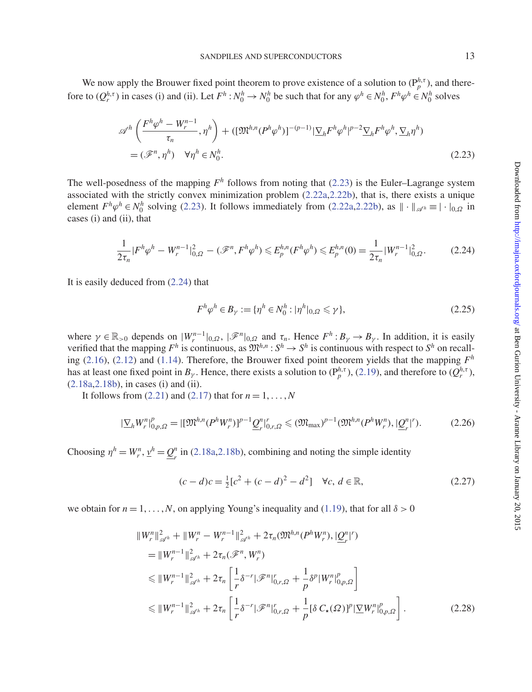We now apply the Brouwer fixed point theorem to prove existence of a solution to  $(P_p^{h,\tau})$ , and therefore to  $(Q_r^{h,\tau})$  in cases (i) and (ii). Let  $F^h: N_0^h \to N_0^h$  be such that for any  $\varphi^h \in N_0^h$ ,  $F^h \varphi^h \in N_0^h$  solves

$$
\begin{split} \mathscr{A}^{h} \left( \frac{F^{h} \varphi^{h} - W_{r}^{n-1}}{\tau_{n}}, \eta^{h} \right) + \left( [\mathfrak{M}^{h,n} (P^{h} \varphi^{h})]^{-(p-1)} |\Sigma_{h} F^{h} \varphi^{h}|^{p-2} \Sigma_{h} F^{h} \varphi^{h}, \Sigma_{h} \eta^{h} \right) \\ = (\mathscr{F}^{n}, \eta^{h}) \quad \forall \eta^{h} \in \mathcal{N}_{0}^{h}. \end{split} \tag{2.23}
$$

The well-posedness of the mapping  $F^h$  follows from noting that [\(2.23\)](#page-12-0) is the Euler–Lagrange system associated with the strictly convex minimization problem [\(2.22a,](#page-11-4)[2.22b\)](#page-11-5), that is, there exists a unique element  $F^h\varphi^h \in N_0^h$  solving [\(2.23\)](#page-12-0). It follows immediately from [\(2.22a,](#page-11-4)[2.22b\)](#page-11-5), as  $\|\cdot\|_{\mathscr{A}^h} \equiv |\cdot|_{0,\Omega}$  in cases (i) and (ii), that

<span id="page-12-1"></span>
$$
\frac{1}{2\tau_n}|F^h\varphi^h - W_r^{n-1}|_{0,\Omega}^2 - (\mathcal{F}^n, F^h\varphi^h) \le E_p^{h,n}(F^h\varphi^h) \le E_p^{h,n}(0) = \frac{1}{2\tau_n}|W_r^{n-1}|_{0,\Omega}^2. \tag{2.24}
$$

It is easily deduced from [\(2.24\)](#page-12-1) that

<span id="page-12-0"></span>
$$
F^h \varphi^h \in B_{\gamma} := \{ \eta^h \in N_0^h : |\eta^h|_{0,\Omega} \leq \gamma \},\tag{2.25}
$$

where  $\gamma \in \mathbb{R}_{>0}$  depends on  $|W_r^{n-1}|_{0,\Omega}$ ,  $|\mathscr{F}^n|_{0,\Omega}$  and  $\tau_n$ . Hence  $F^h: B_\gamma \to B_\gamma$ . In addition, it is easily verified that the mapping  $F^h$  is continuous, as  $\mathfrak{M}^{h,n}$ :  $S^h \to S^h$  is continuous with respect to  $S^h$  on recalling [\(2.16\)](#page-10-1), [\(2.12\)](#page-10-0) and [\(1.14\)](#page-3-3). Therefore, the Brouwer fixed point theorem yields that the mapping *F<sup>h</sup>* has at least one fixed point in  $B_\gamma$ . Hence, there exists a solution to  $(P_p^{h,\tau})$ , [\(2.19\)](#page-11-2), and therefore to  $(Q_r^{h,\tau})$ , [\(2.18a,](#page-11-0)[2.18b\)](#page-11-1), in cases (i) and (ii).

It follows from  $(2.21)$  and  $(2.17)$  that for  $n = 1, \ldots, N$ 

<span id="page-12-3"></span>
$$
|\nabla_h W_r^n|_{0,p,\Omega}^p = |[\mathfrak{M}^{h,n}(P^h W_r^n)]^{p-1} \underline{Q}_r^n|_{0,r,\Omega}^r \leq (\mathfrak{M}_{\text{max}})^{p-1} (\mathfrak{M}^{h,n}(P^h W_r^n), |\underline{Q}_r^n|^r). \tag{2.26}
$$

Choosing  $\eta^h = W_r^n$ ,  $\underline{v}^h = \underline{Q}_r^n$  in [\(2.18a,](#page-11-0) [2.18b\)](#page-11-1), combining and noting the simple identity

<span id="page-12-2"></span>
$$
(c-d)c = \frac{1}{2}[c^2 + (c-d)^2 - d^2] \quad \forall c, d \in \mathbb{R},
$$
\n(2.27)

we obtain for  $n = 1, ..., N$ , on applying Young's inequality and [\(1.19\)](#page-4-3), that for all  $\delta > 0$ 

$$
\|W_r^n\|_{\mathscr{A}^h}^2 + \|W_r^n - W_r^{n-1}\|_{\mathscr{A}^h}^2 + 2\tau_n(\mathfrak{M}^{h,n}(P^h W_r^n), |\underline{Q}_r^n|^r)
$$
  
\n
$$
= \|W_r^{n-1}\|_{\mathscr{A}^h}^2 + 2\tau_n(\mathscr{F}^n, W_r^n)
$$
  
\n
$$
\leq \|W_r^{n-1}\|_{\mathscr{A}^h}^2 + 2\tau_n \left[ \frac{1}{r} \delta^{-r} |\mathscr{F}^n|_{0,r,\Omega}^r + \frac{1}{p} \delta^p |W_r^n|_{0,p,\Omega}^p \right]
$$
  
\n
$$
\leq \|W_r^{n-1}\|_{\mathscr{A}^h}^2 + 2\tau_n \left[ \frac{1}{r} \delta^{-r} |\mathscr{F}^n|_{0,r,\Omega}^r + \frac{1}{p} [\delta C_\star(\Omega)]^p |\underline{\nabla} W_r^n|_{0,p,\Omega}^p \right].
$$
 (2.28)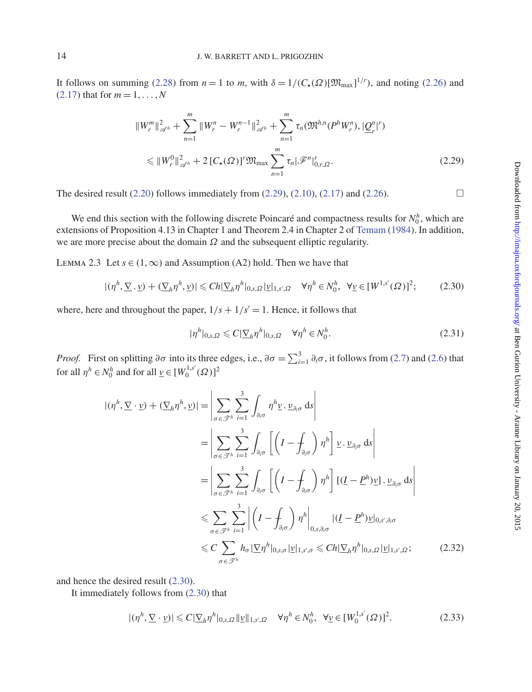It follows on summing [\(2.28\)](#page-12-2) from  $n = 1$  to *m*, with  $\delta = 1/(C_{\star}(\Omega)[\mathfrak{M}_{\text{max}}]^{1/r})$ , and noting [\(2.26\)](#page-12-3) and  $(2.17)$  that for  $m = 1, ..., N$ 

<span id="page-13-0"></span>
$$
||W_r^m||_{\mathscr{A}^h}^2 + \sum_{n=1}^m ||W_r^n - W_r^{n-1}||_{\mathscr{A}^h}^2 + \sum_{n=1}^m \tau_n(\mathfrak{M}^{h,n}(P^h W_r^n), |\underline{Q}_r^n|^r)
$$
  
\$\leq ||W\_r^0||\_{\mathscr{A}^h}^2 + 2 [C\_\*(\Omega)]^r \mathfrak{M}\_{\max} \sum\_{n=1}^m \tau\_n |\mathscr{F}^n|\_{0,r,\Omega}^r. \tag{2.29}

The desired result  $(2.20)$  follows immediately from  $(2.29)$ ,  $(2.10)$ ,  $(2.17)$  and  $(2.26)$ .

We end this section with the following discrete Poincaré and compactness results for  $N_0^h$ , which are extensions of Proposition 4.13 in Chapter 1 and Theorem 2.4 in Chapter 2 of [Temam](#page-37-18) [\(1984](#page-37-18)). In addition, we are more precise about the domain  $\Omega$  and the subsequent elliptic regularity.

LEMMA 2.3 Let  $s \in (1, \infty)$  and Assumption (A2) hold. Then we have that

<span id="page-13-1"></span>
$$
|(\eta^h, \underline{\nabla} \cdot \underline{\nu}) + (\underline{\nabla}_h \eta^h, \underline{\nu})| \le C h |\underline{\nabla}_h \eta^h|_{0,s,\Omega} |\underline{\nu}|_{1,s',\Omega} \quad \forall \eta^h \in N_0^h, \ \forall \underline{\nu} \in [W^{1,s'}(\Omega)]^2; \tag{2.30}
$$

where, here and throughout the paper,  $1/s + 1/s' = 1$ . Hence, it follows that

<span id="page-13-3"></span>
$$
|\eta^h|_{0,s,\Omega} \leqslant C|\underline{\nabla}_h \eta^h|_{0,s,\Omega} \quad \forall \eta^h \in N_0^h. \tag{2.31}
$$

*Proof.* First on splitting  $\partial \sigma$  into its three edges, i.e.,  $\partial \sigma = \sum_{i=1}^{3} \partial_i \sigma$ , it follows from [\(2.7\)](#page-9-5) and [\(2.6\)](#page-9-2) that for all  $\eta^h \in N_0^h$  and for all  $\underline{v} \in [W_0^{1,s'}(\Omega)]^2$ 

$$
|(\eta^h, \nabla \cdot \mathbf{v}) + (\nabla_h \eta^h, \mathbf{v})| = \left| \sum_{\sigma \in \mathcal{F}^h} \sum_{i=1}^3 \int_{\partial_i \sigma} \eta^h \mathbf{v} \cdot \mathbf{v}_{\partial_i \sigma} \, ds \right|
$$
  
\n
$$
= \left| \sum_{\sigma \in \mathcal{F}^h} \sum_{i=1}^3 \int_{\partial_i \sigma} \left[ \left( I - \int_{\partial_i \sigma} \right) \eta^h \right] \mathbf{v} \cdot \mathbf{v}_{\partial_i \sigma} \, ds \right|
$$
  
\n
$$
= \left| \sum_{\sigma \in \mathcal{F}^h} \sum_{i=1}^3 \int_{\partial_i \sigma} \left[ \left( I - \int_{\partial_i \sigma} \right) \eta^h \right] \left[ (I - P^h) \mathbf{v} \right] \cdot \mathbf{v}_{\partial_i \sigma} \, ds \right|
$$
  
\n
$$
\leq \sum_{\sigma \in \mathcal{F}^h} \sum_{i=1}^3 \left| \left( I - \int_{\partial_i \sigma} \right) \eta^h \right|_{0, s, \partial_i \sigma} |(I - P^h) \mathbf{v}|_{0, s', \partial_i \sigma}
$$
  
\n
$$
\leq C \sum_{\sigma \in \mathcal{F}^h} h_{\sigma} |\mathbf{v}|_{0, s, \sigma} |\mathbf{v}|_{1, s', \sigma} \leq Ch |\mathbf{v}|_{h} \eta^h |_{0, s, \Omega} |\mathbf{v}|_{1, s', \Omega}; \qquad (2.32)
$$

and hence the desired result [\(2.30\)](#page-13-1).

It immediately follows from [\(2.30\)](#page-13-1) that

<span id="page-13-2"></span>
$$
|(\eta^h, \underline{\nabla} \cdot \underline{\nu})| \leq C |\underline{\nabla}_h \eta^h|_{0,s,\Omega} \, ||\underline{\nu}||_{1,s',\Omega} \quad \forall \eta^h \in N_0^h, \ \forall \underline{\nu} \in [W_0^{1,s'}(\Omega)]^2. \tag{2.33}
$$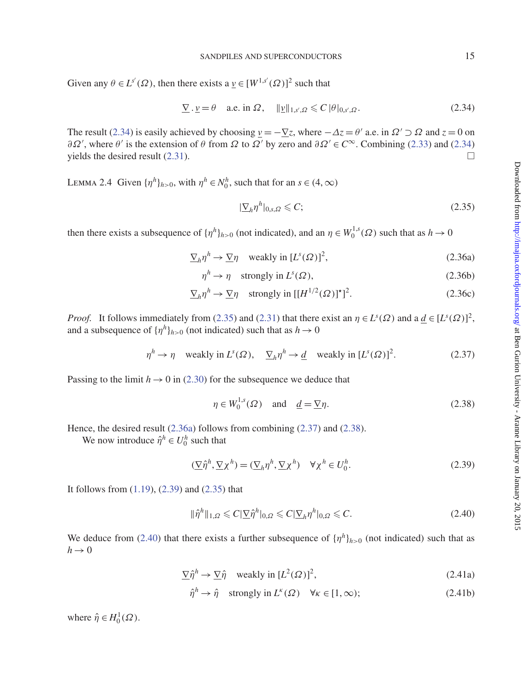Given any  $\theta \in L^{s'}(\Omega)$ , then there exists a  $\underline{v} \in [W^{1,s'}(\Omega)]^2$  such that

<span id="page-14-0"></span>
$$
\underline{\nabla} \cdot \underline{\nu} = \theta \quad \text{a.e. in } \Omega, \quad \|\underline{\nu}\|_{1,s',\Omega} \leqslant C \|\theta\|_{0,s',\Omega}.
$$

The result [\(2.34\)](#page-14-0) is easily achieved by choosing  $\nu = -\nabla z$ , where  $-\Delta z = \theta'$  a.e. in  $\Omega' \supset \Omega$  and  $z = 0$  on  $\partial \Omega'$ , where  $\theta'$  is the extension of  $\theta$  from  $\Omega$  to  $\Omega'$  by zero and  $\partial \Omega' \in C^{\infty}$ . Combining [\(2.33\)](#page-13-2) and [\(2.34\)](#page-14-0) yields the desired result  $(2.31)$ .

LEMMA 2.4 Given  $\{\eta^h\}_{h>0}$ , with  $\eta^h \in N_0^h$ , such that for an  $s \in (4, \infty)$ 

<span id="page-14-9"></span><span id="page-14-7"></span><span id="page-14-2"></span><span id="page-14-1"></span>
$$
|\underline{\nabla}_h \eta^h|_{0,s,\Omega} \leqslant C; \tag{2.35}
$$

then there exists a subsequence of  $\{\eta^h\}_{h>0}$  (not indicated), and an  $\eta \in W_0^{1,s}(\Omega)$  such that as  $h \to 0$ 

$$
\underline{\nabla}_h \eta^h \to \underline{\nabla} \eta \quad \text{weakly in } [L^s(\Omega)]^2,\tag{2.36a}
$$

$$
\eta^h \to \eta \quad \text{strongly in } L^s(\Omega),\tag{2.36b}
$$

$$
\underline{\nabla}_h \eta^h \to \underline{\nabla} \eta \quad \text{strongly in } [[H^{1/2}(\Omega)]^*]^2. \tag{2.36c}
$$

*Proof.* It follows immediately from [\(2.35\)](#page-14-1) and [\(2.31\)](#page-13-3) that there exist an  $\eta \in L^s(\Omega)$  and a  $\underline{d} \in [L^s(\Omega)]^2$ , and a subsequence of  $\{\eta^h\}_{h>0}$  (not indicated) such that as  $h \to 0$ 

<span id="page-14-3"></span>
$$
\eta^h \to \eta \quad \text{weakly in } L^s(\Omega), \quad \underline{\nabla}_h \eta^h \to \underline{d} \quad \text{weakly in } [L^s(\Omega)]^2. \tag{2.37}
$$

Passing to the limit  $h \to 0$  in [\(2.30\)](#page-13-1) for the subsequence we deduce that

<span id="page-14-4"></span>
$$
\eta \in W_0^{1,s}(\Omega) \quad \text{and} \quad \underline{d} = \underline{\nabla} \eta. \tag{2.38}
$$

Hence, the desired result [\(2.36a\)](#page-14-2) follows from combining [\(2.37\)](#page-14-3) and [\(2.38\)](#page-14-4).

We now introduce  $\hat{\eta}^h \in U_0^h$  such that

<span id="page-14-5"></span>
$$
(\underline{\nabla}\hat{\eta}^h, \underline{\nabla}\chi^h) = (\underline{\nabla}_h \eta^h, \underline{\nabla}\chi^h) \quad \forall \chi^h \in U_0^h.
$$
 (2.39)

It follows from [\(1.19\)](#page-4-3), [\(2.39\)](#page-14-5) and [\(2.35\)](#page-14-1) that

<span id="page-14-6"></span>
$$
\|\hat{\eta}^h\|_{1,\Omega} \leqslant C|\underline{\nabla}\hat{\eta}^h|_{0,\Omega} \leqslant C|\underline{\nabla}_h\eta^h|_{0,\Omega} \leqslant C. \tag{2.40}
$$

We deduce from [\(2.40\)](#page-14-6) that there exists a further subsequence of  $\{\eta^h\}_{h>0}$  (not indicated) such that as  $h \rightarrow 0$ 

$$
\nabla \hat{\eta}^h \to \nabla \hat{\eta} \quad \text{weakly in } [L^2(\Omega)]^2,\tag{2.41a}
$$

<span id="page-14-10"></span><span id="page-14-8"></span>
$$
\hat{\eta}^h \to \hat{\eta} \quad \text{strongly in } L^{\kappa}(\Omega) \quad \forall \kappa \in [1, \infty); \tag{2.41b}
$$

where  $\hat{\eta} \in H_0^1(\Omega)$ .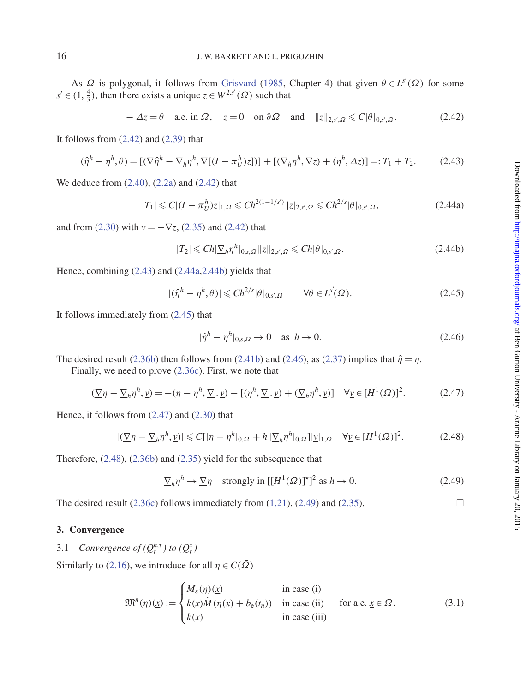As  $\Omega$  is polygonal, it follows from [Grisvard](#page-37-19) [\(1985](#page-37-19), Chapter 4) that given  $\theta \in L^{s'}(\Omega)$  for some  $s' \in (1, \frac{4}{3})$ , then there exists a unique  $z \in W^{2,s'}(\Omega)$  such that

<span id="page-15-0"></span>
$$
-\Delta z = \theta \quad \text{a.e. in } \Omega, \quad z = 0 \quad \text{on } \partial\Omega \quad \text{and} \quad \|z\|_{2,s',\Omega} \leq C|\theta|_{0,s',\Omega}. \tag{2.42}
$$

It follows from  $(2.42)$  and  $(2.39)$  that

<span id="page-15-1"></span>
$$
(\hat{\eta}^h - \eta^h, \theta) = \left[ (\underline{\nabla} \hat{\eta}^h - \underline{\nabla}_h \eta^h, \underline{\nabla} [(I - \pi_U^h) z]) \right] + \left[ (\underline{\nabla}_h \eta^h, \underline{\nabla} z) + (\eta^h, \Delta z) \right] =: T_1 + T_2. \tag{2.43}
$$

We deduce from [\(2.40\)](#page-14-6), [\(2.2a\)](#page-9-6) and [\(2.42\)](#page-15-0) that

<span id="page-15-2"></span>
$$
|T_1| \leqslant C|(I - \pi_U^h)z|_{1,\Omega} \leqslant Ch^{2(1-1/s')} |z|_{2,s',\Omega} \leqslant Ch^{2/s}|\theta|_{0,s',\Omega},\tag{2.44a}
$$

and from [\(2.30\)](#page-13-1) with  $\underline{v} = -\underline{\nabla}z$ , [\(2.35\)](#page-14-1) and [\(2.42\)](#page-15-0) that

<span id="page-15-3"></span>
$$
|T_2| \leq C h |\Sigma_h \eta^h|_{0,s,\Omega} \|z\|_{2,s',\Omega} \leq C h |\theta|_{0,s',\Omega}.
$$
 (2.44b)

Hence, combining [\(2.43\)](#page-15-1) and [\(2.44a,](#page-15-2)[2.44b\)](#page-15-3) yields that

<span id="page-15-4"></span>
$$
|(\hat{\eta}^h - \eta^h, \theta)| \leq C h^{2/s} |\theta|_{0, s', \Omega} \qquad \forall \theta \in L^{s'}(\Omega). \tag{2.45}
$$

It follows immediately from [\(2.45\)](#page-15-4) that

<span id="page-15-5"></span>
$$
|\hat{\eta}^h - \eta^h|_{0,s,\Omega} \to 0 \quad \text{as } h \to 0. \tag{2.46}
$$

The desired result [\(2.36b\)](#page-14-7) then follows from [\(2.41b\)](#page-14-8) and [\(2.46\)](#page-15-5), as [\(2.37\)](#page-14-3) implies that  $\hat{\eta} = \eta$ .

Finally, we need to prove [\(2.36c\)](#page-14-9). First, we note that

<span id="page-15-6"></span>
$$
(\underline{\nabla}\eta - \underline{\nabla}_h \eta^h, \underline{\nu}) = -(\eta - \eta^h, \underline{\nabla} \cdot \underline{\nu}) - [(\eta^h, \underline{\nabla} \cdot \underline{\nu}) + (\underline{\nabla}_h \eta^h, \underline{\nu})] \quad \forall \underline{\nu} \in [H^1(\Omega)]^2.
$$
 (2.47)

Hence, it follows from [\(2.47\)](#page-15-6) and [\(2.30\)](#page-13-1) that

<span id="page-15-7"></span>
$$
|(\nabla \eta - \nabla_h \eta^h, \underline{\nu})| \leq C[|\eta - \eta^h|_{0,\Omega} + h |\nabla_h \eta^h|_{0,\Omega}] |\underline{\nu}|_{1,\Omega} \quad \forall \underline{\nu} \in [H^1(\Omega)]^2. \tag{2.48}
$$

Therefore, [\(2.48\)](#page-15-7), [\(2.36b\)](#page-14-7) and [\(2.35\)](#page-14-1) yield for the subsequence that

<span id="page-15-8"></span>
$$
\nabla_h \eta^h \to \nabla \eta \quad \text{strongly in } [[H^1(\Omega)]^*]^2 \text{ as } h \to 0. \tag{2.49}
$$

The desired result [\(2.36c\)](#page-14-9) follows immediately from [\(1.21\)](#page-5-0), [\(2.49\)](#page-15-8) and [\(2.35\)](#page-14-1).

### **3. Convergence**

3.1 *Convergence of*  $(Q_r^{h,\tau})$  to  $(Q_r^{\tau})$ 

Similarly to [\(2.16\)](#page-10-1), we introduce for all  $\eta \in C(\overline{\Omega})$ 

<span id="page-15-9"></span>
$$
\mathfrak{M}^{n}(\eta)(\underline{x}) := \begin{cases} M_{\varepsilon}(\eta)(\underline{x}) & \text{in case (i)}\\ k(\underline{x})\hat{M}(\eta(\underline{x}) + b_{e}(t_{n})) & \text{in case (ii)}\\ k(\underline{x}) & \text{in case (iii)} \end{cases} \quad \text{for a.e. } \underline{x} \in \Omega.
$$
 (3.1)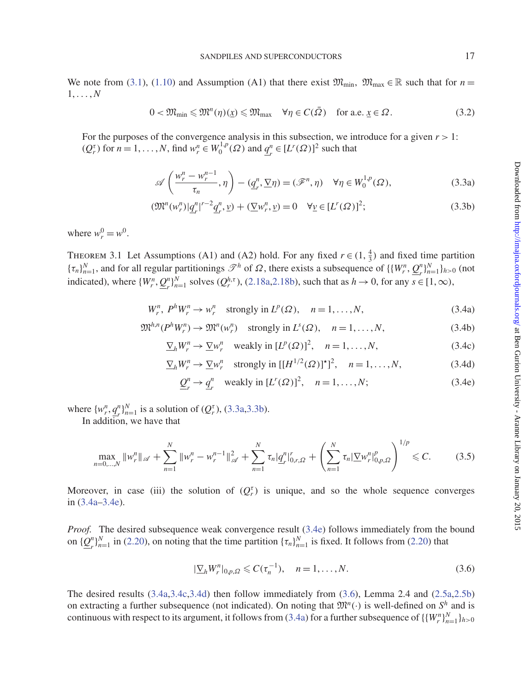We note from [\(3.1\)](#page-15-9), [\(1.10\)](#page-2-1) and Assumption (A1) that there exist  $\mathfrak{M}_{\text{min}}$ ,  $\mathfrak{M}_{\text{max}} \in \mathbb{R}$  such that for  $n =$  $1, \ldots, N$ 

<span id="page-16-7"></span>
$$
0 < \mathfrak{M}_{\min} \leq \mathfrak{M}^n(\eta)(\underline{x}) \leq \mathfrak{M}_{\max} \quad \forall \eta \in C(\overline{\Omega}) \quad \text{for a.e. } \underline{x} \in \Omega. \tag{3.2}
$$

For the purposes of the convergence analysis in this subsection, we introduce for a given  $r > 1$ :  $(Q_r^{\tau})$  for  $n = 1, ..., N$ , find  $w_r^n \in W_0^{1,p}(\Omega)$  and  $q_r^n \in [L^r(\Omega)]^2$  such that

<span id="page-16-1"></span><span id="page-16-0"></span>
$$
\mathscr{A}\left(\frac{w_r^n - w_r^{n-1}}{\tau_n}, \eta\right) - (\underline{q}_r^n, \underline{\nabla}\eta) = (\mathscr{F}^n, \eta) \quad \forall \eta \in W_0^{1,p}(\Omega),\tag{3.3a}
$$

$$
(\mathfrak{M}^{n}(w_{r}^{n})|q_{r}^{n}|^{r-2}q_{r}^{n},\underline{v}) + (\underline{\nabla}w_{r}^{n},\underline{v}) = 0 \quad \forall \underline{v} \in [L^{r}(\Omega)]^{2};
$$
\n(3.3b)

where  $w_r^0 = w^0$ .

THEOREM 3.1 Let Assumptions (A1) and (A2) hold. For any fixed  $r \in (1, \frac{4}{3})$  and fixed time partition  ${\{\tau_n\}}_{n=1}^N$ , and for all regular partitionings  $\mathscr{T}^h$  of  $\Omega$ , there exists a subsequence of  ${\{\{W^n_r, \underline{Q}^n_r\}}_{n=1}^N\}_{h>0}$  (not indicated), where  $\{W_r^n, \mathcal{Q}_r^n\}_{n=1}^N$  solves  $(\mathcal{Q}_r^{h,\tau})$ , [\(2.18a](#page-11-0)[,2.18b\)](#page-11-1), such that as  $h \to 0$ , for any  $s \in [1,\infty)$ ,

$$
W_r^n, P^h W_r^n \to w_r^n \quad \text{strongly in } L^p(\Omega), \quad n = 1, \dots, N,
$$
\n(3.4a)

$$
\mathfrak{M}^{h,n}(P^h W_r^n) \to \mathfrak{M}^n(w_r^n) \quad \text{strongly in } L^s(\Omega), \quad n = 1, \dots, N,
$$
\n
$$
(3.4b)
$$

$$
\underline{\nabla}_h W_r^n \to \underline{\nabla} w_r^n \quad \text{weakly in } [L^p(\Omega)]^2, \quad n = 1, \dots, N,
$$
\n(3.4c)

$$
\underline{\nabla}_h W_r^n \to \underline{\nabla} w_r^n \quad \text{strongly in } [[H^{1/2}(\Omega)]^*]^2, \quad n = 1, \dots, N,
$$
 (3.4d)

<span id="page-16-8"></span><span id="page-16-5"></span><span id="page-16-4"></span><span id="page-16-3"></span><span id="page-16-2"></span>
$$
\underline{Q}_r^n \to \underline{q}_r^n \quad \text{weakly in } [L^r(\Omega)]^2, \quad n = 1, \dots, N; \tag{3.4e}
$$

where  $\{w_r^n, \frac{q^n}{r}\}_{n=1}^N$  is a solution of  $(Q_r^{\tau})$ , [\(3.3a,](#page-16-0)[3.3b\)](#page-16-1).

In addition, we have that

<span id="page-16-9"></span>
$$
\max_{n=0,\dots,N} \|w_r^n\|_{\mathscr{A}} + \sum_{n=1}^N \|w_r^n - w_r^{n-1}\|_{\mathscr{A}}^2 + \sum_{n=1}^N \tau_n |q_r^n|_{0,r,\Omega}^r + \left(\sum_{n=1}^N \tau_n |\nabla w_r^n|_{0,p,\Omega}^p\right)^{1/p} \leq C. \tag{3.5}
$$

Moreover, in case (iii) the solution of  $(Q_r^{\tau})$  is unique, and so the whole sequence converges in [\(3.4a](#page-16-2)[–3.4e\)](#page-16-3).

*Proof.* The desired subsequence weak convergence result [\(3.4e\)](#page-16-3) follows immediately from the bound on  $\{\underline{Q}_r^n\}_{n=1}^N$  in [\(2.20\)](#page-11-6), on noting that the time partition  $\{\tau_n\}_{n=1}^N$  is fixed. It follows from (2.20) that

<span id="page-16-6"></span>
$$
|\nabla_h W_r^n|_{0,p,\Omega} \leqslant C(\tau_n^{-1}), \quad n = 1,\ldots,N. \tag{3.6}
$$

The desired results [\(3.4a,](#page-16-2)[3.4c](#page-16-4)[,3.4d\)](#page-16-5) then follow immediately from [\(3.6\)](#page-16-6), Lemma 2.4 and [\(2.5a,](#page-9-0)[2.5b\)](#page-9-1) on extracting a further subsequence (not indicated). On noting that  $\mathfrak{M}^n(\cdot)$  is well-defined on  $S^h$  and is continuous with respect to its argument, it follows from [\(3.4a\)](#page-16-2) for a further subsequence of  $\{\{W^n_r\}_{n=1}^N\}_{h>0}$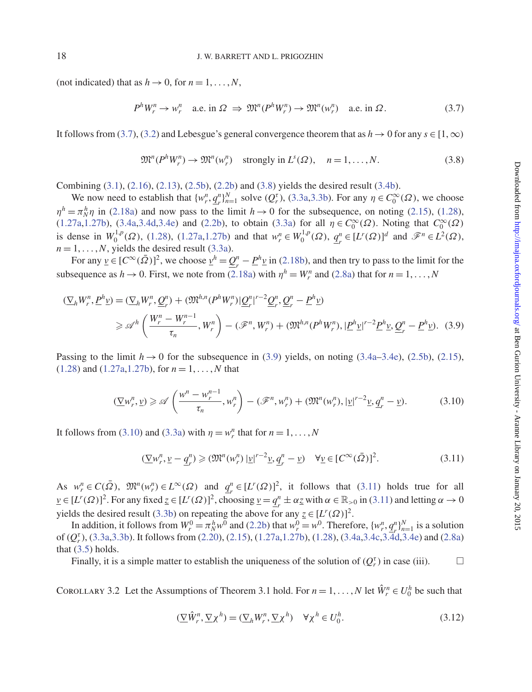(not indicated) that as  $h \to 0$ , for  $n = 1, \ldots, N$ ,

<span id="page-17-0"></span>
$$
P^h W_r^n \to w_r^n \quad \text{a.e. in } \Omega \implies \mathfrak{M}^n(P^h W_r^n) \to \mathfrak{M}^n(w_r^n) \quad \text{a.e. in } \Omega. \tag{3.7}
$$

It follows from [\(3.7\)](#page-17-0), [\(3.2\)](#page-16-7) and Lebesgue's general convergence theorem that as  $h \to 0$  for any  $s \in [1,\infty)$ 

<span id="page-17-1"></span>
$$
\mathfrak{M}^n(P^hW_r^n) \to \mathfrak{M}^n(w_r^n) \quad \text{strongly in } L^s(\Omega), \quad n = 1, \dots, N. \tag{3.8}
$$

Combining [\(3.1\)](#page-15-9), [\(2.16\)](#page-10-1), [\(2.13\)](#page-10-4), [\(2.5b\)](#page-9-1), [\(2.2b\)](#page-9-3) and [\(3.8\)](#page-17-1) yields the desired result [\(3.4b\)](#page-16-8).

We now need to establish that  $\{w_r^n, \underline{q}_r^n\}_{n=1}^N$  solve  $(Q_r^{\tau})$ , [\(3.3a,](#page-16-0)[3.3b\)](#page-16-1). For any  $\eta \in C_0^{\infty}(\Omega)$ , we choose  $\eta^h = \pi_N^h \eta$  in [\(2.18a\)](#page-11-0) and now pass to the limit  $h \to 0$  for the subsequence, on noting [\(2.15\)](#page-10-5), [\(1.28\)](#page-6-0), [\(1.27a,](#page-6-1)[1.27b\)](#page-6-2), [\(3.4a,](#page-16-2)[3.4d,](#page-16-5)[3.4e\)](#page-16-3) and [\(2.2b\)](#page-9-3), to obtain [\(3.3a\)](#page-16-0) for all  $\eta \in C_0^{\infty}(\Omega)$ . Noting that  $C_0^{\infty}(\Omega)$ is dense in  $W_0^{1,p}(\Omega)$ , [\(1.28\)](#page-6-0), [\(1.27a](#page-6-1)[,1.27b\)](#page-6-2) and that  $w_r^n \in W_0^{1,p}(\Omega)$ ,  $q_r^n \in [L^r(\Omega)]^d$  and  $\mathscr{F}^n \in L^2(\Omega)$ ,  $n = 1, \ldots, N$ , yields the desired result [\(3.3a\)](#page-16-0).

For any  $\underline{v} \in [C^{\infty}(\overline{\Omega})]^2$ , we choose  $\underline{v}^h = \underline{Q}_r^n - \underline{P}^h \underline{v}$  in [\(2.18b\)](#page-11-1), and then try to pass to the limit for the subsequence as  $h \to 0$ . First, we note from [\(2.18a\)](#page-11-0) with  $\eta^h = W_r^n$  and [\(2.8a\)](#page-9-7) that for  $n = 1, ..., N$ 

$$
\begin{split} (\nabla_h W_r^n, \underline{P}^h \underline{v}) &= (\nabla_h W_r^n, \underline{Q}_r^n) + (\mathfrak{M}^{h,n}(P^h W_r^n) | \underline{Q}_r^n|^{r-2} \underline{Q}_r^n, \underline{Q}_r^n - \underline{P}^h \underline{v}) \\ &\geq \mathscr{A}^h \left( \frac{W_r^n - W_r^{n-1}}{\tau_n}, W_r^n \right) - (\mathscr{F}^n, W_r^n) + (\mathfrak{M}^{h,n}(P^h W_r^n), |\underline{P}^h \underline{v}|^{r-2} \underline{P}^h \underline{v}, \underline{Q}_r^n - \underline{P}^h \underline{v}). \end{split} \tag{3.9}
$$

Passing to the limit  $h \to 0$  for the subsequence in [\(3.9\)](#page-17-2) yields, on noting [\(3.4a–](#page-16-2)[3.4e\)](#page-16-3), [\(2.5b\)](#page-9-1), [\(2.15\)](#page-10-5), [\(1.28\)](#page-6-0) and [\(1.27a,](#page-6-1)[1.27b\)](#page-6-2), for *n* = 1, ... ,*N* that

<span id="page-17-3"></span>
$$
\left(\underline{\nabla}w_r^n,\underline{v}\right) \geqslant \mathscr{A}\left(\frac{w^n - w_r^{n-1}}{\tau_n},w_r^n\right) - \left(\mathscr{F}^n,w_r^n\right) + \left(\mathfrak{M}^n(w_r^n),|\underline{v}|^{r-2}\underline{v},\underline{q}_r^n - \underline{v}\right). \tag{3.10}
$$

It follows from [\(3.10\)](#page-17-3) and [\(3.3a\)](#page-16-0) with  $\eta = w_r^n$  that for  $n = 1, ..., N$ 

<span id="page-17-4"></span><span id="page-17-2"></span>
$$
(\underline{\nabla}w_r^n, \underline{\nu} - \underline{q}_r^n) \geq (\mathfrak{M}^n(w_r^n) \left| \underline{\nu} \right|^{r-2} \underline{\nu}, \underline{q}_r^n - \underline{\nu}) \quad \forall \underline{\nu} \in [C^\infty(\bar{\Omega})]^2. \tag{3.11}
$$

As  $w_r^n \in C(\overline{\Omega})$ ,  $\mathfrak{M}^n(w_r^n) \in L^\infty(\Omega)$  and  $\underline{q}_r^n \in [L^r(\Omega)]^2$ , it follows that [\(3.11\)](#page-17-4) holds true for all  $\underline{v} \in [L^r(\Omega)]^2$ . For any fixed  $\underline{z} \in [L^r(\Omega)]^2$ , choosing  $\underline{v} = \underline{q}_r^n \pm \alpha \underline{z}$  with  $\alpha \in \mathbb{R}_{>0}$  in [\(3.11\)](#page-17-4) and letting  $\alpha \to 0$ yields the desired result [\(3.3b\)](#page-16-1) on repeating the above for any  $\underline{z} \in [L^r(\Omega)]^2$ .

In addition, it follows from  $W_r^0 = \pi_N^h w^0$  and [\(2.2b\)](#page-9-3) that  $w_r^0 = w^0$ . Therefore,  $\{w_r^n, \underline{q}_r^n\}_{n=1}^N$  is a solution of ( $Q_r^r$ ), [\(3.3a,](#page-16-0)[3.3b\)](#page-16-1). It follows from [\(2.20\)](#page-11-6), [\(2.15\)](#page-10-5), [\(1.27a](#page-6-1)[,1.27b\)](#page-6-2), [\(1.28\)](#page-6-0), [\(3.4a](#page-16-2)[,3.4c](#page-16-4)[,3.4d,](#page-16-5)[3.4e\)](#page-16-3) and [\(2.8a\)](#page-9-7) that  $(3.5)$  holds.

Finally, it is a simple matter to establish the uniqueness of the solution of  $(Q_r^{\tau})$  in case (iii).

COROLLARY 3.2 Let the Assumptions of Theorem 3.1 hold. For  $n = 1, ..., N$  let  $\hat{W}_r^n \in U_0^h$  be such that

<span id="page-17-5"></span>
$$
(\nabla \hat{W}_r^n, \nabla \chi^h) = (\nabla_h W_r^n, \nabla \chi^h) \quad \forall \chi^h \in U_0^h.
$$
\n(3.12)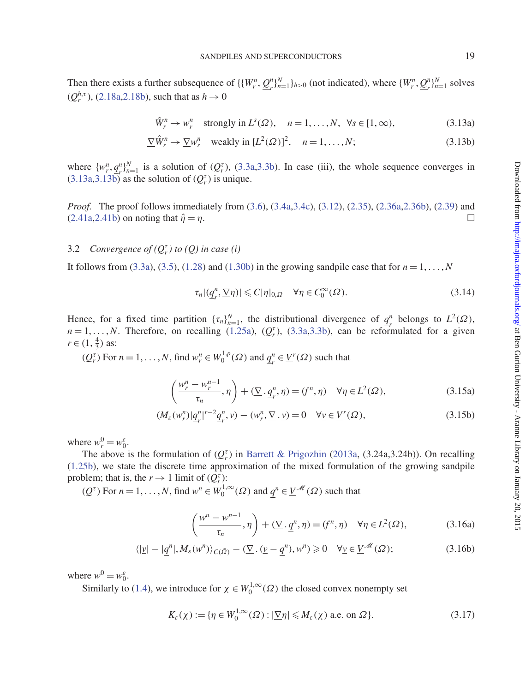Then there exists a further subsequence of  $\{\{W_r^n, \mathcal{Q}_r^n\}_{n=1}^N\}_{h>0}$  (not indicated), where  $\{W_r^n, \mathcal{Q}_r^n\}_{n=1}^N$  solves  $(Q_r^{h,\tau})$ , [\(2.18a](#page-11-0), 2.18b), such that as  $h \to 0$ 

<span id="page-18-1"></span><span id="page-18-0"></span>
$$
\hat{W}_r^n \to w_r^n \quad \text{strongly in } L^s(\Omega), \quad n = 1, \dots, N, \quad \forall s \in [1, \infty), \tag{3.13a}
$$

$$
\nabla \hat{W}_r^n \to \nabla w_r^n \quad \text{weakly in } [L^2(\Omega)]^2, \quad n = 1, \dots, N; \tag{3.13b}
$$

where  $\{w_i^n, q_i^n\}_{i=1}^N$  is a solution of  $(Q_t^{\tau})$ , [\(3.3a,](#page-16-0)[3.3b\)](#page-16-1). In case (iii), the whole sequence converges in  $(3.13a,3.13b)$  $(3.13a,3.13b)$  as the solution of  $(Q_r^{\tau})$  is unique.

*Proof.* The proof follows immediately from [\(3.6\)](#page-16-6), [\(3.4a](#page-16-2)[,3.4c\)](#page-16-4), [\(3.12\)](#page-17-5), [\(2.35\)](#page-14-1), [\(2.36a,](#page-14-2)[2.36b\)](#page-14-7), [\(2.39\)](#page-14-5) and  $(2.41a, 2.41b)$  $(2.41a, 2.41b)$  $(2.41a, 2.41b)$  on noting that  $\hat{\eta} = \eta$ .

# 3.2 *Convergence of*  $(Q_r^{\tau})$  *to*  $(Q)$  *in case* (*i*)

It follows from [\(3.3a\)](#page-16-0), [\(3.5\)](#page-16-9), [\(1.28\)](#page-6-0) and [\(1.30b\)](#page-6-5) in the growing sandpile case that for  $n = 1, \ldots, N$ 

<span id="page-18-6"></span><span id="page-18-3"></span><span id="page-18-2"></span>
$$
\tau_n |(\underline{q}_r^n, \nabla \eta)| \leqslant C |\eta|_{0,\Omega} \quad \forall \eta \in C_0^{\infty}(\Omega). \tag{3.14}
$$

Hence, for a fixed time partition  $\{\tau_n\}_{n=1}^N$ , the distributional divergence of  $q_r^n$  belongs to  $L^2(\Omega)$ ,  $n = 1, \ldots, N$ . Therefore, on recalling [\(1.25a\)](#page-5-1), ( $Q_r^{\tau}$ ), [\(3.3a,](#page-16-0)[3.3b\)](#page-16-1), can be reformulated for a given  $r \in (1, \frac{4}{3})$  as:

 $(Q_r^{\tau})$  For  $n = 1, ..., N$ , find  $w_r^n \in W_0^{1,p}(\Omega)$  and  $\underline{q}_r^n \in \underline{V}^r(\Omega)$  such that

$$
\left(\frac{w_r^n - w_r^{n-1}}{\tau_n}, \eta\right) + \left(\underline{\nabla} \cdot \underline{q}_r^n, \eta\right) = (f^n, \eta) \quad \forall \eta \in L^2(\Omega),\tag{3.15a}
$$

$$
(M_{\varepsilon}(w_r^n)|\underline{q}_r^n|^{r-2}\underline{q}_r^n,\underline{v}) - (w_r^n,\underline{\nabla}\cdot\underline{v}) = 0 \quad \forall \underline{v} \in \underline{V}^r(\Omega),\tag{3.15b}
$$

where  $w_r^0 = w_0^{\varepsilon}$ .

The above is the formulation of  $(Q_r^{\tau})$  in [Barrett & Prigozhin](#page-37-1) [\(2013a,](#page-37-1) (3.24a,3.24b)). On recalling [\(1.25b\)](#page-5-2), we state the discrete time approximation of the mixed formulation of the growing sandpile problem; that is, the  $r \to 1$  limit of  $(Q_r^{\tau})$ :

 $(Q^{\tau})$  For  $n = 1, ..., N$ , find  $w^n \in W_0^{1,\infty}(\Omega)$  and  $\underline{q}^n \in \underline{V}^{\mathcal{M}}(\Omega)$  such that

<span id="page-18-5"></span><span id="page-18-4"></span>
$$
\left(\frac{w^n - w^{n-1}}{\tau_n}, \eta\right) + (\underline{\nabla} \cdot \underline{q}^n, \eta) = (f^n, \eta) \quad \forall \eta \in L^2(\Omega),\tag{3.16a}
$$

$$
\langle |\underline{v}| - |\underline{q}^n|, M_{\varepsilon}(w^n) \rangle_{C(\bar{\Omega})} - (\underline{\nabla} \cdot (\underline{v} - \underline{q}^n), w^n) \geq 0 \quad \forall \underline{v} \in \underline{V}^{\mathcal{M}}(\Omega); \tag{3.16b}
$$

where  $w^0 = w_0^{\varepsilon}$ .

Similarly to [\(1.4\)](#page-1-5), we introduce for  $\chi \in W_0^{1,\infty}(\Omega)$  the closed convex nonempty set

$$
K_{\varepsilon}(\chi) := \{ \eta \in W_0^{1,\infty}(\Omega) : |\underline{\nabla}\eta| \leqslant M_{\varepsilon}(\chi) \text{ a.e. on } \Omega \}. \tag{3.17}
$$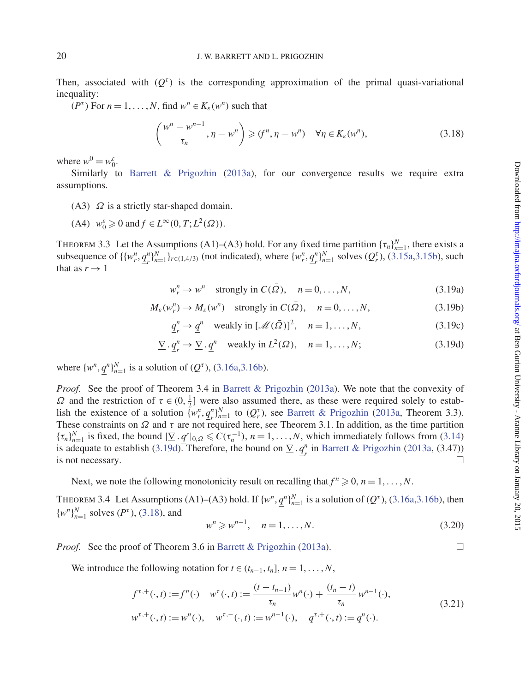Then, associated with  $(Q<sup>\tau</sup>)$  is the corresponding approximation of the primal quasi-variational inequality:

( $P^{\tau}$ ) For  $n = 1, ..., N$ , find  $w^n \in K_{\varepsilon}(w^n)$  such that

<span id="page-19-1"></span>
$$
\left(\frac{w^n - w^{n-1}}{\tau_n}, \eta - w^n\right) \geqslant (f^n, \eta - w^n) \quad \forall \eta \in K_{\varepsilon}(w^n),\tag{3.18}
$$

where  $w^0 = w_0^{\varepsilon}$ .

Similarly to [Barrett & Prigozhin](#page-37-1) [\(2013a\)](#page-37-1), for our convergence results we require extra assumptions.

- (A3)  $\Omega$  is a strictly star-shaped domain.
- (A4)  $w_0^{\varepsilon} \ge 0$  and  $f \in L^{\infty}(0, T; L^2(\Omega))$ .

THEOREM 3.3 Let the Assumptions (A1)–(A3) hold. For any fixed time partition  $\{\tau_n\}_{n=1}^N$ , there exists a subsequence of  $\{\{w_r^n, q_r^n\}_{n=1}^N\}_{r \in (1,4/3)}$  (not indicated), where  $\{w_r^n, q_r^n\}_{n=1}^N$  solves  $(Q_r^{\tau})$ , [\(3.15a](#page-18-2)[,3.15b\)](#page-18-3), such that as  $r \rightarrow 1$ 

 $w_r^n \to w^n$  strongly in  $C(\bar{\Omega})$ ,  $n = 0, ..., N$ , (3.19a)

$$
M_{\varepsilon}(w_r^n) \to M_{\varepsilon}(w^n) \quad \text{strongly in } C(\bar{\Omega}), \quad n = 0, \dots, N,
$$
 (3.19b)

$$
\underline{q}_r^n \to \underline{q}^n \quad \text{weakly in } [\mathcal{M}(\bar{\Omega})]^2, \quad n = 1, \dots, N,
$$
 (3.19c)

$$
\underline{\nabla} \cdot \underline{q}_r^n \to \underline{\nabla} \cdot \underline{q}^n \quad \text{weakly in } L^2(\Omega), \quad n = 1, \dots, N; \tag{3.19d}
$$

where  $\{w^n, \underline{q}^n\}_{n=1}^N$  is a solution of  $(Q^{\tau})$ , [\(3.16a,](#page-18-4)[3.16b\)](#page-18-5).

*Proof.* See the proof of Theorem 3.4 in [Barrett & Prigozhin](#page-37-1) [\(2013a\)](#page-37-1). We note that the convexity of Ω and the restriction of  $τ ∈ (0, \frac{1}{2}]$  were also assumed there, as these were required solely to establish the existence of a solution  $\overline{w_r^n, q_r^n}_{n=1}^N$  to  $(Q_r^{\tau})$ , see [Barrett & Prigozhin](#page-37-1) [\(2013a,](#page-37-1) Theorem 3.3). These constraints on  $\Omega$  and  $\tau$  are not required here, see Theorem 3.1. In addition, as the time partition  ${\tau_n}_{n=1}^N$  is fixed, the bound  ${\vert \nabla \cdot q^r \vert}_{0,\Omega} \leqslant C(\tau_n^{-1}), n = 1, \ldots, N$ , which immediately follows from [\(3.14\)](#page-18-6) is adequate to establish [\(3.19d\)](#page-19-0). Therefore, the bound on  $\underline{\nabla} \cdot \underline{q}_r^n$  in [Barrett & Prigozhin](#page-37-1) [\(2013a,](#page-37-1) (3.47)) is not necessary.  $\Box$ 

Next, we note the following monotonicity result on recalling that  $f^n \geq 0$ ,  $n = 1, \ldots, N$ .

THEOREM 3.4 Let Assumptions (A1)–(A3) hold. If  $\{w^n, \underline{q}^n\}_{n=1}^N$  is a solution of  $(Q^{\tau})$ , [\(3.16a](#page-18-4)[,3.16b\)](#page-18-5), then  $\{w^n\}_{n=1}^N$  solves  $(P^{\tau})$ , [\(3.18\)](#page-19-1), and

$$
w^n \geq w^{n-1}, \quad n = 1, \dots, N. \tag{3.20}
$$

*Proof.* See the proof of Theorem 3.6 in [Barrett & Prigozhin](#page-37-1) [\(2013a](#page-37-1)).

We introduce the following notation for  $t \in (t_{n-1}, t_n]$ ,  $n = 1, \ldots, N$ ,

<span id="page-19-2"></span>
$$
f^{\tau,+}(\cdot,t) := f^n(\cdot) \quad w^{\tau}(\cdot,t) := \frac{(t - t_{n-1})}{\tau_n} w^n(\cdot) + \frac{(t_n - t)}{\tau_n} w^{n-1}(\cdot),
$$
  
\n
$$
w^{\tau,+}(\cdot,t) := w^n(\cdot), \quad w^{\tau,-}(\cdot,t) := w^{n-1}(\cdot), \quad \underline{q}^{\tau,+}(\cdot,t) := \underline{q}^n(\cdot).
$$
\n(3.21)

<span id="page-19-0"></span>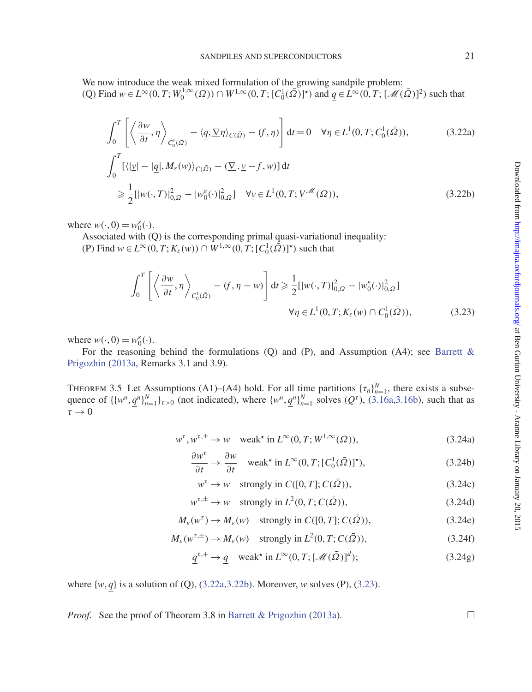We now introduce the weak mixed formulation of the growing sandpile problem:  $(Q)$  Find  $w \in L^{\infty}(0, T; W_0^{1, \infty}(\Omega)) \cap W^{1, \infty}(0, T; [C_0^1(\overline{\Omega})]^*)$  and  $q \in L^{\infty}(0, T; [\mathcal{M}(\overline{\Omega})]^2)$  such that

<span id="page-20-0"></span>
$$
\int_0^T \left[ \left\langle \frac{\partial w}{\partial t}, \eta \right\rangle_{C_0^1(\bar{\Omega})} - \langle \underline{q}, \underline{\nabla} \eta \rangle_{C(\bar{\Omega})} - \langle f, \eta \rangle \right] dt = 0 \quad \forall \eta \in L^1(0, T; C_0^1(\bar{\Omega})),
$$
\n(3.22a)

$$
\int_0^T \left[ \langle | \underline{v} | - | \underline{q} |, M_\varepsilon(w) \rangle_{C(\bar{\Omega})} - (\underline{\nabla} \cdot \underline{v} - f, w) \right] dt
$$
\n
$$
\geq \frac{1}{2} \left[ |w(\cdot, T)|^2_{0,\Omega} - |w_0^{\varepsilon}(\cdot)|^2_{0,\Omega} \right] \quad \forall \underline{v} \in L^1(0, T; \underline{V}^{\mathcal{M}}(\Omega)), \tag{3.22b}
$$

where  $w(\cdot, 0) = w_0^{\varepsilon}(\cdot)$ .

Associated with (Q) is the corresponding primal quasi-variational inequality:

(P) Find *w* ∈ *L*<sup>∞</sup>(0, *T*; *K*<sub>ε</sub>(*w*)) ∩ *W*<sup>1,∞</sup>(0, *T*; [*C*<sub>0</sub></sub>( $\overline{Q}$ )]<sup>\*</sup>) such that

<span id="page-20-1"></span>
$$
\int_0^T \left[ \left\langle \frac{\partial w}{\partial t}, \eta \right\rangle_{C_0^1(\bar{\Omega})} - (f, \eta - w) \right] dt \ge \frac{1}{2} [ |w(\cdot, T)|^2_{0,\Omega} - |w_0^{\varepsilon}(\cdot)|^2_{0,\Omega}]
$$
  

$$
\forall \eta \in L^1(0, T; K_{\varepsilon}(w) \cap C_0^1(\bar{\Omega})), \tag{3.23}
$$

where  $w(\cdot, 0) = w_0^{\varepsilon}(\cdot)$ .

For the reasoning behind the formulations  $(Q)$  and  $(P)$ , and Assumption  $(A4)$ ; see Barrett & Prigozhin [\(2013a,](#page-37-1) Remarks 3.1 and 3.9).

THEOREM 3.5 Let Assumptions (A1)–(A4) hold. For all time partitions  $\{\tau_n\}_{n=1}^N$ , there exists a subsequence of  $\{\{w^n, \underline{q}^n\}_{n=1}^N\}_{\tau>0}$  (not indicated), where  $\{w^n, \underline{q}^n\}_{n=1}^N$  solves  $(Q^{\tau})$ , [\(3.16a,](#page-18-4)[3.16b\)](#page-18-5), such that as  $\tau \rightarrow 0$ 

$$
w^{\tau}, w^{\tau,\pm} \to w \quad \text{weak* in } L^{\infty}(0, T; W^{1,\infty}(\Omega)),\tag{3.24a}
$$

<span id="page-20-2"></span>
$$
\frac{\partial w^{\tau}}{\partial t} \to \frac{\partial w}{\partial t} \quad \text{weak* in } L^{\infty}(0, T; [C_0^1(\bar{\Omega})]^{\star}), \tag{3.24b}
$$

$$
w^{\tau} \to w \quad \text{strongly in } C([0, T]; C(\bar{\Omega})), \tag{3.24c}
$$

$$
w^{\tau, \pm} \to w \quad \text{strongly in } L^2(0, T; C(\bar{\Omega})), \tag{3.24d}
$$

$$
M_{\varepsilon}(w^{\tau}) \to M_{\varepsilon}(w) \quad \text{strongly in } C([0, T]; C(\bar{\Omega})), \tag{3.24e}
$$

$$
M_{\varepsilon}(w^{\tau,\pm}) \to M_{\varepsilon}(w) \quad \text{strongly in } L^{2}(0,T; C(\bar{\Omega})), \tag{3.24f}
$$

$$
\underline{q}^{\tau,+} \to \underline{q} \quad \text{weak* in } L^{\infty}(0,T; [\mathcal{M}(\bar{\Omega})]^d); \tag{3.24g}
$$

where {*w*, *q*} is a solution of (Q), [\(3.22a](#page-20-0)[,3.22b\)](#page-20-1). Moreover, *w* solves (P), [\(3.23\)](#page-20-2).

*Proof.* See the proof of Theorem 3.8 in [Barrett & Prigozhin](#page-37-1) [\(2013a](#page-37-1)).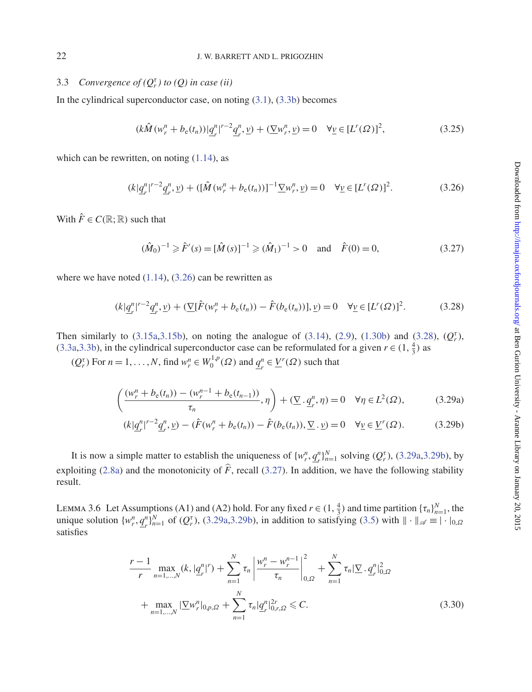### 22 J. W. BARRETT AND L. PRIGOZHIN

# 3.3 *Convergence of*  $(Q_r^{\tau})$  *to*  $(Q)$  *in case (ii)*

In the cylindrical superconductor case, on noting  $(3.1)$ ,  $(3.3b)$  becomes

$$
(k\hat{M}(w_r^n + b_{\rm e}(t_n))|\underline{q}_r^n|^{r-2}\underline{q}_r^n, \underline{v}) + (\underline{\nabla}w_r^n, \underline{v}) = 0 \quad \forall \underline{v} \in [L^r(\Omega)]^2,\tag{3.25}
$$

which can be rewritten, on noting  $(1.14)$ , as

<span id="page-21-0"></span>
$$
(k|\underline{q}_r^n|^{r-2}\underline{q}_r^n, \underline{v}) + ([\hat{M}(w_r^n + b_\mathrm{e}(t_n))]^{-1} \underline{\nabla} w_r^n, \underline{v}) = 0 \quad \forall \underline{v} \in [L^r(\Omega)]^2. \tag{3.26}
$$

With  $\hat{F} \in C(\mathbb{R}; \mathbb{R})$  such that

<span id="page-21-4"></span>
$$
(\hat{M}_0)^{-1} \ge \hat{F}'(s) = [\hat{M}(s)]^{-1} \ge (\hat{M}_1)^{-1} > 0 \quad \text{and} \quad \hat{F}(0) = 0,
$$
\n(3.27)

where we have noted  $(1.14)$ ,  $(3.26)$  can be rewritten as

<span id="page-21-1"></span>
$$
(k|\underline{q}_r^n|^{r-2}\underline{q}_r^n, \underline{v}) + (\underline{\nabla}[\hat{F}(w_r^n + b_{\rm e}(t_n)) - \hat{F}(b_{\rm e}(t_n))], \underline{v}) = 0 \quad \forall \underline{v} \in [L^r(\Omega)]^2. \tag{3.28}
$$

Then similarly to [\(3.15a,](#page-18-2)[3.15b\)](#page-18-3), on noting the analogue of [\(3.14\)](#page-18-6), [\(2.9\)](#page-9-8), [\(1.30b\)](#page-6-5) and [\(3.28\)](#page-21-1),  $(Q_r^{\tau})$ , [\(3.3a,](#page-16-0)[3.3b\)](#page-16-1), in the cylindrical superconductor case can be reformulated for a given  $r \in (1, \frac{4}{3})$  as

 $(Q_r^{\tau})$  For  $n = 1, ..., N$ , find  $w_r^n \in W_0^{1,p}(\Omega)$  and  $\underline{q}_r^n \in \underline{V}^r(\Omega)$  such that

$$
\left(\frac{(w_r^n + b_\mathrm{e}(t_n)) - (w_r^{n-1} + b_\mathrm{e}(t_{n-1}))}{\tau_n}, \eta\right) + (\underline{\nabla} \cdot \underline{q}_r^n, \eta) = 0 \quad \forall \eta \in L^2(\Omega),\tag{3.29a}
$$

<span id="page-21-3"></span><span id="page-21-2"></span>
$$
(k|\underline{q}_r^n|^{r-2}\underline{q}_r^n, \underline{v}) - (\hat{F}(w_r^n + b_{\rm e}(t_n)) - \hat{F}(b_{\rm e}(t_n)), \underline{\nabla} \cdot \underline{v}) = 0 \quad \forall \underline{v} \in \underline{V}^r(\Omega). \tag{3.29b}
$$

It is now a simple matter to establish the uniqueness of  $\{w_r^n, q_r^n\}_{n=1}^N$  solving  $(Q_r^{\tau})$ , [\(3.29a](#page-21-2)[,3.29b\)](#page-21-3), by exploiting [\(2.8a\)](#page-9-7) and the monotonicity of  $\hat{F}$ , recall [\(3.27\)](#page-21-4). In addition, we have the following stability result.

LEMMA 3.6 Let Assumptions (A1) and (A2) hold. For any fixed  $r \in (1, \frac{4}{3})$  and time partition  $\{\tau_n\}_{n=1}^N$ , the unique solution  $\{w_r^n, \underline{q}_r^n\}_{n=1}^N$  of  $(Q_r^{\tau})$ , [\(3.29a,](#page-21-2)[3.29b\)](#page-21-3), in addition to satisfying [\(3.5\)](#page-16-9) with  $\|\cdot\|_{\mathscr{A}} \equiv |\cdot|_{0,\Omega}$ satisfies

<span id="page-21-5"></span>
$$
\frac{r-1}{r} \max_{n=1,\dots,N} (k, |\underline{q}_r^n|^r) + \sum_{n=1}^N \tau_n \left| \frac{w_r^n - w_r^{n-1}}{\tau_n} \right|_{0,\Omega}^2 + \sum_{n=1}^N \tau_n |\underline{\nabla} \cdot \underline{q}_r^n|_{0,\Omega}^2
$$

$$
+ \max_{n=1,\dots,N} |\underline{\nabla} w_r^n|_{0,p,\Omega} + \sum_{n=1}^N \tau_n |\underline{q}_r^n|_{0,r,\Omega}^{2r} \leq C.
$$
(3.30)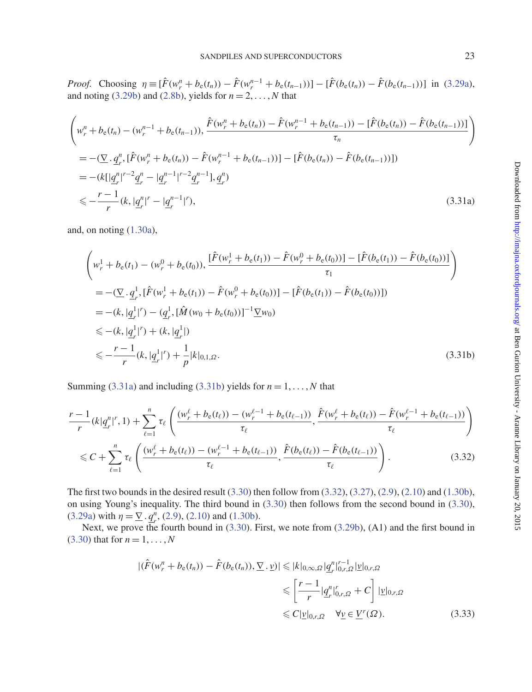*Proof.* Choosing  $\eta = [\hat{F}(w_r^n + b_e(t_n)) - \hat{F}(w_r^{n-1} + b_e(t_{n-1}))] - [\hat{F}(b_e(t_n)) - \hat{F}(b_e(t_{n-1}))]$  in [\(3.29a\)](#page-21-2), and noting  $(3.29b)$  and  $(2.8b)$ , yields for  $n = 2, \ldots, N$  that

$$
\begin{split}\n&\left(w_r^n + b_{\rm e}(t_n) - (w_r^{n-1} + b_{\rm e}(t_{n-1})), \frac{\hat{F}(w_r^n + b_{\rm e}(t_n)) - \hat{F}(w_r^{n-1} + b_{\rm e}(t_{n-1})) - [\hat{F}(b_{\rm e}(t_n)) - \hat{F}(b_{\rm e}(t_{n-1}))]}{\tau_n}\right) \\
&= -(\sum_{r} q_r^n \left[\hat{F}(w_r^n + b_{\rm e}(t_n)) - \hat{F}(w_r^{n-1} + b_{\rm e}(t_{n-1}))\right] - [\hat{F}(b_{\rm e}(t_n)) - \hat{F}(b_{\rm e}(t_{n-1}))]) \\
&= -(k[|q_r^n|^{r-2}q_r^n - |q_r^{n-1}|^{r-2}q_r^{n-1}], q_r^n) \\
&\leq -\frac{r-1}{r}(k, |q_r^n|^r - |q_r^{n-1}|^r),\n\end{split} \tag{3.31a}
$$

and, on noting [\(1.30a\)](#page-6-4),

<span id="page-22-1"></span><span id="page-22-0"></span>
$$
\left(w_r^1 + b_e(t_1) - (w_r^0 + b_e(t_0)), \frac{[\hat{F}(w_r^1 + b_e(t_1)) - \hat{F}(w_r^0 + b_e(t_0))] - [\hat{F}(b_e(t_1)) - \hat{F}(b_e(t_0))]}{\tau_1}\right)
$$
\n
$$
= -(\sum q_r^1, [\hat{F}(w_r^1 + b_e(t_1)) - \hat{F}(w_r^0 + b_e(t_0))] - [\hat{F}(b_e(t_1)) - \hat{F}(b_e(t_0))])
$$
\n
$$
= -(k, |\underline{q}_r^1|^r) - (\underline{q}_r^1, [\hat{M}(w_0 + b_e(t_0))]^{-1} \underline{\nabla} w_0)
$$
\n
$$
\leq -(k, |\underline{q}_r^1|^r) + (k, |\underline{q}_r^1|)
$$
\n
$$
\leq -\frac{r-1}{r}(k, |\underline{q}_r^1|^r) + \frac{1}{p}|k|_{0,1,\Omega}.
$$
\n(3.31b)

Summing [\(3.31a\)](#page-22-0) and including [\(3.31b\)](#page-22-1) yields for  $n = 1, \ldots, N$  that

$$
\frac{r-1}{r}(k|q_r^n|^r, 1) + \sum_{\ell=1}^n \tau_\ell \left( \frac{(w_r^\ell + b_e(t_\ell)) - (w_r^{\ell-1} + b_e(t_{\ell-1}))}{\tau_\ell}, \frac{\hat{F}(w_r^\ell + b_e(t_\ell)) - \hat{F}(w_r^{\ell-1} + b_e(t_{\ell-1}))}{\tau_\ell} \right)
$$
\n
$$
\leq C + \sum_{\ell=1}^n \tau_\ell \left( \frac{(w_r^\ell + b_e(t_\ell)) - (w_r^{\ell-1} + b_e(t_{\ell-1}))}{\tau_\ell}, \frac{\hat{F}(b_e(t_\ell)) - \hat{F}(b_e(t_{\ell-1}))}{\tau_\ell} \right). \tag{3.32}
$$

The first two bounds in the desired result  $(3.30)$  then follow from  $(3.32)$ ,  $(3.27)$ ,  $(2.9)$ ,  $(2.10)$  and  $(1.30b)$ , on using Young's inequality. The third bound in [\(3.30\)](#page-21-5) then follows from the second bound in [\(3.30\)](#page-21-5), [\(3.29a\)](#page-21-2) with  $\eta = \nabla \cdot q^n$ , [\(2.9\)](#page-9-8), [\(2.10\)](#page-9-4) and [\(1.30b\)](#page-6-5).

Next, we prove the fourth bound in [\(3.30\)](#page-21-5). First, we note from [\(3.29b\)](#page-21-3), (A1) and the first bound in [\(3.30\)](#page-21-5) that for  $n = 1, ..., N$ 

<span id="page-22-3"></span><span id="page-22-2"></span>
$$
|(\hat{F}(w_r^n + b_{\rm e}(t_n)) - \hat{F}(b_{\rm e}(t_n)), \underline{\nabla} \cdot \underline{v})| \leq |k|_{0,\infty,\Omega} |\underline{q}_r^n|_{0,r,\Omega}^{r-1} |\underline{v}|_{0,r,\Omega}
$$
  

$$
\leq \left[\frac{r-1}{r} |\underline{q}_r^n|_{0,r,\Omega}^r + C\right] |\underline{v}|_{0,r,\Omega}
$$
  

$$
\leq C |\underline{v}|_{0,r,\Omega} \quad \forall \underline{v} \in \underline{V}^r(\Omega).
$$
 (3.33)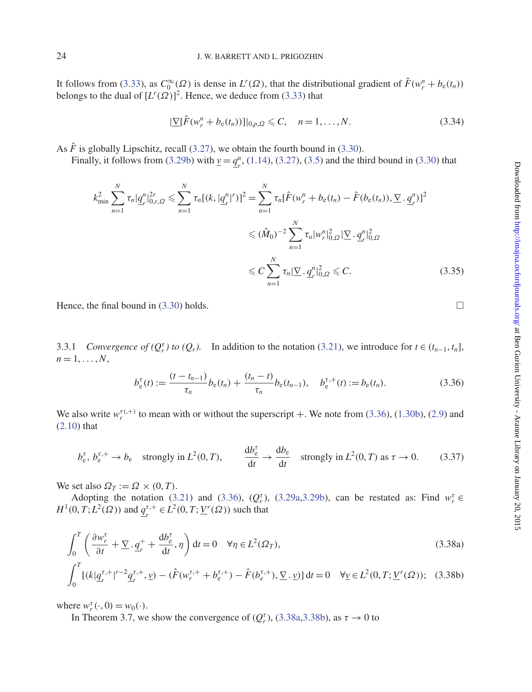It follows from [\(3.33\)](#page-22-3), as  $C_0^{\infty}(\Omega)$  is dense in  $L^r(\Omega)$ , that the distributional gradient of  $\hat{F}(w_r^n + b_e(t_n))$ belongs to the dual of  $[L^r(\Omega)]^2$ . Hence, we deduce from [\(3.33\)](#page-22-3) that

$$
|\underline{\nabla}[\hat{F}(w_r^n + b_{\rm e}(t_n))]|_{0,p,\Omega} \leqslant C, \quad n = 1,\ldots,N. \tag{3.34}
$$

As  $\hat{F}$  is globally Lipschitz, recall [\(3.27\)](#page-21-4), we obtain the fourth bound in [\(3.30\)](#page-21-5).

Finally, it follows from [\(3.29b\)](#page-21-3) with  $\underline{v} = \underline{q}_r^n$ , [\(1.14\)](#page-3-3), [\(3.27\)](#page-21-4), [\(3.5\)](#page-16-9) and the third bound in [\(3.30\)](#page-21-5) that

$$
k_{\min}^2 \sum_{n=1}^N \tau_n |\underline{q}_r^n|_{0,r,\Omega}^{2r} \leq \sum_{n=1}^N \tau_n [(k, |\underline{q}_r^n|^r)]^2 = \sum_{n=1}^N \tau_n [\hat{F}(w_r^n + b_e(t_n) - \hat{F}(b_e(t_n)), \underline{\nabla} \cdot \underline{q}_r^n)]^2
$$
  

$$
\leq (\hat{M}_0)^{-2} \sum_{n=1}^N \tau_n |w_r^n|_{0,\Omega}^2 |\underline{\nabla} \cdot \underline{q}_r^n|_{0,\Omega}^2
$$
  

$$
\leq C \sum_{n=1}^N \tau_n |\underline{\nabla} \cdot \underline{q}_r^n|_{0,\Omega}^2 \leq C.
$$
 (3.35)

Hence, the final bound in [\(3.30\)](#page-21-5) holds.

3.3.1 *Convergence of (* $Q_r^{\tau}$ *) to (* $Q_r$ *).* In addition to the notation [\(3.21\)](#page-19-2), we introduce for  $t \in (t_{n-1}, t_n]$ ,  $n=1,\ldots,N$ ,

<span id="page-23-0"></span>
$$
b_{e}^{\tau}(t) := \frac{(t - t_{n-1})}{\tau_n} b_{e}(t_n) + \frac{(t_n - t)}{\tau_n} b_{e}(t_{n-1}), \quad b_{e}^{\tau,+}(t) := b_{e}(t_n).
$$
 (3.36)

We also write  $w_r^{\tau(0,+)}$  to mean with or without the superscript  $+$ . We note from [\(3.36\)](#page-23-0), [\(1.30b\)](#page-6-5), [\(2.9\)](#page-9-8) and [\(2.10\)](#page-9-4) that

<span id="page-23-3"></span>
$$
b_{e}^{\tau}, b_{e}^{\tau,+} \to b_{e}
$$
 strongly in  $L^{2}(0, T)$ ,  $\frac{db_{e}^{\tau}}{dt} \to \frac{db_{e}}{dt}$  strongly in  $L^{2}(0, T)$  as  $\tau \to 0$ . (3.37)

We set also  $\Omega_T := \Omega \times (0, T)$ .

Adopting the notation [\(3.21\)](#page-19-2) and [\(3.36\)](#page-23-0),  $(Q_r^{\tau})$ , [\(3.29a,](#page-21-2)[3.29b\)](#page-21-3), can be restated as: Find  $w_r^{\tau} \in$ *H*<sup>1</sup>(0, *T*; *L*<sup>2</sup>( $\Omega$ )) and  $q_r^{\tau,+} \in L^2(0, T; \underline{V}^r(\Omega))$  such that

$$
\int_0^T \left( \frac{\partial w_r^{\tau}}{\partial t} + \underline{\nabla} \cdot \underline{q}_r^+ + \frac{\mathrm{d}b_e^{\tau}}{\mathrm{d}t}, \eta \right) \mathrm{d}t = 0 \quad \forall \eta \in L^2(\Omega_T), \tag{3.38a}
$$

$$
\int_0^T \left[ (k|\underline{q}_r^{\tau,+}|^{r-2}\underline{q}_r^{\tau,+},\underline{\nu}) - (\hat{F}(w_r^{\tau,+} + b_e^{\tau,+}) - \hat{F}(b_e^{\tau,+}), \underline{\nabla} \cdot \underline{\nu}) \right] dt = 0 \quad \forall \underline{\nu} \in L^2(0,T; \underline{V}'(\Omega)); \quad (3.38b)
$$

where  $w_r^{\tau}(\cdot, 0) = w_0(\cdot)$ .

In Theorem 3.7, we show the convergence of  $(Q_r^{\tau})$ , [\(3.38a,](#page-23-1)[3.38b\)](#page-23-2), as  $\tau \to 0$  to

<span id="page-23-4"></span><span id="page-23-2"></span><span id="page-23-1"></span>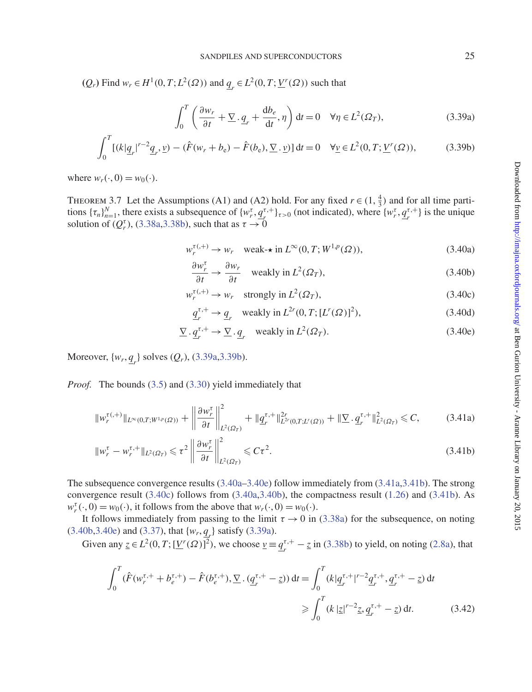(*Q<sub>r</sub>*</sub>) Find *w<sub>r</sub>* ∈ *H*<sup>1</sup>(0, *T*; *L*<sup>2</sup>(Ω)) and <u>*q<sub>r</sub>* ∈ *L*<sup>2</sup>(0, *T*; *V<sup>r</sup>*(Ω)) such that</u>

<span id="page-24-1"></span><span id="page-24-0"></span>
$$
\int_0^T \left( \frac{\partial w_r}{\partial t} + \nabla \cdot \underline{q}_r + \frac{\mathrm{d}b_e}{\mathrm{d}t}, \eta \right) \mathrm{d}t = 0 \quad \forall \eta \in L^2(\Omega_T),\tag{3.39a}
$$

$$
\int_0^T \left[ (k|\underline{q}_r|^{r-2}\underline{q}_r, \underline{v}) - (\hat{F}(w_r + b_e) - \hat{F}(b_e), \underline{\nabla} \cdot \underline{v}) \right] dt = 0 \quad \forall \underline{v} \in L^2(0, T; \underline{V}^r(\Omega)),\tag{3.39b}
$$

where  $w_r(\cdot, 0) = w_0(\cdot)$ .

THEOREM 3.7 Let the Assumptions (A1) and (A2) hold. For any fixed  $r \in (1, \frac{4}{3})$  and for all time partitions  $\{\tau_n\}_{n=1}^N$ , there exists a subsequence of  $\{w_r^{\tau}, q_r^{\tau,+}\}_{{\tau}>0}$  (not indicated), where  $\{w_r^{\tau}, q_r^{\tau,+}\}$  is the unique solution of  $(Q_r^{\tau})$ , [\(3.38a,](#page-23-1) [3.38b\)](#page-23-2), such that as  $\tau \to 0$ 

$$
w_r^{\tau(0,+)}\to w_r\quad \text{weak-* in } L^{\infty}(0,T;W^{1,p}(\Omega)),\tag{3.40a}
$$

<span id="page-24-7"></span><span id="page-24-6"></span><span id="page-24-2"></span>
$$
\frac{\partial w_r^{\tau}}{\partial t} \to \frac{\partial w_r}{\partial t} \quad \text{weakly in } L^2(\Omega_T), \tag{3.40b}
$$

$$
w_r^{\tau(+)} \to w_r \quad \text{strongly in } L^2(\Omega_T), \tag{3.40c}
$$

<span id="page-24-5"></span><span id="page-24-4"></span><span id="page-24-3"></span>
$$
\underline{q}_r^{\tau,+} \to \underline{q}_r \quad \text{weakly in } L^{2r}(0,T; [L^r(\Omega)]^2),\tag{3.40d}
$$

$$
\underline{\nabla} \cdot \underline{q}_r^{\tau,+} \to \underline{\nabla} \cdot \underline{q}_r \quad \text{weakly in } L^2(\Omega_T). \tag{3.40e}
$$

Moreover, {*wr*, *qr* } solves (*Qr*), [\(3.39a,](#page-24-0)[3.39b\)](#page-24-1).

*Proof.* The bounds [\(3.5\)](#page-16-9) and [\(3.30\)](#page-21-5) yield immediately that

$$
\|w_r^{\tau,(+)}\|_{L^{\infty}(0,T;W^{1,p}(\Omega))} + \left\|\frac{\partial w_r^{\tau}}{\partial t}\right\|_{L^2(\Omega_T)}^2 + \|q_r^{\tau,+}\|_{L^{2\tau}(0,T;L^r(\Omega))}^{2r} + \|\nabla \cdot q_r^{\tau,+}\|_{L^2(\Omega_T)}^2 \leq C,\tag{3.41a}
$$

$$
\|w_r^{\tau} - w_r^{\tau,+}\|_{L^2(\Omega_T)} \leq \tau^2 \left\| \frac{\partial w_r^{\tau}}{\partial t} \right\|_{L^2(\Omega_T)}^2 \leq C\tau^2.
$$
\n(3.41b)

The subsequence convergence results [\(3.40a–](#page-24-2)[3.40e\)](#page-24-3) follow immediately from [\(3.41a](#page-24-4)[,3.41b\)](#page-24-5). The strong convergence result [\(3.40c\)](#page-24-6) follows from [\(3.40a,](#page-24-2)[3.40b\)](#page-24-7), the compactness result [\(1.26\)](#page-5-3) and [\(3.41b\)](#page-24-5). As  $w_r^{\tau}(\cdot, 0) = w_0(\cdot)$ , it follows from the above that  $w_r(\cdot, 0) = w_0(\cdot)$ .

It follows immediately from passing to the limit  $\tau \to 0$  in [\(3.38a\)](#page-23-1) for the subsequence, on noting  $(3.40b, 3.40e)$  $(3.40b, 3.40e)$  $(3.40b, 3.40e)$  and  $(3.37)$ , that  $\{w_r, \underline{q}_r\}$  satisfy  $(3.39a)$ .

Given any  $\underline{z} \in L^2(0, T; [\underline{V}^r(\Omega)]^2)$ , we choose  $\underline{v} = \underline{q}^{r,+}_r - \underline{z}$  in [\(3.38b\)](#page-23-2) to yield, on noting [\(2.8a\)](#page-9-7), that

<span id="page-24-8"></span>
$$
\int_0^T (\hat{F}(w_r^{\tau,+} + b_e^{\tau,+}) - \hat{F}(b_e^{\tau,+}), \nabla \cdot (\underline{q}_r^{\tau,+} - z)) dt = \int_0^T (k|\underline{q}_r^{\tau,+}|^{r-2} \underline{q}_r^{\tau,+}, \underline{q}_r^{\tau,+} - z) dt
$$
  
\n
$$
\geq \int_0^T (k|\underline{z}|^{r-2}z, \underline{q}_r^{\tau,+} - z) dt. \tag{3.42}
$$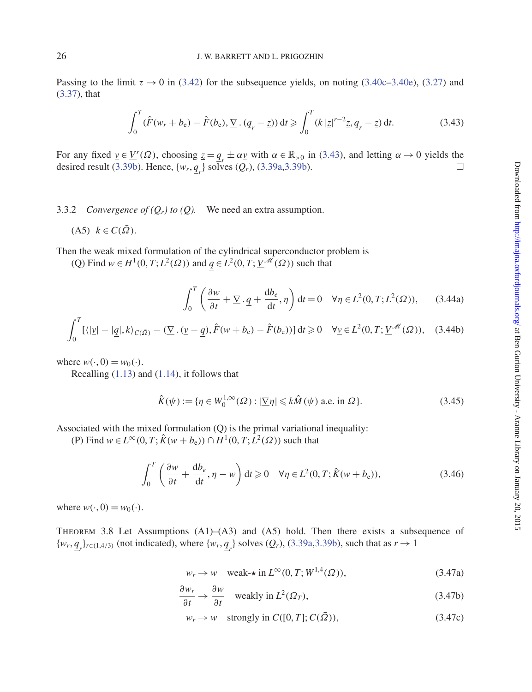Passing to the limit  $\tau \rightarrow 0$  in [\(3.42\)](#page-24-8) for the subsequence yields, on noting [\(3.40c](#page-24-6)[–3.40e\)](#page-24-3), [\(3.27\)](#page-21-4) and [\(3.37\)](#page-23-3), that

<span id="page-25-0"></span>
$$
\int_0^T (\hat{F}(w_r + b_e) - \hat{F}(b_e), \nabla \cdot (\underline{q}_r - \underline{z})) dt \geq \int_0^T (k |\underline{z}|^{r-2} \underline{z}, \underline{q}_r - \underline{z}) dt. \tag{3.43}
$$

For any fixed  $\underline{v} \in \underline{V}^r(\Omega)$ , choosing  $\underline{z} = \underline{q}_r \pm \alpha \underline{v}$  with  $\alpha \in \mathbb{R}_{>0}$  in [\(3.43\)](#page-25-0), and letting  $\alpha \to 0$  yields the desired result [\(3.39b\)](#page-24-1). Hence,  $\{w_r, \underline{q}_r\}$  solves  $(Q_r)$ , [\(3.39a](#page-24-0)[,3.39b\)](#page-24-1).

### 3.3.2 *Convergence of*  $(Q_r)$  *to*  $(Q)$ *.* We need an extra assumption.

$$
(A5) \ \ k \in C(\bar{\Omega}).
$$

Then the weak mixed formulation of the cylindrical superconductor problem is

(Q) Find  $w \in H^1(0, T; L^2(\Omega))$  and  $q \in L^2(0, T; \underline{V}^{\mathcal{M}}(\Omega))$  such that

<span id="page-25-2"></span><span id="page-25-1"></span>
$$
\int_0^T \left( \frac{\partial w}{\partial t} + \underline{\nabla} \cdot \underline{q} + \frac{db_e}{dt}, \eta \right) dt = 0 \quad \forall \eta \in L^2(0, T; L^2(\Omega)), \qquad (3.44a)
$$

$$
\int_0^T \left[ \langle | \underline{v} | - | \underline{q} |, k \rangle_{C(\bar{\Omega})} - (\nabla \cdot (\underline{v} - \underline{q}), \hat{F}(w + b_e) - \hat{F}(b_e)) \right] dt \ge 0 \quad \forall \underline{v} \in L^2(0, T; \underline{V}^{\mathcal{M}}(\Omega)), \quad (3.44b)
$$

where  $w(\cdot, 0) = w_0(\cdot)$ .

Recalling [\(1.13\)](#page-3-4) and [\(1.14\)](#page-3-3), it follows that

$$
\hat{K}(\psi) := \{ \eta \in W_0^{1,\infty}(\Omega) : |\underline{\nabla}\eta| \leq k\hat{M}(\psi) \text{ a.e. in } \Omega \}. \tag{3.45}
$$

Associated with the mixed formulation (Q) is the primal variational inequality:

(P) Find  $w \in L^{\infty}(0, T; \hat{K}(w + b_{e})) \cap H^{1}(0, T; \hat{L}^{2}(\Omega))$  such that

<span id="page-25-6"></span>
$$
\int_0^T \left( \frac{\partial w}{\partial t} + \frac{db_e}{dt}, \eta - w \right) dt \ge 0 \quad \forall \eta \in L^2(0, T; \hat{K}(w + b_e)),
$$
\n(3.46)

where  $w(\cdot, 0) = w_0(\cdot)$ .

THEOREM 3.8 Let Assumptions  $(A1)$ – $(A3)$  and  $(A5)$  hold. Then there exists a subsequence of  $\{w_r, \underline{q}_r\}_{r \in (1,4/3)}$  (not indicated), where  $\{w_r, \underline{q}_r\}$  solves  $(Q_r)$ , [\(3.39a](#page-24-0)[,3.39b\)](#page-24-1), such that as  $r \to 1$ 

<span id="page-25-3"></span>
$$
w_r \to w \quad \text{weak-* in } L^{\infty}(0, T; W^{1,4}(\Omega)),\tag{3.47a}
$$

$$
\frac{\partial w_r}{\partial t} \to \frac{\partial w}{\partial t} \quad \text{weakly in } L^2(\Omega_T), \tag{3.47b}
$$

<span id="page-25-5"></span><span id="page-25-4"></span>
$$
w_r \to w \quad \text{strongly in } C([0, T]; C(\bar{\Omega})), \tag{3.47c}
$$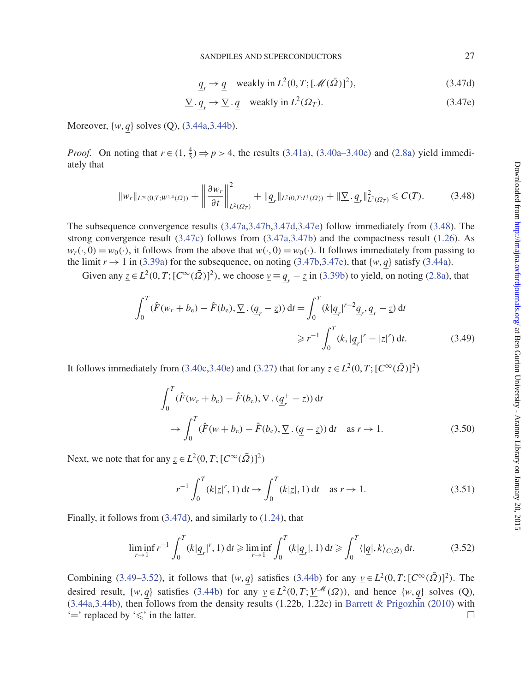<span id="page-26-1"></span><span id="page-26-0"></span>
$$
\underline{q}_r \to \underline{q} \quad \text{weakly in } L^2(0, T; [\mathcal{M}(\bar{\Omega})]^2), \tag{3.47d}
$$

$$
\underline{\nabla} \cdot \underline{q}_r \to \underline{\nabla} \cdot \underline{q} \quad \text{weakly in } L^2(\Omega_T). \tag{3.47e}
$$

Moreover, {*w*, *q*} solves (Q), [\(3.44a](#page-25-1)[,3.44b\)](#page-25-2).

*Proof.* On noting that  $r \in (1, \frac{4}{3}) \Rightarrow p > 4$ , the results [\(3.41a\)](#page-24-4), [\(3.40a–](#page-24-2)[3.40e\)](#page-24-3) and [\(2.8a\)](#page-9-7) yield immediately that

<span id="page-26-2"></span>
$$
\|w_r\|_{L^{\infty}(0,T;W^{1,4}(\Omega))} + \left\|\frac{\partial w_r}{\partial t}\right\|_{L^2(\Omega_T)}^2 + \|q_r\|_{L^2(0,T;L^1(\Omega))} + \|\nabla \cdot q_r\|_{L^2(\Omega_T)}^2 \leq C(T). \tag{3.48}
$$

The subsequence convergence results [\(3.47a](#page-25-3)[,3.47b,](#page-25-4)[3.47d,](#page-26-0)[3.47e\)](#page-26-1) follow immediately from [\(3.48\)](#page-26-2). The strong convergence result [\(3.47c\)](#page-25-5) follows from [\(3.47a](#page-25-3)[,3.47b\)](#page-25-4) and the compactness result [\(1.26\)](#page-5-3). As  $w_r(\cdot, 0) = w_0(\cdot)$ , it follows from the above that  $w(\cdot, 0) = w_0(\cdot)$ . It follows immediately from passing to the limit  $r \rightarrow 1$  in [\(3.39a\)](#page-24-0) for the subsequence, on noting [\(3.47b,](#page-25-4)[3.47e\)](#page-26-1), that  $\{w, q\}$  satisfy [\(3.44a\)](#page-25-1).

Given any  $z \in L^2(0, T; [C^\infty(\overline{\Omega})]^2)$ , we choose  $\underline{v} = \underline{q}_r - \underline{z}$  in [\(3.39b\)](#page-24-1) to yield, on noting [\(2.8a\)](#page-9-7), that

$$
\int_0^T (\hat{F}(w_r + b_e) - \hat{F}(b_e), \nabla \cdot (\underline{q}_r - \underline{z})) dt = \int_0^T (k|\underline{q}_r|^{r-2} \underline{q}_r, \underline{q}_r - \underline{z}) dt
$$
  

$$
\geq r^{-1} \int_0^T (k, |\underline{q}_r|^r - |\underline{z}|^r) dt.
$$
 (3.49)

It follows immediately from [\(3.40c,](#page-24-6)[3.40e\)](#page-24-3) and [\(3.27\)](#page-21-4) that for any  $\underline{z} \in L^2(0, T; [C^{\infty}(\overline{\Omega})]^2)$ 

<span id="page-26-3"></span>
$$
\int_0^T (\hat{F}(w_r + b_e) - \hat{F}(b_e), \underline{\nabla} \cdot (\underline{q}_r^+ - \underline{z})) dt
$$
  
\n
$$
\rightarrow \int_0^T (\hat{F}(w + b_e) - \hat{F}(b_e), \underline{\nabla} \cdot (\underline{q} - \underline{z})) dt \text{ as } r \rightarrow 1.
$$
 (3.50)

Next, we note that for any  $\underline{z} \in L^2(0, T; [C^{\infty}(\overline{\Omega})]^2)$ 

$$
r^{-1} \int_0^T (k|\underline{z}|^r, 1) dt \to \int_0^T (k|\underline{z}|, 1) dt \text{ as } r \to 1.
$$
 (3.51)

Finally, it follows from [\(3.47d\)](#page-26-0), and similarly to [\(1.24\)](#page-5-4), that

<span id="page-26-4"></span>
$$
\liminf_{r \to 1} r^{-1} \int_0^T (k|q_r|^r, 1) \, \mathrm{d}t \geqslant \liminf_{r \to 1} \int_0^T (k|q_r|, 1) \, \mathrm{d}t \geqslant \int_0^T \langle |q|, k \rangle_{C(\bar{\Omega})} \, \mathrm{d}t. \tag{3.52}
$$

Combining [\(3.49–](#page-26-3)[3.52\)](#page-26-4), it follows that  $\{w, q\}$  satisfies [\(3.44b\)](#page-25-2) for any  $\underline{v} \in L^2(0, T; [C^{\infty}(\overline{\Omega})]^2)$ . The desired result,  $\{w, q\}$  satisfies [\(3.44b\)](#page-25-2) for any  $v \in L^2(0, T; V^{\mathcal{M}}(\Omega))$ , and hence  $\{w, q\}$  solves (Q),  $(3.44a,3.44b)$  $(3.44a,3.44b)$ , then follows from the density results  $(1.22b, 1.22c)$  in [Barrett & Prigozhin](#page-37-0) [\(2010](#page-37-0)) with  $\equiv$  replaced by  $\le$  in the latter.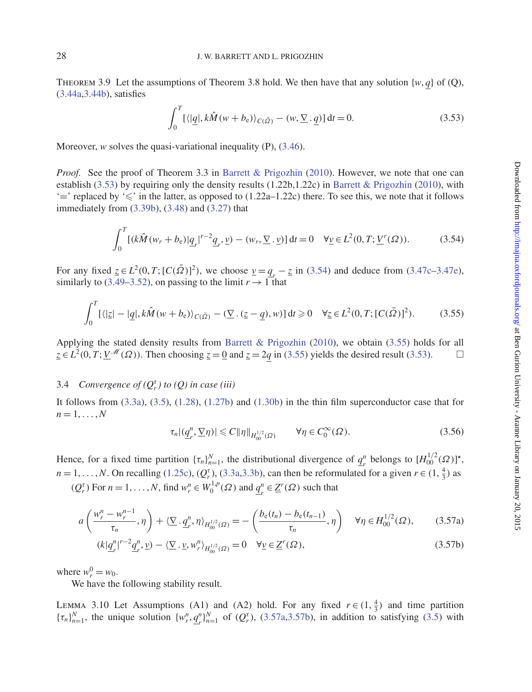THEOREM 3.9 Let the assumptions of Theorem 3.8 hold. We then have that any solution { $w, q$ } of (Q), [\(3.44a,](#page-25-1)[3.44b\)](#page-25-2), satisfies

<span id="page-27-0"></span>
$$
\int_0^T \left[ \langle |q|, k\hat{M}(w+b_e) \rangle_{C(\bar{\Omega})} - (w, \underline{\nabla} \cdot \underline{q}) \right] dt = 0.
$$
 (3.53)

Moreover, *w* solves the quasi-variational inequality (P), [\(3.46\)](#page-25-6).

*Proof.* See the proof of Theorem 3.3 in [Barrett & Prigozhin](#page-37-0) [\(2010](#page-37-0)). However, we note that one can establish [\(3.53\)](#page-27-0) by requiring only the density results (1.22b,1.22c) in [Barrett & Prigozhin](#page-37-0) [\(2010](#page-37-0)), with  $\leq$  replaced by  $\leq$  in the latter, as opposed to (1.22a–1.22c) there. To see this, we note that it follows immediately from [\(3.39b\)](#page-24-1), [\(3.48\)](#page-26-2) and [\(3.27\)](#page-21-4) that

<span id="page-27-1"></span>
$$
\int_0^T \left[ (k\hat{M}(w_r + b_e)) \underline{q}_r \right]^{r-2} \underline{q}_r, \underline{v}) - (w_r, \underline{\nabla} \cdot \underline{v}) \, dt = 0 \quad \forall \underline{v} \in L^2(0, T; \underline{V}^r(\Omega)). \tag{3.54}
$$

For any fixed  $z \in L^2(0, T; [C(\bar{\Omega})]^2)$ , we choose  $v = q_r - z$  in [\(3.54\)](#page-27-1) and deduce from [\(3.47c–](#page-25-5)[3.47e\)](#page-26-1), similarly to [\(3.49–](#page-26-3)[3.52\)](#page-26-4), on passing to the limit  $r \to 1$  that

<span id="page-27-2"></span>
$$
\int_0^T \left[ \langle |z| - |\underline{q}|, k\hat{M}(w+b_\mathrm{e}) \rangle_{C(\bar{\Omega})} - (\underline{\nabla} \cdot (\underline{z}-\underline{q}), w) \right] \mathrm{d}t \geq 0 \quad \forall \underline{z} \in L^2(0, T; [C(\bar{\Omega})]^2). \tag{3.55}
$$

Applying the stated density results from [Barrett & Prigozhin](#page-37-0) [\(2010](#page-37-0)), we obtain [\(3.55\)](#page-27-2) holds for all  $\overline{z} \in L^2(0, T; \underline{V}^{\mathcal{M}}(\Omega))$ . Then choosing  $\underline{z} = 0$  and  $\underline{z} = 2q$  in [\(3.55\)](#page-27-2) yields the desired result [\(3.53\)](#page-27-0).

# 3.4 *Convergence of*  $(Q_r^{\tau})$  *to*  $(Q)$  *in case (iii)*

It follows from [\(3.3a\)](#page-16-0), [\(3.5\)](#page-16-9), [\(1.28\)](#page-6-0), [\(1.27b\)](#page-6-2) and [\(1.30b\)](#page-6-5) in the thin film superconductor case that for  $n=1,\ldots,N$ 

<span id="page-27-4"></span><span id="page-27-3"></span>
$$
\tau_n |(\underline{q}_r^n, \nabla \eta)| \leq C \|\eta\|_{H_{00}^{1/2}(\Omega)} \qquad \forall \eta \in C_0^{\infty}(\Omega). \tag{3.56}
$$

Hence, for a fixed time partition  $\{\tau_n\}_{n=1}^N$ , the distributional divergence of  $\underline{q}_r^n$  belongs to  $[H]_0^{1/2}(\Omega)]^*$ ,  $n = 1, \ldots, N$ . On recalling [\(1.25c\)](#page-5-5), ( $Q_r^{\tau}$ ), [\(3.3a](#page-16-0)[,3.3b\)](#page-16-1), can then be reformulated for a given  $r \in (1, \frac{4}{3})$  as

 $(Q_r^{\tau})$  For  $n = 1, ..., N$ , find  $w_r^n \in W_0^{1,p}(\Omega)$  and  $\underline{q}_r^n \in \underline{Z}^r(\Omega)$  such that

$$
a\left(\frac{w_r^n - w_r^{n-1}}{\tau_n}, \eta\right) + \langle \underline{\nabla} \cdot \underline{q}_r^n, \eta \rangle_{H_{00}^{1/2}(\Omega)} = -\left(\frac{b_e(t_n) - b_e(t_{n-1})}{\tau_n}, \eta\right) \quad \forall \eta \in H_{00}^{1/2}(\Omega),\tag{3.57a}
$$

$$
(k|\underline{q}_r^n|^{r-2}\underline{q}_r^n, \underline{v}) - \langle \underline{\nabla} \cdot \underline{v}, w_r^n \rangle_{H_{00}^{1/2}(\Omega)} = 0 \quad \forall \underline{v} \in \underline{Z}^r(\Omega), \tag{3.57b}
$$

where  $w_r^0 = w_0$ .

We have the following stability result.

LEMMA 3.10 Let Assumptions (A1) and (A2) hold. For any fixed  $r \in (1, \frac{4}{3})$  and time partition  ${\{\tau_n\}}_{n=1}^N$ , the unique solution  $\{w_r^n, \underline{q}_r^n\}_{n=1}^N$  of  $(Q_r^{\tau})$ , [\(3.57a](#page-27-3)[,3.57b\)](#page-27-4), in addition to satisfying [\(3.5\)](#page-16-9) with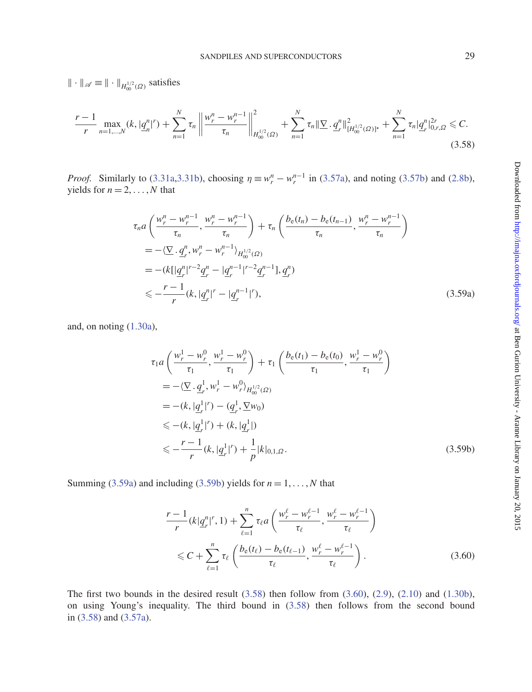$\|\cdot\|_{\mathscr{A}} \equiv \|\cdot\|_{H_{00}^{1/2}(\Omega)}$  satisfies

<span id="page-28-2"></span>
$$
\frac{r-1}{r} \max_{n=1,\dots,N} (k, |\underline{q}_n^n|^r) + \sum_{n=1}^N \tau_n \left\| \frac{w_r^n - w_r^{n-1}}{\tau_n} \right\|_{H_{00}^{1/2}(\Omega)}^2 + \sum_{n=1}^N \tau_n \|\nabla \cdot \underline{q}_r^n\|_{[H_{00}^{1/2}(\Omega)]^*}^2 + \sum_{n=1}^N \tau_n |\underline{q}_r^n|_{0,r,\Omega}^{2r} \leq C. \tag{3.58}
$$

*Proof.* Similarly to [\(3.31a](#page-22-0)[,3.31b\)](#page-22-1), choosing  $\eta \equiv w_r^n - w_r^{n-1}$  in [\(3.57a\)](#page-27-3), and noting [\(3.57b\)](#page-27-4) and [\(2.8b\)](#page-9-9), yields for  $n = 2, \ldots, N$  that

$$
\tau_n a\left(\frac{w_r^n - w_r^{n-1}}{\tau_n}, \frac{w_r^n - w_r^{n-1}}{\tau_n}\right) + \tau_n \left(\frac{b_e(t_n) - b_e(t_{n-1})}{\tau_n}, \frac{w_r^n - w_r^{n-1}}{\tau_n}\right)
$$
\n
$$
= -\langle \underline{\nabla} \cdot \underline{q}_r^n, w_r^n - w_r^{n-1} \rangle_{H_{00}^{1/2}(\Omega)}
$$
\n
$$
= -\langle k[|\underline{q}_r^n|^{r-2}\underline{q}_r^n - |\underline{q}_r^{n-1}|^{r-2}\underline{q}_r^{n-1}], \underline{q}_r^n \rangle
$$
\n
$$
\leq -\frac{r-1}{r} \langle k, |\underline{q}_r^n|^r - |\underline{q}_r^{n-1}|^r \rangle, \tag{3.59a}
$$

and, on noting [\(1.30a\)](#page-6-4),

<span id="page-28-0"></span>
$$
\tau_1 a\left(\frac{w_r^1 - w_r^0}{\tau_1}, \frac{w_r^1 - w_r^0}{\tau_1}\right) + \tau_1 \left(\frac{b_e(t_1) - b_e(t_0)}{\tau_1}, \frac{w_r^1 - w_r^0}{\tau_1}\right)
$$
\n
$$
= -\langle \underline{\nabla} \cdot \underline{q}_r^1, w_r^1 - w_r^0 \rangle_{H_{00}^{1/2}(\Omega)}
$$
\n
$$
= -(k, |\underline{q}_r^1|^r) - (\underline{q}_r^1, \underline{\nabla} w_0)
$$
\n
$$
\leq - (k, |\underline{q}_r^1|^r) + (k, |\underline{q}_r^1|)
$$
\n
$$
\leq -\frac{r-1}{r} (k, |\underline{q}_r^1|^r) + \frac{1}{p} |k|_{0,1,\Omega}.
$$
\n(3.59b)

Summing [\(3.59a\)](#page-28-0) and including [\(3.59b\)](#page-28-1) yields for  $n = 1, \ldots, N$  that

<span id="page-28-3"></span><span id="page-28-1"></span>
$$
\frac{r-1}{r}(k|q_r^n|^r, 1) + \sum_{\ell=1}^n \tau_\ell a\left(\frac{w_r^\ell - w_r^{\ell-1}}{\tau_\ell}, \frac{w_r^\ell - w_r^{\ell-1}}{\tau_\ell}\right) \le C + \sum_{\ell=1}^n \tau_\ell \left(\frac{b_e(t_\ell) - b_e(t_{\ell-1})}{\tau_\ell}, \frac{w_r^\ell - w_r^{\ell-1}}{\tau_\ell}\right). \tag{3.60}
$$

The first two bounds in the desired result  $(3.58)$  then follow from  $(3.60)$ ,  $(2.9)$ ,  $(2.10)$  and  $(1.30b)$ , on using Young's inequality. The third bound in [\(3.58\)](#page-28-2) then follows from the second bound in [\(3.58\)](#page-28-2) and [\(3.57a\)](#page-27-3).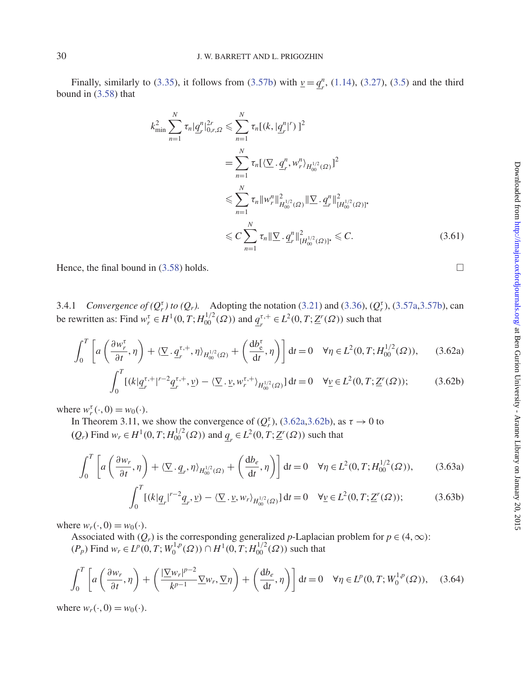Finally, similarly to [\(3.35\)](#page-23-4), it follows from [\(3.57b\)](#page-27-4) with  $\underline{v} = \underline{q}_r^n$ , [\(1.14\)](#page-3-3), [\(3.27\)](#page-21-4), [\(3.5\)](#page-16-9) and the third bound in [\(3.58\)](#page-28-2) that

$$
k_{\min}^2 \sum_{n=1}^N \tau_n |q_r^n|_{0,r,\Omega}^{2r} \leq \sum_{n=1}^N \tau_n [ (k, |q_r^n|^r) ]^2
$$
  
= 
$$
\sum_{n=1}^N \tau_n [ \langle \sum q_r^n, w_r^n \rangle_{H_{00}^{1/2}(\Omega)} ]^2
$$
  

$$
\leqslant \sum_{n=1}^N \tau_n \|w_r^n\|_{H_{00}^{1/2}(\Omega)}^2 \| \sum q_r^n \|_{[H_{00}^{1/2}(\Omega)]^*}^2
$$
  

$$
\leqslant C \sum_{n=1}^N \tau_n \| \sum q_r^n \|_{[H_{00}^{1/2}(\Omega)]^*}^2 \leqslant C.
$$
 (3.61)

Hence, the final bound in  $(3.58)$  holds.

3.4.1 *Convergence of*  $(Q_r^{\tau})$  *to*  $(Q_r)$ *.* Adopting the notation [\(3.21\)](#page-19-2) and [\(3.36\)](#page-23-0),  $(Q_r^{\tau})$ , [\(3.57a,](#page-27-3)[3.57b\)](#page-27-4), can be rewritten as: Find  $w_r^{\tau} \in H^1(0, T; H_{00}^{1/2}(\Omega))$  and  $\underline{q}_r^{\tau,+} \in L^2(0, T; \underline{Z}^r(\Omega))$  such that

$$
\int_0^T \left[ a\left(\frac{\partial w_r^{\tau}}{\partial t}, \eta\right) + \langle \underline{\nabla} \cdot \underline{q}_r^{\tau, +}, \eta \rangle_{H_{00}^{1/2}(\Omega)} + \left(\frac{\mathrm{d}b_{\mathrm{e}}^{\tau}}{\mathrm{d}t}, \eta\right) \right] \mathrm{d}t = 0 \quad \forall \eta \in L^2(0, T; H_{00}^{1/2}(\Omega)), \tag{3.62a}
$$

$$
\int_0^T \left[ (k|q_r^{\tau,+}|^{r-2} q_r^{\tau,+}, \underline{v}) - \langle \underline{\nabla} \cdot \underline{v}, w_r^{\tau,+} \rangle_{H_{00}^{1/2}(\Omega)} \right] dt = 0 \quad \forall \underline{v} \in L^2(0, T; \underline{Z}^r(\Omega)); \tag{3.62b}
$$

where  $w_r^{\tau}(\cdot, 0) = w_0(\cdot)$ .

In Theorem 3.11, we show the convergence of  $(Q_r^{\tau})$ , [\(3.62a,](#page-29-0)[3.62b\)](#page-29-1), as  $\tau \to 0$  to  $(Q_r)$  Find *w<sub>r</sub>* ∈ *H*<sup>1</sup>(0, *T*; *H*<sub>00</sub><sup>1</sup>(Ω)) and  $q_r$  ∈ *L*<sup>2</sup>(0, *T*; <u>Z</u><sup>*r*</sup>(Ω)) such that

$$
\int_0^T \left[ a\left(\frac{\partial w_r}{\partial t}, \eta\right) + \langle \underline{\nabla} \cdot \underline{q}_r, \eta \rangle_{H_{00}^{1/2}(\Omega)} + \left(\frac{\mathrm{d}b_e}{\mathrm{d}t}, \eta\right) \right] \mathrm{d}t = 0 \quad \forall \eta \in L^2(0, T; H_{00}^{1/2}(\Omega)),\tag{3.63a}
$$

$$
\int_0^T \left[ (k|q_r|^{r-2}q_r, \underline{v}) - \langle \underline{\nabla} \cdot \underline{v}, w_r \rangle_{H_{00}^{1/2}(\Omega)} \right] dt = 0 \quad \forall \underline{v} \in L^2(0, T; \underline{Z}^r(\Omega)); \tag{3.63b}
$$

where  $w_r(\cdot, 0) = w_0(\cdot)$ .

Associated with  $(Q_r)$  is the corresponding generalized *p*-Laplacian problem for  $p \in (4,\infty)$ :  $(P_p)$  Find  $w_r$  ∈  $L^p(0, T; W_0^{1,p}(\Omega))$  ∩  $H^1(0, T; H_{00}^{1/2}(\Omega))$  such that

<span id="page-29-4"></span>
$$
\int_0^T \left[ a\left(\frac{\partial w_r}{\partial t}, \eta\right) + \left(\frac{|\nabla w_r|^{p-2}}{k^{p-1}} \nabla w_r, \nabla \eta\right) + \left(\frac{db_e}{dt}, \eta\right) \right] dt = 0 \quad \forall \eta \in L^p(0, T; W_0^{1,p}(\Omega)), \quad (3.64)
$$

where  $w_r(\cdot, 0) = w_0(\cdot)$ .

<span id="page-29-3"></span><span id="page-29-2"></span><span id="page-29-1"></span><span id="page-29-0"></span>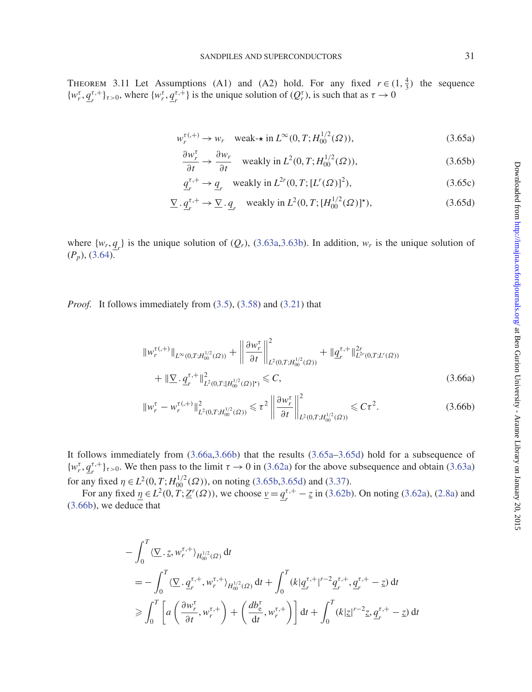THEOREM 3.11 Let Assumptions (A1) and (A2) hold. For any fixed  $r \in (1, \frac{4}{3})$  the sequence  $\{w_r^{\tau}, q_r^{\tau,+}\}_{\tau>0}$ , where  $\{w_r^{\tau}, q_r^{\tau,+}\}\$  is the unique solution of  $(Q_r^{\tau})$ , is such that as  $\tau \to 0$ 

$$
w_r^{\tau(0, +)} \to w_r \quad \text{weak-* in } L^{\infty}(0, T; H_{00}^{1/2}(\Omega)), \tag{3.65a}
$$

<span id="page-30-5"></span><span id="page-30-4"></span><span id="page-30-2"></span>
$$
\frac{\partial w_r^{\tau}}{\partial t} \to \frac{\partial w_r}{\partial t} \quad \text{weakly in } L^2(0, T; H_{00}^{1/2}(\Omega)), \tag{3.65b}
$$

<span id="page-30-3"></span>
$$
\underline{q}_r^{\tau,+} \to \underline{q}_r \quad \text{weakly in } L^{2r}(0,T; [L^r(\Omega)]^2),\tag{3.65c}
$$

$$
\underline{\nabla} \cdot \underline{q}_r^{\tau,+} \to \underline{\nabla} \cdot \underline{q}_r \quad \text{weakly in } L^2(0,T; [H_0^{1/2}(\Omega)]^\star), \tag{3.65d}
$$

where  $\{w_r, q_r\}$  is the unique solution of  $(Q_r)$ , [\(3.63a,](#page-29-2)[3.63b\)](#page-29-3). In addition,  $w_r$  is the unique solution of (*Pp*), [\(3.64\)](#page-29-4).

*Proof.* It follows immediately from [\(3.5\)](#page-16-9), [\(3.58\)](#page-28-2) and [\(3.21\)](#page-19-2) that

<span id="page-30-0"></span>
$$
\|w_r^{\tau(+)}\|_{L^{\infty}(0,T;H_{00}^{1/2}(\Omega))} + \left\|\frac{\partial w_r^{\tau}}{\partial t}\right\|_{L^2(0,T;H_{00}^{1/2}(\Omega))}^2 + \|q_r^{\tau,+}\|_{L^{2r}(0,T;L^{r}(\Omega))}^{2r} + \|\nabla \cdot q_r^{\tau,+}\|_{L^2(0,T;[H_{00}^{1/2}(\Omega)]^*)}^2 \leq C,
$$
\n(3.66a)

<span id="page-30-1"></span>
$$
\|w_r^{\tau} - w_r^{\tau(\cdot)}\|_{L^2(0,T;H_{00}^{1/2}(\Omega))}^2 \leq \tau^2 \left\|\frac{\partial w_r^{\tau}}{\partial t}\right\|_{L^2(0,T;H_{00}^{1/2}(\Omega))}^2 \leq C\tau^2.
$$
 (3.66b)

It follows immediately from [\(3.66a](#page-30-0)[,3.66b\)](#page-30-1) that the results [\(3.65a–](#page-30-2)[3.65d\)](#page-30-3) hold for a subsequence of  $\{w_r^{\tau}, q_r^{\tau,+}\}_{\tau>0}$ . We then pass to the limit  $\tau \to 0$  in [\(3.62a\)](#page-29-0) for the above subsequence and obtain [\(3.63a\)](#page-29-2) for any fixed  $\eta \in L^2(0, T; H_{00}^{1/2}(\Omega))$ , on noting [\(3.65b,](#page-30-4)[3.65d\)](#page-30-3) and [\(3.37\)](#page-23-3).

For any fixed  $\underline{\eta} \in L^2(0, T; \underline{Z}^r(\Omega))$ , we choose  $\underline{v} = \underline{q}_r^{\tau,+} - \underline{z}$  in [\(3.62b\)](#page-29-1). On noting [\(3.62a\)](#page-29-0), [\(2.8a\)](#page-9-7) and [\(3.66b\)](#page-30-1), we deduce that

$$
- \int_0^T \langle \underline{\nabla} \cdot \underline{z}, w_r^{\tau,+} \rangle_{H_{00}^{1/2}(\Omega)} dt
$$
  
\n
$$
= - \int_0^T \langle \underline{\nabla} \cdot \underline{q}_r^{\tau,+}, w_r^{\tau,+} \rangle_{H_{00}^{1/2}(\Omega)} dt + \int_0^T (k | \underline{q}_r^{\tau,+} |^{r-2} \underline{q}_r^{\tau,+}, \underline{q}_r^{\tau,+} - \underline{z}) dt
$$
  
\n
$$
\geq \int_0^T \left[ a \left( \frac{\partial w_r^{\tau}}{\partial t}, w_r^{\tau,+} \right) + \left( \frac{d b_e^{\tau}}{dt}, w_r^{\tau,+} \right) \right] dt + \int_0^T (k | \underline{z} |^{r-2} \underline{z}, \underline{q}_r^{\tau,+} - \underline{z}) dt
$$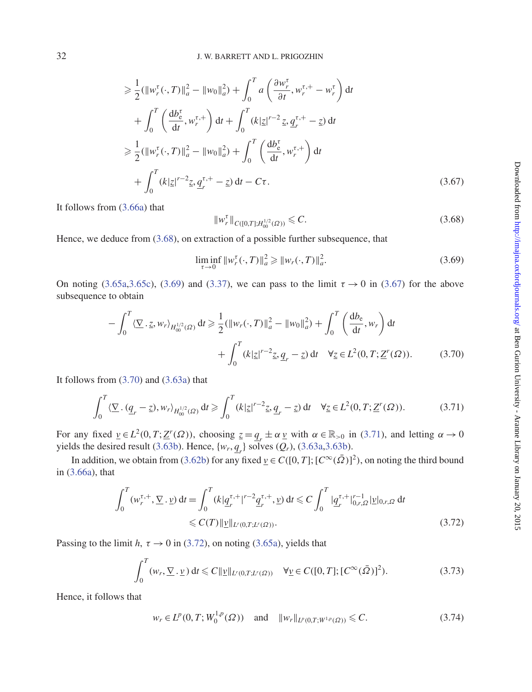$$
\geq \frac{1}{2} (\|w_r^{\tau}(\cdot, T)\|_a^2 - \|w_0\|_a^2) + \int_0^T a \left(\frac{\partial w_r^{\tau}}{\partial t}, w_r^{\tau,+} - w_r^{\tau}\right) dt + \int_0^T \left(\frac{db_e^{\tau}}{dt}, w_r^{\tau,+}\right) dt + \int_0^T (k|z|^{r-2} z, q_r^{\tau,+} - z) dt \geq \frac{1}{2} (\|w_r^{\tau}(\cdot, T)\|_a^2 - \|w_0\|_a^2) + \int_0^T \left(\frac{db_e^{\tau}}{dt}, w_r^{\tau,+}\right) dt + \int_0^T (k|z|^{r-2} z, q_r^{\tau,+} - z) dt - C\tau.
$$
 (3.67)

It follows from [\(3.66a\)](#page-30-0) that

<span id="page-31-2"></span><span id="page-31-0"></span>
$$
\|w_r^{\tau}\|_{C([0,T];H_{00}^{1/2}(\Omega))} \leq C. \tag{3.68}
$$

Hence, we deduce from [\(3.68\)](#page-31-0), on extraction of a possible further subsequence, that

<span id="page-31-3"></span><span id="page-31-1"></span>
$$
\liminf_{\tau \to 0} \|w_r^{\tau}(\cdot, T)\|_a^2 \ge \|w_r(\cdot, T)\|_a^2. \tag{3.69}
$$

On noting [\(3.65a,](#page-30-2)[3.65c\)](#page-30-5), [\(3.69\)](#page-31-1) and [\(3.37\)](#page-23-3), we can pass to the limit  $\tau \to 0$  in [\(3.67\)](#page-31-2) for the above subsequence to obtain

$$
-\int_0^T \langle \underline{\nabla} \cdot \underline{z}, w_r \rangle_{H_{00}^{1/2}(\Omega)} dt \ge \frac{1}{2} (\|w_r(\cdot, T)\|_a^2 - \|w_0\|_a^2) + \int_0^T \left(\frac{db_e}{dt}, w_r\right) dt
$$

$$
+ \int_0^T (k|\underline{z}|^{r-2} \underline{z}, \underline{q}_r - \underline{z}) dt \quad \forall \underline{z} \in L^2(0, T; \underline{Z}^r(\Omega)). \tag{3.70}
$$

It follows from  $(3.70)$  and  $(3.63a)$  that

<span id="page-31-4"></span>
$$
\int_0^T \langle \underline{\nabla} \cdot (\underline{q}_r - \underline{z}), w_r \rangle_{H_{00}^{1/2}(\Omega)} dt \ge \int_0^T (k|\underline{z}|^{r-2} \underline{z}, \underline{q}_r - \underline{z}) dt \quad \forall \underline{z} \in L^2(0, T; \underline{Z}^r(\Omega)).
$$
 (3.71)

For any fixed  $\underline{v} \in L^2(0, T; \underline{Z}^r(\Omega))$ , choosing  $\underline{z} = \underline{q}_r \pm \alpha \underline{v}$  with  $\alpha \in \mathbb{R}_{>0}$  in [\(3.71\)](#page-31-4), and letting  $\alpha \to 0$ yields the desired result [\(3.63b\)](#page-29-3). Hence,  $\{w_r, q_r\}$  solves  $(Q_r)$ , [\(3.63a,](#page-29-2)[3.63b\)](#page-29-3).

In addition, we obtain from [\(3.62b\)](#page-29-1) for any fixed  $\underline{v} \in C([0, T]; [C^{\infty}(\overline{\Omega})]^2)$ , on noting the third bound in [\(3.66a\)](#page-30-0), that

$$
\int_0^T (w_r^{\tau,+}, \nabla \cdot \underline{v}) dt = \int_0^T (k | \underline{q}_r^{\tau,+} |^{r-2} \underline{q}_r^{\tau,+}, \underline{v}) dt \leq C \int_0^T | \underline{q}_r^{\tau,+} |^{r-1}_{0,r,\Omega} | \underline{v} |_{0,r,\Omega} dt
$$
  

$$
\leq C(T) ||\underline{v}||_{L^r(0,T;L^r(\Omega))}.
$$
 (3.72)

Passing to the limit *h*,  $\tau \rightarrow 0$  in [\(3.72\)](#page-31-5), on noting [\(3.65a\)](#page-30-2), yields that

$$
\int_0^T (w_r, \underline{\nabla} \cdot \underline{v}) dt \leq C ||\underline{v}||_{L^r(0,T;L^r(\Omega))} \quad \forall \underline{v} \in C([0,T]; [C^{\infty}(\bar{\Omega})]^2). \tag{3.73}
$$

Hence, it follows that

<span id="page-31-5"></span>
$$
w_r \in L^p(0, T; W_0^{1,p}(\Omega)) \quad \text{and} \quad \|w_r\|_{L^p(0,T; W^{1,p}(\Omega))} \leq C. \tag{3.74}
$$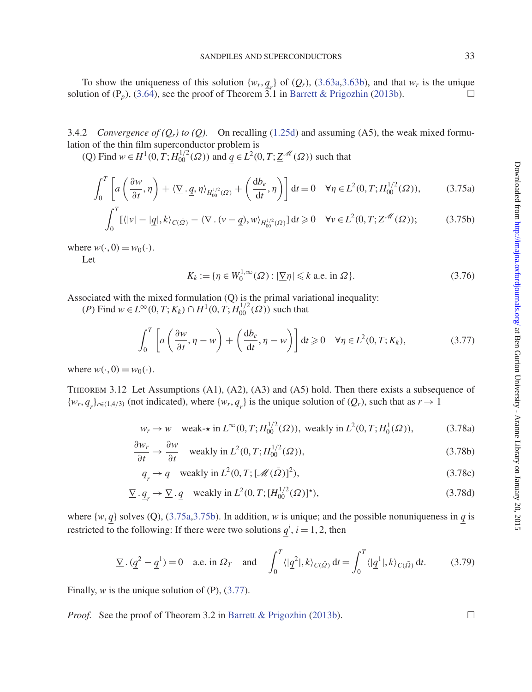To show the uniqueness of this solution  $\{w_r, q_r\}$  of  $(Q_r)$ , [\(3.63a,](#page-29-2)[3.63b\)](#page-29-3), and that  $w_r$  is the unique solution of  $(P_p)$ , [\(3.64\)](#page-29-4), see the proof of Theorem  $\overline{3.1}$  in [Barrett & Prigozhin](#page-37-2) [\(2013b\)](#page-37-2).

3.4.2 *Convergence of*  $(Q_r)$  *to*  $(Q)$ *.* On recalling [\(1.25d\)](#page-5-6) and assuming (A5), the weak mixed formulation of the thin film superconductor problem is

(Q) Find *w* ∈ *H*<sup>1</sup>(0, *T*; *H*<sub>00</sub><sup>1</sup>(Ω)) and *q* ∈ *L*<sup>2</sup>(0, *T*; *Z*<sup>*M*</sup>(Ω)) such that

$$
\int_0^T \left[ a\left(\frac{\partial w}{\partial t}, \eta\right) + \langle \underline{\nabla} \cdot \underline{q}, \eta \rangle_{H_{00}^{1/2}(\Omega)} + \left(\frac{db_e}{dt}, \eta\right) \right] dt = 0 \quad \forall \eta \in L^2(0, T; H_{00}^{1/2}(\Omega)),\tag{3.75a}
$$

$$
\int_0^T \left[ \langle | \underline{v} | - | \underline{q} |, k \rangle_{C(\bar{\Omega})} - \langle \underline{\nabla} . (\underline{v} - \underline{q}), w \rangle_{H_0^{1/2}(\Omega)} \right] dt \ge 0 \quad \forall \underline{v} \in L^2(0, T; \underline{Z}^{\mathcal{M}}(\Omega));
$$
 (3.75b)

where  $w(\cdot, 0) = w_0(\cdot)$ .

Let

<span id="page-32-1"></span><span id="page-32-0"></span>
$$
K_k := \{ \eta \in W_0^{1,\infty}(\Omega) : |\underline{\nabla}\eta| \leq k \text{ a.e. in } \Omega \}. \tag{3.76}
$$

Associated with the mixed formulation (Q) is the primal variational inequality:

 $(P)$  Find *w* ∈  $L^{\infty}(0, T; K_k)$  ∩  $H^1(0, T; H_{00}^{1/2}(\Omega))$  such that

<span id="page-32-2"></span>
$$
\int_0^T \left[ a\left(\frac{\partial w}{\partial t}, \eta - w\right) + \left(\frac{db_e}{dt}, \eta - w\right) \right] dt \ge 0 \quad \forall \eta \in L^2(0, T; K_k),\tag{3.77}
$$

where  $w(\cdot, 0) = w_0(\cdot)$ .

Theorem 3.12 Let Assumptions (A1), (A2), (A3) and (A5) hold. Then there exists a subsequence of  $\{w_r, \underline{q}_r\}_{r \in (1,4/3)}$  (not indicated), where  $\{w_r, \underline{q}_r\}$  is the unique solution of  $(Q_r)$ , such that as  $r \to 1$ 

$$
w_r \to w
$$
 weak-\* in  $L^{\infty}(0, T; H_{00}^{1/2}(\Omega))$ , weakly in  $L^2(0, T; H_0^1(\Omega))$ , (3.78a)

$$
\frac{\partial w_r}{\partial t} \to \frac{\partial w}{\partial t} \quad \text{weakly in } L^2(0, T; H_{00}^{1/2}(\Omega)), \tag{3.78b}
$$

$$
\underline{q}_r \to \underline{q} \quad \text{weakly in } L^2(0, T; [\mathcal{M}(\bar{\Omega})]^2), \tag{3.78c}
$$

$$
\underline{\nabla} \cdot \underline{q}_r \to \underline{\nabla} \cdot \underline{q} \quad \text{weakly in } L^2(0, T; [H_0^{1/2}(\Omega)]^*),\tag{3.78d}
$$

where  $\{w, q\}$  solves (Q), [\(3.75a,](#page-32-0)[3.75b\)](#page-32-1). In addition, *w* is unique; and the possible nonuniqueness in *q* is restricted to the following: If there were two solutions  $q^i$ ,  $i = 1, 2$ , then

$$
\underline{\nabla} \cdot (\underline{q}^2 - \underline{q}^1) = 0 \quad \text{a.e. in } \Omega_T \quad \text{and} \quad \int_0^T \langle |\underline{q}^2|, k \rangle_{C(\bar{\Omega})} dt = \int_0^T \langle |\underline{q}^1|, k \rangle_{C(\bar{\Omega})} dt. \tag{3.79}
$$

Finally, *w* is the unique solution of (P), [\(3.77\)](#page-32-2).

*Proof.* See the proof of Theorem 3.2 in [Barrett & Prigozhin](#page-37-2) [\(2013b\)](#page-37-2).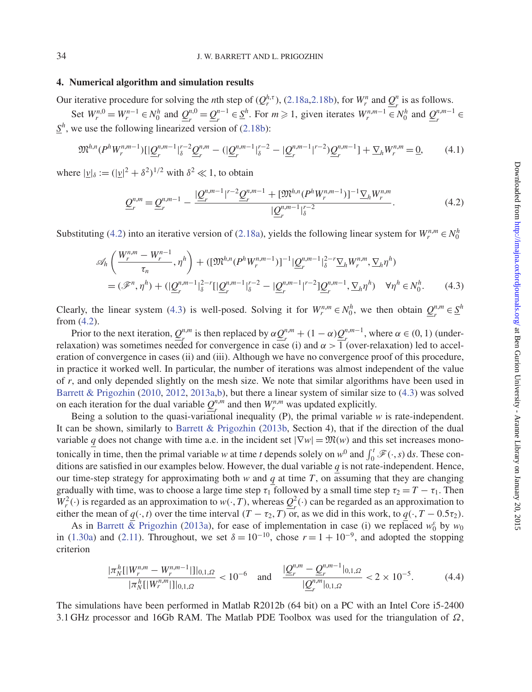#### **4. Numerical algorithm and simulation results**

Our iterative procedure for solving the *n*th step of  $(Q_r^{h,\tau})$ , [\(2.18a,](#page-11-0)[2.18b\)](#page-11-1), for  $W_r^n$  and  $Q_r^n$  is as follows.

Set  $W_r^{n,0} = W_r^{n-1} \in N_0^h$  and  $Q_r^{n,0} = Q_r^{n-1} \in S_r^h$ . For  $m \ge 1$ , given iterates  $W_r^{n,m-1} \in N_0^h$  and  $Q_r^{n,m-1} \in S_r^h$  $S<sup>h</sup>$ , we use the following linearized version of [\(2.18b\)](#page-11-1):

$$
\mathfrak{M}^{h,n}(P^h W_r^{n,m-1})[|\underline{Q}_r^{n,m-1}|_{{\delta}}^{r-2}\underline{Q}_r^{n,m}-(|\underline{Q}_r^{n,m-1}|_{{\delta}}^{r-2}-|\underline{Q}_r^{n,m-1}|^{r-2})\underline{Q}_r^{n,m-1}]+\nabla_h W_r^{n,m}=\underline{0},\qquad(4.1)
$$

where  $|\underline{v}|_{\delta} := (|\underline{v}|^2 + \delta^2)^{1/2}$  with  $\delta^2 \ll 1$ , to obtain

<span id="page-33-1"></span><span id="page-33-0"></span>
$$
\underline{\mathcal{Q}}_{r}^{n,m} = \underline{\mathcal{Q}}_{r}^{n,m-1} - \frac{|\underline{\mathcal{Q}}_{r}^{n,m-1}|^{r-2} \underline{\mathcal{Q}}_{r}^{n,m-1} + [\mathfrak{M}^{h,n}(P^{h}W_{r}^{n,m-1})]^{-1} \nabla_{h}W_{r}^{n,m}}{|\underline{\mathcal{Q}}_{r}^{n,m-1}|_{\delta}^{r-2}}.
$$
\n(4.2)

Substituting [\(4.2\)](#page-33-0) into an iterative version of [\(2.18a\)](#page-11-0), yields the following linear system for  $W_r^{n,m} \in N_0^h$ 

$$
\mathscr{A}_{h}\left(\frac{W_{r}^{n,m}-W_{r}^{n-1}}{\tau_{n}},\eta^{h}\right)+([\mathfrak{M}^{h,n}(P^{h}W_{r}^{n,m-1})]^{-1}|\underline{Q}_{r}^{n,m-1}|_{\delta}^{2-r}\underline{\nabla}_{h}W_{r}^{n,m},\underline{\nabla}_{h}\eta^{h})
$$

$$
=(\mathscr{F}^{n},\eta^{h})+(\underline{Q}_{r}^{n,m-1}|_{\delta}^{2-r}[\underline{Q}_{r}^{n,m-1}|_{\delta}^{r-2}-[\underline{Q}_{r}^{n,m-1}|^{r-2}]\underline{Q}_{r}^{n,m-1},\underline{\nabla}_{h}\eta^{h})\quad\forall\eta^{h}\in\mathcal{N}_{0}^{h}.\tag{4.3}
$$

Clearly, the linear system [\(4.3\)](#page-33-1) is well-posed. Solving it for  $W_r^{n,m} \in N_0^h$ , we then obtain  $Q_r^{n,m} \in S^h$ from [\(4.2\)](#page-33-0).

Prior to the next iteration,  $Q_r^{n,m}$  is then replaced by  $\alpha \underline{Q}_r^{n,m} + (1 - \alpha) \underline{Q}_r^{n,m-1}$ , where  $\alpha \in (0, 1)$  (underrelaxation) was sometimes needed for convergence in case (i) and  $\alpha > 1$  (over-relaxation) led to acceleration of convergence in cases (ii) and (iii). Although we have no convergence proof of this procedure, in practice it worked well. In particular, the number of iterations was almost independent of the value of *r*, and only depended slightly on the mesh size. We note that similar algorithms have been used in [Barrett & Prigozhin](#page-37-0) [\(2010,](#page-37-0) [2012,](#page-37-16) [2013a](#page-37-1)[,b\)](#page-37-2), but there a linear system of similar size to [\(4.3\)](#page-33-1) was solved on each iteration for the dual variable  $Q_n^{n,m}$  and then  $W_r^{n,m}$  was updated explicitly.

Being a solution to the quasi-variational inequality (P), the primal variable *w* is rate-independent. It can be shown, similarly to [Barrett & Prigozhin](#page-37-2) [\(2013b](#page-37-2), Section 4), that if the direction of the dual variable *q* does not change with time a.e. in the incident set  $|\nabla w| = \mathfrak{M}(w)$  and this set increases monotonically in time, then the primal variable *w* at time *t* depends solely on  $w^0$  and  $\int_0^t \mathcal{F}(\cdot, s) ds$ . These conditions are satisfied in our examples below. However, the dual variable *q* is not rate-independent. Hence, our time-step strategy for approximating both  $w$  and  $q$  at time  $T$ , on assuming that they are changing gradually with time, was to choose a large time step  $\tau_1$  followed by a small time step  $\tau_2 = T - \tau_1$ . Then  $W_r^2(\cdot)$  is regarded as an approximation to  $w(\cdot, T)$ , whereas  $Q_r^2(\cdot)$  can be regarded as an approximation to either the mean of  $q(\cdot, t)$  over the time interval  $(T - \tau_2, T)$  or, as we did in this work, to  $q(\cdot, T - 0.5\tau_2)$ .

As in Barrett  $\bar{\mathcal{R}}$  Prigozhin [\(2013a\)](#page-37-1), for ease of implementation in case (i) we replaced  $w_0^{\varepsilon}$  by  $w_0$ in [\(1.30a\)](#page-6-4) and [\(2.11\)](#page-10-6). Throughout, we set  $\delta = 10^{-10}$ , chose  $r = 1 + 10^{-9}$ , and adopted the stopping criterion

$$
\frac{|\pi_N^h[|W_r^{n,m} - W_r^{n,m-1}|]|_{0,1,\Omega}}{|\pi_N^h[|W_r^{n,m}|]|_{0,1,\Omega}} < 10^{-6} \quad \text{and} \quad \frac{|\mathcal{Q}_r^{n,m} - \mathcal{Q}_r^{n,m-1}|_{0,1,\Omega}}{|\mathcal{Q}_r^{n,m}|_{0,1,\Omega}} < 2 \times 10^{-5}.\tag{4.4}
$$

The simulations have been performed in Matlab R2012b (64 bit) on a PC with an Intel Core i5-2400 3.1 GHz processor and 16Gb RAM. The Matlab PDE Toolbox was used for the triangulation of  $\Omega$ ,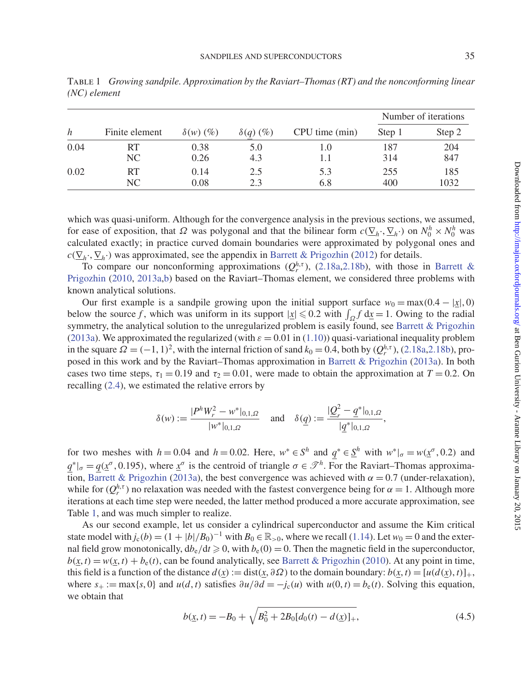<span id="page-34-0"></span>

| h    | Finite element | $\delta(w)$ (%) | $\delta(q)$ (%) | CPU time (min) | Number of iterations |             |
|------|----------------|-----------------|-----------------|----------------|----------------------|-------------|
|      |                |                 |                 |                | Step 1               | Step 2      |
| 0.04 | RT             | 0.38            | 5.0             | 1.0            | 187                  | 204         |
|      | NC             | 0.26            | 4.3             | 1.1            | 314                  | 847         |
| 0.02 | RT<br>NC.      | 0.14<br>0.08    | 2.5<br>2.3      | 5.3<br>6.8     | 255<br>400           | 185<br>1032 |

which was quasi-uniform. Although for the convergence analysis in the previous sections, we assumed, for ease of exposition, that  $\Omega$  was polygonal and that the bilinear form  $c(\underline{\nabla}_h \cdot, \underline{\nabla}_h \cdot)$  on  $N_0^h \times N_0^h$  was calculated exactly; in practice curved domain boundaries were approximated by polygonal ones and  $c(\nabla_h \cdot, \nabla_h \cdot)$  was approximated, see the appendix in [Barrett & Prigozhin](#page-37-16) [\(2012](#page-37-16)) for details.

To c[ompare](#page-37-0) [our](#page-37-0) [nonconforming](#page-37-0) [approximations](#page-37-0)  $(Q_r^{h,\tau})$  $(Q_r^{h,\tau})$ , [\(2.18a](#page-11-0)[,2.18b\)](#page-11-1), with those in Barrett & Prigozhin [\(2010,](#page-37-0) [2013a](#page-37-1)[,b](#page-37-2)) based on the Raviart–Thomas element, we considered three problems with known analytical solutions.

Our first example is a sandpile growing upon the initial support surface  $w_0 = \max(0.4 - |x|, 0)$ below the source *f*, which was uniform in its support  $|\underline{x}| \leq 0.2$  with  $\int_{\Omega} f \, d\underline{x} = 1$ . Owing to the radial symmetry, the analytical solution to the unregularized problem is easily found, see [Barrett & Prigozhin](#page-37-1) [\(2013a\)](#page-37-1). We approximated the regularized (with  $\varepsilon = 0.01$  in [\(1.10\)](#page-2-1)) quasi-variational inequality problem in the square  $\Omega = (-1, 1)^2$ , with the internal friction of sand  $k_0 = 0.4$ , both by  $(Q_r^{h,\tau})$ , [\(2.18a](#page-11-0), 2.18b), proposed in this work and by the Raviart–Thomas approximation in [Barrett & Prigozhin](#page-37-1) [\(2013a\)](#page-37-1). In both cases two time steps,  $\tau_1 = 0.19$  and  $\tau_2 = 0.01$ , were made to obtain the approximation at  $T = 0.2$ . On recalling [\(2.4\)](#page-9-10), we estimated the relative errors by

$$
\delta(w) := \frac{|P^h W_r^2 - w^*|_{0,1,\Omega}}{|w^*|_{0,1,\Omega}} \quad \text{and} \quad \delta(\underline{q}) := \frac{|\underline{Q}_r^2 - \underline{q}^*|_{0,1,\Omega}}{|q^*|_{0,1,\Omega}},
$$

for two meshes with  $h = 0.04$  and  $h = 0.02$ . Here,  $w^* \in S^h$  and  $q^* \in \underline{S}^h$  with  $w^*|_{\sigma} = w(\underline{x}^{\sigma}, 0.2)$  and  $q^*|_{\sigma} = q(\chi^{\sigma}, 0.195)$ , where  $\chi^{\sigma}$  is the centroid of triangle  $\sigma \in \mathcal{I}^h$ . For the Raviart–Thomas approxima-tion, [Barrett & Prigozhin](#page-37-1) [\(2013a\)](#page-37-1), the best convergence was achieved with  $\alpha = 0.7$  (under-relaxation), while for  $(Q_r^{h,\tau})$  no relaxation was needed with the fastest convergence being for  $\alpha = 1$ . Although more iterations at each time step were needed, the latter method produced a more accurate approximation, see Table [1,](#page-34-0) and was much simpler to realize.

As our second example, let us consider a cylindrical superconductor and assume the Kim critical state model with  $j_c(b) = (1 + |b|/B_0)^{-1}$  with  $B_0 \in \mathbb{R}_{>0}$ , where we recall [\(1.14\)](#page-3-3). Let  $w_0 = 0$  and the external field grow monotonically,  $db_e/dt \ge 0$ , with  $b_e(0) = 0$ . Then the magnetic field in the superconductor,  $b(x, t) = w(x, t) + b_0(t)$ , can be found analytically, see [Barrett & Prigozhin](#page-37-0) [\(2010](#page-37-0)). At any point in time, this field is a function of the distance  $d(x) := \text{dist}(x, \partial \Omega)$  to the domain boundary:  $b(x, t) = [u(d(x), t)]_+,$ where  $s_+ := \max\{s, 0\}$  and  $u(d, t)$  satisfies  $\frac{\partial u}{\partial d} = -j_c(u)$  with  $u(0, t) = b_e(t)$ . Solving this equation, we obtain that

<span id="page-34-1"></span>
$$
b(\underline{x}, t) = -B_0 + \sqrt{B_0^2 + 2B_0[d_0(t) - d(\underline{x})]_+},
$$
\n(4.5)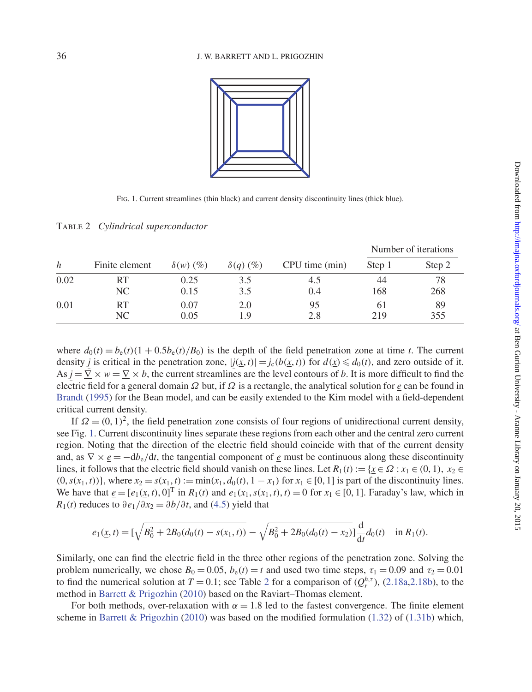

<span id="page-35-1"></span><span id="page-35-0"></span>Fig. 1. Current streamlines (thin black) and current density discontinuity lines (thick blue).

Table 2 *Cylindrical superconductor*

|      |                |                 |                 |                | Number of iterations |        |
|------|----------------|-----------------|-----------------|----------------|----------------------|--------|
| h    | Finite element | $\delta(w)$ (%) | $\delta(q)$ (%) | CPU time (min) | Step 1               | Step 2 |
| 0.02 | RT             | 0.25            | 3.5             | 4.5            | 44                   | 78     |
|      | NC             | 0.15            | 3.5             | 0.4            | 168                  | 268    |
| 0.01 | RT             | 0.07            | 2.0             | 95             | 61                   | 89     |
|      | NC             | 0.05            | 1.9             | 2.8            | 219                  | 355    |

where  $d_0(t) = b_e(t)(1 + 0.5b_e(t)/B_0)$  is the depth of the field penetration zone at time *t*. The current density *j* is critical in the penetration zone,  $|j(x, t)| = j_c(b(x, t))$  for  $d(x) \le d_0(t)$ , and zero outside of it.  $As j = \nabla \times w = \nabla \times b$ , the current streamlines are the level contours of *b*. It is more difficult to find the electric field for a general domain Ω but, if Ω is a rectangle, the analytical solution for *e* can be found in [Brandt](#page-37-20) [\(1995\)](#page-37-20) for the Bean model, and can be easily extended to the Kim model with a field-dependent critical current density.

If  $\Omega = (0, 1)^2$ , the field penetration zone consists of four regions of unidirectional current density, see Fig. [1.](#page-35-0) Current discontinuity lines separate these regions from each other and the central zero current region. Noting that the direction of the electric field should coincide with that of the current density and, as  $\nabla \times e = -d b_e/dt$ , the tangential component of *e* must be continuous along these discontinuity lines, it follows that the electric field should vanish on these lines. Let  $R_1(t) := \{x \in \Omega : x_1 \in (0, 1), x_2 \in \Omega\}$  $(0, s(x_1, t))$ , where  $x_2 = s(x_1, t) := \min(x_1, d_0(t), 1 - x_1)$  for  $x_1 \in [0, 1]$  is part of the discontinuity lines. We have that  $e = [e_1(x, t), 0]^T$  in  $R_1(t)$  and  $e_1(x_1, s(x_1, t), t) = 0$  for  $x_1 \in [0, 1]$ . Faraday's law, which in *R*<sub>1</sub>(*t*) reduces to  $\partial e_1/\partial x_2 = \partial b/\partial t$ , and [\(4.5\)](#page-34-1) yield that

$$
e_1(\underline{x},t) = \left[\sqrt{B_0^2 + 2B_0(d_0(t) - s(x_1,t))} - \sqrt{B_0^2 + 2B_0(d_0(t) - x_2)}\right] \frac{d}{dt} d_0(t) \quad \text{in } R_1(t).
$$

Similarly, one can find the electric field in the three other regions of the penetration zone. Solving the problem numerically, we chose  $B_0 = 0.05$ ,  $b_e(t) = t$  and used two time steps,  $\tau_1 = 0.09$  and  $\tau_2 = 0.01$ to find the numerical solution at  $T = 0.1$ ; see Table [2](#page-35-1) for a comparison of  $(Q_r^{h,\tau})$ , [\(2.18a](#page-11-0)[,2.18b\)](#page-11-1), to the method in [Barrett & Prigozhin](#page-37-0) [\(2010](#page-37-0)) based on the Raviart–Thomas element.

For both methods, over-relaxation with  $\alpha = 1.8$  led to the fastest convergence. The finite element scheme in [Barrett & Prigozhin](#page-37-0) [\(2010\)](#page-37-0) was based on the modified formulation [\(1.32\)](#page-7-2) of [\(1.31b\)](#page-7-1) which,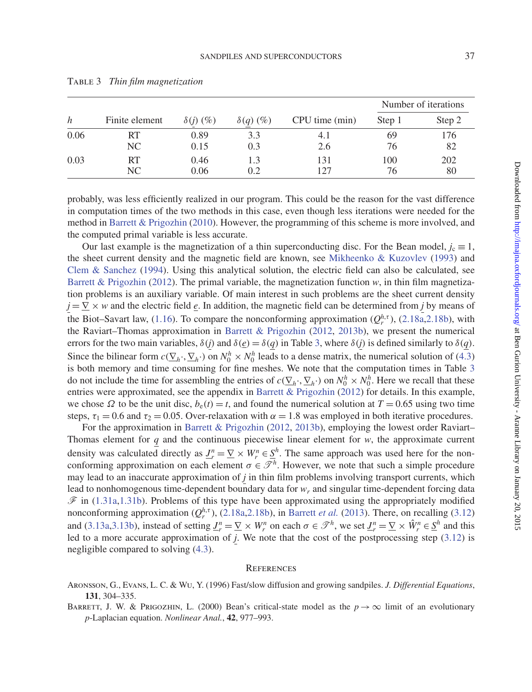|      | Finite element | $\delta(j)$ (%) | $\delta(q)$ (%) | CPU time (min) | Number of iterations |        |
|------|----------------|-----------------|-----------------|----------------|----------------------|--------|
| h    |                |                 |                 |                | Step 1               | Step 2 |
| 0.06 | RT             | 0.89            | 3.3             | 4. I           | 69                   | 176    |
|      | NC.            | 0.15            | 0.3             | 2.6            | 76                   | 82     |
| 0.03 | RT             | 0.46            | 1.3             | 131            | 100                  | 202    |
|      | NC             | 0.06            | 0.2             | 127            | 76                   | 80     |

<span id="page-36-2"></span>Table 3 *Thin film magnetization*

probably, was less efficiently realized in our program. This could be the reason for the vast difference in computation times of the two methods in this case, even though less iterations were needed for the method in [Barrett & Prigozhin](#page-37-0) [\(2010\)](#page-37-0). However, the programming of this scheme is more involved, and the computed primal variable is less accurate.

Our last example is the magnetization of a thin superconducting disc. For the Bean model,  $j_c \equiv 1$ , the sheet current density and the magnetic field are known, see [Mikheenko & Kuzovlev](#page-37-21) [\(1993](#page-37-21)) and Clem  $\&$  Sanchez [\(1994](#page-37-22)). Using this analytical solution, the electric field can also be calculated, see [Barrett & Prigozhin](#page-37-16) [\(2012](#page-37-16)). The primal variable, the magnetization function *w*, in thin film magnetization problems is an auxiliary variable. Of main interest in such problems are the sheet current density  $j = \nabla \times w$  and the electric field *e*. In addition, the magnetic field can be determined from *j* by means of the Biot–Savart law, [\(1.16\)](#page-4-1). To compare the nonconforming approximation  $(Q_r^{h,\tau})$ , [\(2.18a,](#page-11-0)[2.18b\)](#page-11-1), with the Raviart–Thomas approximation in [Barrett & Prigozhin](#page-37-16) [\(2012,](#page-37-16) [2013b\)](#page-37-2), we present the numerical errors for the two main variables,  $\delta(j)$  and  $\delta(e) = \delta(q)$  in Table [3,](#page-36-2) where  $\delta(j)$  is defined similarly to  $\delta(q)$ . Since the bilinear form  $c(\underline{\nabla}_h \cdot, \underline{\nabla}_h \cdot)$  on  $N_0^h \times N_0^h$  leads to a dense matrix, the numerical solution of [\(4.3\)](#page-33-1) is both memory and time consuming for fine meshes. We note that the computation times in Table [3](#page-36-2) do not include the time for assembling the entries of  $c(\underline{\nabla}_h \cdot, \underline{\nabla}_h \cdot)$  on  $N_0^h \times N_0^h$ . Here we recall that these entries were approximated, see the appendix in [Barrett & Prigozhin](#page-37-16) [\(2012](#page-37-16)) for details. In this example, we chose  $\Omega$  to be the unit disc,  $b_e(t) = t$ , and found the numerical solution at  $T = 0.65$  using two time steps,  $\tau_1 = 0.6$  and  $\tau_2 = 0.05$ . Over-relaxation with  $\alpha = 1.8$  was employed in both iterative procedures.

For the approximation in [Barrett & Prigozhin](#page-37-16) [\(2012,](#page-37-16) [2013b](#page-37-2)), employing the lowest order Raviart– Thomas element for  $q$  and the continuous piecewise linear element for  $w$ , the approximate current density was calculated directly as  $\underline{J}_r^n = \underline{\nabla} \times W_r^n \in \underline{S}^h$ . The same approach was used here for the nonconforming approximation on each element  $\sigma \in \mathcal{T}^h$ . However, we note that such a simple procedure may lead to an inaccurate approximation of *j* in thin film problems involving transport currents, which lead to nonhomogenous time-dependent boundary data for *wr* and singular time-dependent forcing data  $\mathscr F$  in [\(1.31a](#page-7-0)[,1.31b\)](#page-7-1). Problems of this type have been approximated using the appropriately modified nonconforming approximation  $(Q_r^{h,\tau})$ , [\(2.18a,](#page-11-0)[2.18b\)](#page-11-1), in [Barrett](#page-37-17) *et al.* [\(2013](#page-37-17)). There, on recalling [\(3.12\)](#page-17-5) and [\(3.13a,](#page-18-0)[3.13b\)](#page-18-1), instead of setting  $\underline{J}_r^n = \underline{\nabla} \times W_r^n$  on each  $\sigma \in \mathcal{I}^h$ , we set  $\underline{J}_r^n = \underline{\nabla} \times \hat{W}_r^n \in \underline{S}^h$  and this led to a more accurate approximation of *j*. We note that the cost of the postprocessing step [\(3.12\)](#page-17-5) is negligible compared to solving [\(4.3\)](#page-33-1).

#### **REFERENCES**

<span id="page-36-0"></span>Aronsson, G., Evans, L. C. & Wu, Y. (1996) Fast/slow diffusion and growing sandpiles. *J. Differential Equations*, **131**, 304–335.

<span id="page-36-1"></span>BARRETT, J. W. & PRIGOZHIN, L. (2000) Bean's critical-state model as the  $p \rightarrow \infty$  limit of an evolutionary *p*-Laplacian equation. *Nonlinear Anal.*, **42**, 977–993.